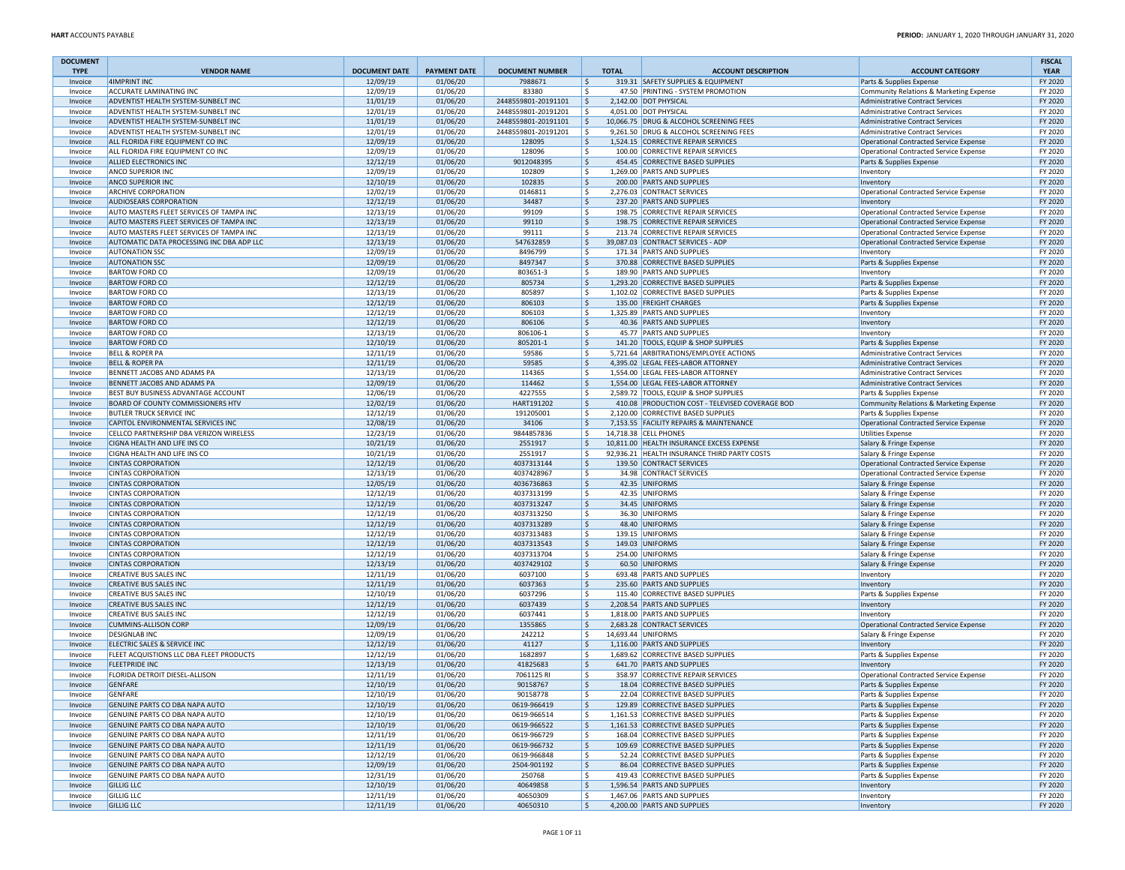| <b>DOCUMENT</b><br><b>TYPE</b> | <b>VENDOR NAME</b>                                                | <b>DOCUMENT DATE</b> | <b>PAYMENT DATE</b>  | <b>DOCUMENT NUMBER</b>  | <b>TOTAL</b>        | <b>ACCOUNT DESCRIPTION</b>                                          | <b>ACCOUNT CATEGORY</b>                              | <b>FISCAL</b><br><b>YEAR</b> |
|--------------------------------|-------------------------------------------------------------------|----------------------|----------------------|-------------------------|---------------------|---------------------------------------------------------------------|------------------------------------------------------|------------------------------|
| Invoice                        | 4IMPRINT INC                                                      | 12/09/19             | 01/06/20             | 7988671                 | \$                  | 319.31 SAFETY SUPPLIES & EQUIPMENT                                  | Parts & Supplies Expense                             | FY 2020                      |
| Invoice                        | ACCURATE LAMINATING INC                                           | 12/09/19             | 01/06/20             | 83380                   | Š.                  | 47.50 PRINTING - SYSTEM PROMOTION                                   | Community Relations & Marketing Expense              | FY 2020                      |
| Invoice                        | ADVENTIST HEALTH SYSTEM-SUNBELT INC                               | 11/01/19             | 01/06/20             | 2448559801-20191101     | Ŝ.                  | 2,142.00 DOT PHYSICAL                                               | <b>Administrative Contract Services</b>              | FY 2020                      |
| Invoice                        | ADVENTIST HEALTH SYSTEM-SUNBELT INC                               | 12/01/19             | 01/06/20             | 2448559801-20191201     | \$.                 | 4,051.00 DOT PHYSICAL                                               | Administrative Contract Services                     | FY 2020                      |
| Invoice                        | ADVENTIST HEALTH SYSTEM-SUNBELT INC                               | 11/01/19             | 01/06/20             | 2448559801-20191101     | \$                  | 10,066.75 DRUG & ALCOHOL SCREENING FEES                             | Administrative Contract Services                     | FY 2020                      |
| Invoice                        | ADVENTIST HEALTH SYSTEM-SUNBELT INC                               | 12/01/19             | 01/06/20             | 2448559801-20191201     | Ŝ.                  | 9,261.50 DRUG & ALCOHOL SCREENING FEES                              | Administrative Contract Services                     | FY 2020                      |
| Invoice                        | ALL FLORIDA FIRE EQUIPMENT CO INC                                 | 12/09/19             | 01/06/20             | 128095                  | \$.                 | 1,524.15 CORRECTIVE REPAIR SERVICES                                 | Operational Contracted Service Expense               | FY 2020                      |
| Invoice                        | ALL FLORIDA FIRE EQUIPMENT CO INC                                 | 12/09/19             | 01/06/20             | 128096                  | Ŝ.                  | 100.00 CORRECTIVE REPAIR SERVICES                                   | <b>Operational Contracted Service Expense</b>        | FY 2020                      |
| Invoice                        | ALLIED ELECTRONICS INC                                            | 12/12/19             | 01/06/20             | 9012048395              | \$                  | 454.45 CORRECTIVE BASED SUPPLIES                                    | Parts & Supplies Expense                             | FY 2020                      |
| Invoice                        | ANCO SUPERIOR INC                                                 | 12/09/19             | 01/06/20             | 102809                  | Ŝ.                  | 1,269.00 PARTS AND SUPPLIES                                         | Inventory                                            | FY 2020                      |
| Invoice                        | <b>ANCO SUPERIOR INC</b>                                          | 12/10/19             | 01/06/20             | 102835                  | Ŝ.                  | 200.00 PARTS AND SUPPLIES                                           | Inventory                                            | FY 2020                      |
| Invoice                        | <b>ARCHIVE CORPORATION</b>                                        | 12/02/19             | 01/06/20             | 0146811                 | \$.                 | 2,276.03 CONTRACT SERVICES                                          | Operational Contracted Service Expense               | FY 2020                      |
| Invoice                        | <b>AUDIOSEARS CORPORATION</b>                                     | 12/12/19             | 01/06/20             | 34487                   | S.                  | 237.20 PARTS AND SUPPLIES                                           | Inventory                                            | FY 2020                      |
| Invoice                        | AUTO MASTERS FLEET SERVICES OF TAMPA INC                          | 12/13/19             | 01/06/20             | 99109                   | Ŝ.                  | 198.75 CORRECTIVE REPAIR SERVICES                                   | Operational Contracted Service Expense               | FY 2020                      |
| Invoice                        | AUTO MASTERS FLEET SERVICES OF TAMPA INC                          | 12/13/19             | 01/06/20             | 99110                   | S,                  | 198.75 CORRECTIVE REPAIR SERVICES                                   | Operational Contracted Service Expense               | FY 2020                      |
| Invoice                        | AUTO MASTERS FLEET SERVICES OF TAMPA INC                          | 12/13/19             | 01/06/20             | 99111                   | \$.                 | 213.74 CORRECTIVE REPAIR SERVICES                                   | Operational Contracted Service Expense               | FY 2020                      |
| Invoice                        | AUTOMATIC DATA PROCESSING INC DBA ADP LLC                         | 12/13/19             | 01/06/20             | 547632859               | \$                  | 39,087.03 CONTRACT SERVICES - ADP                                   | Operational Contracted Service Expense               | FY 2020                      |
| Invoice                        | <b>AUTONATION SSC</b><br><b>AUTONATION SSC</b>                    | 12/09/19             | 01/06/20             | 8496799<br>8497347      | \$.<br>$\mathsf{S}$ | 171.34 PARTS AND SUPPLIES                                           | Inventory                                            | FY 2020<br>FY 2020           |
| Invoice<br>Invoice             | <b>BARTOW FORD CO</b>                                             | 12/09/19<br>12/09/19 | 01/06/20<br>01/06/20 | 803651-3                | Ŝ.                  | 370.88 CORRECTIVE BASED SUPPLIES<br>189.90 PARTS AND SUPPLIES       | Parts & Supplies Expense                             | FY 2020                      |
| Invoice                        | <b>BARTOW FORD CO</b>                                             | 12/12/19             | 01/06/20             | 805734                  | \$.                 | 1,293.20 CORRECTIVE BASED SUPPLIES                                  | Inventory<br>Parts & Supplies Expense                | FY 2020                      |
| Invoice                        | <b>BARTOW FORD CO</b>                                             | 12/13/19             | 01/06/20             | 805897                  | Ŝ.                  | 1,102.02 CORRECTIVE BASED SUPPLIES                                  |                                                      | FY 2020                      |
| Invoice                        | <b>BARTOW FORD CO</b>                                             | 12/12/19             | 01/06/20             | 806103                  | \$                  | 135.00 FREIGHT CHARGES                                              | Parts & Supplies Expense<br>Parts & Supplies Expense | FY 2020                      |
| Invoice                        | <b>BARTOW FORD CO</b>                                             | 12/12/19             | 01/06/20             | 806103                  | S.                  | 1,325.89 PARTS AND SUPPLIES                                         | Inventory                                            | FY 2020                      |
| Invoice                        | <b>BARTOW FORD CO</b>                                             | 12/12/19             | 01/06/20             | 806106                  | \$                  | 40.36 PARTS AND SUPPLIES                                            | Inventory                                            | FY 2020                      |
| Invoice                        | <b>BARTOW FORD CO</b>                                             | 12/13/19             | 01/06/20             | 806106-1                | \$.                 | 45.77 PARTS AND SUPPLIES                                            | Inventory                                            | FY 2020                      |
| Invoice                        | <b>BARTOW FORD CO</b>                                             | 12/10/19             | 01/06/20             | 805201-1                | Ŝ.                  | 141.20 TOOLS, EQUIP & SHOP SUPPLIES                                 | Parts & Supplies Expense                             | FY 2020                      |
| Invoice                        | <b>BELL &amp; ROPER PA</b>                                        | 12/11/19             | 01/06/20             | 59586                   | Ŝ.                  | 5,721.64 ARBITRATIONS/EMPLOYEE ACTIONS                              | <b>Administrative Contract Services</b>              | FY 2020                      |
| Invoice                        | <b>BELL &amp; ROPER PA</b>                                        | 12/11/19             | 01/06/20             | 59585                   | S,                  | 4,395.02 LEGAL FEES-LABOR ATTORNEY                                  | Administrative Contract Services                     | FY 2020                      |
| Invoice                        | BENNETT JACOBS AND ADAMS PA                                       | 12/13/19             | 01/06/20             | 114365                  | \$.                 | 1,554.00 LEGAL FEES-LABOR ATTORNEY                                  | Administrative Contract Services                     | FY 2020                      |
| Invoice                        | BENNETT JACOBS AND ADAMS PA                                       | 12/09/19             | 01/06/20             | 114462                  | \$.                 | 1,554.00 LEGAL FEES-LABOR ATTORNEY                                  | Administrative Contract Services                     | FY 2020                      |
| Invoice                        | BEST BUY BUSINESS ADVANTAGE ACCOUNT                               | 12/06/19             | 01/06/20             | 4227555                 | \$.                 | 2,589.72 TOOLS, EQUIP & SHOP SUPPLIES                               | Parts & Supplies Expense                             | FY 2020                      |
| Invoice                        | BOARD OF COUNTY COMMISSIONERS HTV                                 | 12/02/19             | 01/06/20             | HART191202              | \$                  | 410.08 PRODUCTION COST - TELEVISED COVERAGE BOD                     | Community Relations & Marketing Expense              | FY 2020                      |
| Invoice                        | <b>BUTLER TRUCK SERVICE INC</b>                                   | 12/12/19             | 01/06/20             | 191205001               | \$.                 | 2,120.00 CORRECTIVE BASED SUPPLIES                                  | Parts & Supplies Expense                             | FY 2020                      |
| Invoice                        | CAPITOL ENVIRONMENTAL SERVICES INC                                | 12/08/19             | 01/06/20             | 34106                   | Ŝ.                  | 7.153.55 FACILITY REPAIRS & MAINTENANCE                             | <b>Operational Contracted Service Expense</b>        | FY 2020                      |
| Invoice                        | CELLCO PARTNERSHIP DBA VERIZON WIRELESS                           | 12/23/19             | 01/06/20             | 9844857836              | Ŝ.                  | 14,718.38 CELL PHONES                                               | <b>Utilities Expense</b>                             | FY 2020                      |
| Invoice                        | CIGNA HEALTH AND LIFE INS CO                                      | 10/21/19             | 01/06/20             | 2551917                 | \$                  | 10,811.00 HEALTH INSURANCE EXCESS EXPENSE                           | Salary & Fringe Expense                              | FY 2020                      |
| Invoice                        | CIGNA HEALTH AND LIFE INS CO                                      | 10/21/19             | 01/06/20             | 2551917                 | Ŝ.                  | 92,936.21 HEALTH INSURANCE THIRD PARTY COSTS                        | Salary & Fringe Expense                              | FY 2020                      |
| Invoice                        | <b>CINTAS CORPORATION</b>                                         | 12/12/19             | 01/06/20             | 4037313144              | \$                  | 139.50 CONTRACT SERVICES                                            | Operational Contracted Service Expense               | FY 2020                      |
| Invoice                        | <b>CINTAS CORPORATION</b>                                         | 12/13/19             | 01/06/20             | 4037428967              | \$.                 | 34.98 CONTRACT SERVICES                                             | Operational Contracted Service Expense               | FY 2020                      |
| Invoice                        | <b>CINTAS CORPORATION</b>                                         | 12/05/19             | 01/06/20             | 4036736863              | \$                  | 42.35 UNIFORMS                                                      | Salary & Fringe Expense                              | FY 2020                      |
| Invoice                        | <b>CINTAS CORPORATION</b>                                         | 12/12/19             | 01/06/20             | 4037313199              | Ŝ.                  | 42.35 UNIFORMS                                                      | Salary & Fringe Expense                              | FY 2020                      |
| Invoice                        | <b>CINTAS CORPORATION</b>                                         | 12/12/19             | 01/06/20             | 4037313247              | \$.                 | 34.45 UNIFORMS                                                      | Salary & Fringe Expense                              | FY 2020                      |
| Invoice                        | <b>CINTAS CORPORATION</b>                                         | 12/12/19             | 01/06/20             | 4037313250              | Ŝ.                  | 36.30 UNIFORMS                                                      | Salary & Fringe Expense                              | FY 2020                      |
| Invoice                        | <b>CINTAS CORPORATION</b>                                         | 12/12/19             | 01/06/20             | 4037313289              | \$.                 | 48.40 UNIFORMS                                                      | Salary & Fringe Expense                              | FY 2020                      |
| Invoice                        | <b>CINTAS CORPORATION</b>                                         | 12/12/19             | 01/06/20             | 4037313483              | \$.                 | 139.15 UNIFORMS                                                     | Salary & Fringe Expense                              | FY 2020                      |
| Invoice                        | <b>CINTAS CORPORATION</b>                                         | 12/12/19             | 01/06/20             | 4037313543              | \$                  | 149.03 UNIFORMS                                                     | Salary & Fringe Expense                              | FY 2020                      |
| Invoice                        | <b>CINTAS CORPORATION</b>                                         | 12/12/19             | 01/06/20             | 4037313704              | \$.                 | 254.00 UNIFORMS                                                     | Salary & Fringe Expense                              | FY 2020                      |
| Invoice                        | <b>CINTAS CORPORATION</b>                                         | 12/13/19             | 01/06/20             | 4037429102              | \$                  | 60.50 UNIFORMS                                                      | Salary & Fringe Expense                              | FY 2020                      |
| Invoice                        | <b>CREATIVE BUS SALES INC</b>                                     | 12/11/19             | 01/06/20             | 6037100                 | Ŝ.                  | 693.48 PARTS AND SUPPLIES                                           | Inventory                                            | FY 2020                      |
| Invoice                        | <b>CREATIVE BUS SALES INC</b>                                     | 12/11/19             | 01/06/20             | 6037363                 | S,                  | 235.60 PARTS AND SUPPLIES                                           | Inventory                                            | FY 2020                      |
| Invoice                        | <b>CREATIVE BUS SALES INC</b>                                     | 12/10/19             | 01/06/20             | 6037296                 | Ŝ.                  | 115.40 CORRECTIVE BASED SUPPLIES                                    | Parts & Supplies Expense                             | FY 2020                      |
| Invoice                        | CREATIVE BUS SALES INC                                            | 12/12/19             | 01/06/20             | 6037439                 | Ŝ.                  | 2,208.54 PARTS AND SUPPLIES                                         | Inventory                                            | FY 2020                      |
| Invoice                        | <b>CREATIVE BUS SALES INC</b>                                     | 12/12/19             | 01/06/20             | 6037441                 | \$.                 | 1,818.00 PARTS AND SUPPLIES                                         | Inventory                                            | FY 2020                      |
| Invoice                        | <b>CUMMINS-ALLISON CORP</b>                                       | 12/09/19             | 01/06/20             | 1355865                 | \$                  | 2,683.28 CONTRACT SERVICES                                          | Operational Contracted Service Expense               | FY 2020                      |
| Invoice                        | <b>DESIGNLAB INC</b>                                              | 12/09/19             | 01/06/20             | 242212                  | Ŝ.                  | 14,693.44 UNIFORMS                                                  | Salary & Fringe Expense                              | FY 2020                      |
| Invoice                        | ELECTRIC SALES & SERVICE INC                                      | 12/12/19             | 01/06/20             | 41127                   | Ŝ.                  | 1,116.00 PARTS AND SUPPLIES                                         | Inventory                                            | FY 2020                      |
| Invoice                        | FLEET ACQUISTIONS LLC DBA FLEET PRODUCTS<br><b>FLEETPRIDE INC</b> | 12/12/19             | 01/06/20             | 1682897                 | Ŝ.                  | 1,689.62 CORRECTIVE BASED SUPPLIES                                  | Parts & Supplies Expense                             | FY 2020                      |
| Invoice                        | FLORIDA DETROIT DIESEL-ALLISON                                    | 12/13/19             | 01/06/20             | 41825683<br>7061125 RI  | \$<br>Ŝ.            | 641.70 PARTS AND SUPPLIES                                           | Inventory                                            | FY 2020<br>FY 2020           |
| Invoice<br>Invoice             | <b>GENFARE</b>                                                    | 12/11/19<br>12/10/19 | 01/06/20             | 90158767                | Ŝ.                  | 358.97 CORRECTIVE REPAIR SERVICES                                   | Operational Contracted Service Expense               | FY 2020                      |
|                                |                                                                   |                      | 01/06/20             |                         |                     | 18.04 CORRECTIVE BASED SUPPLIES                                     | Parts & Supplies Expense                             |                              |
| Invoice<br>Invoice             | <b>GENFARE</b><br>GENUINE PARTS CO DBA NAPA AUTO                  | 12/10/19<br>12/10/19 | 01/06/20<br>01/06/20 | 90158778<br>0619-966419 | S,                  | 22.04 CORRECTIVE BASED SUPPLIES<br>129.89 CORRECTIVE BASED SUPPLIES | Parts & Supplies Expense<br>Parts & Supplies Expense | FY 2020<br>FY 2020           |
| Invoice                        | GENUINE PARTS CO DBA NAPA AUTO                                    | 12/10/19             | 01/06/20             | 0619-966514             | Ŝ.                  | 1,161.53 CORRECTIVE BASED SUPPLIES                                  | Parts & Supplies Expense                             | FY 2020                      |
| Invoice                        | GENUINE PARTS CO DBA NAPA AUTO                                    | 12/10/19             | 01/06/20             | 0619-966522             | S,                  | 1,161.53 CORRECTIVE BASED SUPPLIES                                  | Parts & Supplies Expense                             | FY 2020                      |
| Invoice                        | GENUINE PARTS CO DBA NAPA AUTO                                    | 12/11/19             | 01/06/20             | 0619-966729             | \$.                 | 168.04 CORRECTIVE BASED SUPPLIES                                    | Parts & Supplies Expense                             | FY 2020                      |
| Invoice                        | GENUINE PARTS CO DBA NAPA AUTO                                    | 12/11/19             | 01/06/20             | 0619-966732             | \$                  | 109.69 CORRECTIVE BASED SUPPLIES                                    | Parts & Supplies Expense                             | FY 2020                      |
| Invoice                        | GENUINE PARTS CO DBA NAPA AUTO                                    | 12/12/19             | 01/06/20             | 0619-966848             | \$.                 | 52.24 CORRECTIVE BASED SUPPLIES                                     | Parts & Supplies Expense                             | FY 2020                      |
| Invoice                        | GENUINE PARTS CO DBA NAPA AUTO                                    | 12/09/19             | 01/06/20             | 2504-901192             | Ŝ.                  | 86.04 CORRECTIVE BASED SUPPLIES                                     | Parts & Supplies Expense                             | FY 2020                      |
| Invoice                        | GENUINE PARTS CO DBA NAPA AUTO                                    | 12/31/19             | 01/06/20             | 250768                  | Ŝ.                  | 419.43 CORRECTIVE BASED SUPPLIES                                    | Parts & Supplies Expense                             | FY 2020                      |
| Invoice                        | <b>GILLIG LLC</b>                                                 | 12/10/19             | 01/06/20             | 40649858                | \$.                 | 1,596.54 PARTS AND SUPPLIES                                         | Inventory                                            | FY 2020                      |
| Invoice                        | <b>GILLIG LLC</b>                                                 | 12/11/19             | 01/06/20             | 40650309                | \$.                 | 1,467.06 PARTS AND SUPPLIES                                         | Inventory                                            | FY 2020                      |
| Invoice                        | <b>GILLIG LLC</b>                                                 | 12/11/19             | 01/06/20             | 40650310                | l\$                 | 4,200.00 PARTS AND SUPPLIES                                         | Inventory                                            | FY 2020                      |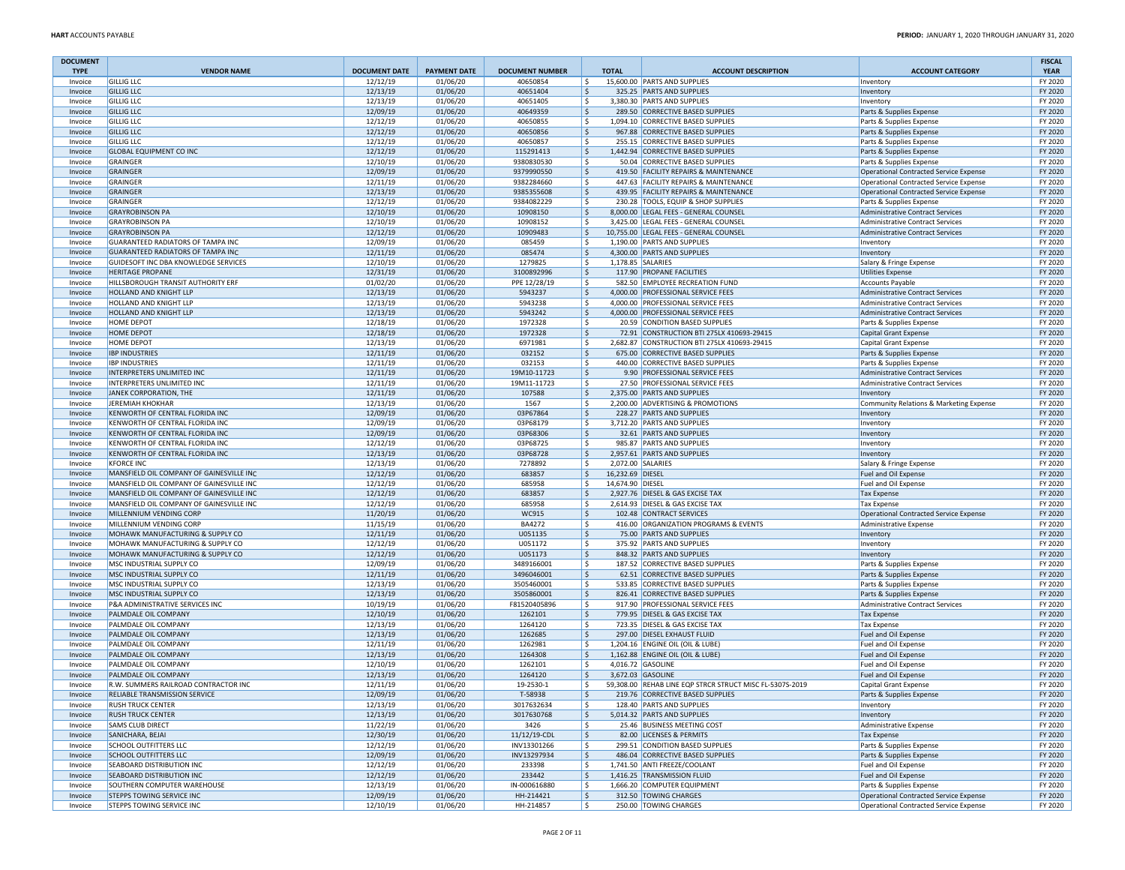| <b>DOCUMENT</b><br><b>TYPE</b> | <b>VENDOR NAME</b>                                           | <b>DOCUMENT DATE</b> | <b>PAYMENT DATE</b>  | <b>DOCUMENT NUMBER</b>      | <b>TOTAL</b> |                  | <b>ACCOUNT DESCRIPTION</b>                                                      | <b>ACCOUNT CATEGORY</b>                              | <b>FISCAL</b><br><b>YEAR</b> |
|--------------------------------|--------------------------------------------------------------|----------------------|----------------------|-----------------------------|--------------|------------------|---------------------------------------------------------------------------------|------------------------------------------------------|------------------------------|
| Invoice                        | <b>GILLIG LLC</b>                                            | 12/12/19             | 01/06/20             | 40650854                    | l \$         |                  | 15,600.00 PARTS AND SUPPLIES                                                    | Inventory                                            | FY 2020                      |
| Invoice                        | <b>GILLIG LLC</b>                                            | 12/13/19             | 01/06/20             | 40651404                    | ١\$          |                  | 325.25 PARTS AND SUPPLIES                                                       | Inventory                                            | FY 2020                      |
| Invoice                        | <b>GILLIG LLC</b>                                            | 12/13/19             | 01/06/20             | 40651405                    | ١s           |                  | 3,380.30 PARTS AND SUPPLIES                                                     | Inventory                                            | FY 2020                      |
| Invoice                        | <b>GILLIG LLC</b><br><b>GILLIG LLC</b>                       | 12/09/19             | 01/06/20             | 40649359                    | ۱\$          |                  | 289.50 CORRECTIVE BASED SUPPLIES<br>1,094.10 CORRECTIVE BASED SUPPLIES          | Parts & Supplies Expense                             | FY 2020<br>FY 2020           |
| Invoice<br>Invoice             | <b>GILLIG LLC</b>                                            | 12/12/19<br>12/12/19 | 01/06/20<br>01/06/20 | 40650855<br>40650856        | ١\$<br>۱\$   |                  | 967.88 CORRECTIVE BASED SUPPLIES                                                | Parts & Supplies Expense<br>Parts & Supplies Expense | FY 2020                      |
| Invoice                        | <b>GILLIG LLC</b>                                            | 12/12/19             | 01/06/20             | 40650857                    | ١\$          |                  | 255.15 CORRECTIVE BASED SUPPLIES                                                | Parts & Supplies Expense                             | FY 2020                      |
| Invoice                        | <b>GLOBAL EQUIPMENT CO INC</b>                               | 12/12/19             | 01/06/20             | 115291413                   | ١\$          |                  | 1,442.94 CORRECTIVE BASED SUPPLIES                                              | Parts & Supplies Expense                             | FY 2020                      |
| Invoice                        | GRAINGER                                                     | 12/10/19             | 01/06/20             | 9380830530                  | ١\$          |                  | 50.04 CORRECTIVE BASED SUPPLIES                                                 | Parts & Supplies Expense                             | FY 2020                      |
| Invoice                        | <b>GRAINGER</b>                                              | 12/09/19             | 01/06/20             | 9379990550                  | ۱\$.         |                  | 419.50 FACILITY REPAIRS & MAINTENANCE                                           | Operational Contracted Service Expense               | FY 2020                      |
| Invoice                        | GRAINGER                                                     | 12/11/19             | 01/06/20             | 9382284660                  | ١\$          |                  | 447.63 FACILITY REPAIRS & MAINTENANCE                                           | Operational Contracted Service Expense               | FY 2020                      |
| Invoice                        | <b>GRAINGER</b>                                              | 12/13/19             | 01/06/20             | 9385355608                  | ١\$          |                  | 439.95 FACILITY REPAIRS & MAINTENANCE                                           | Operational Contracted Service Expense               | FY 2020                      |
| Invoice                        | GRAINGER                                                     | 12/12/19             | 01/06/20             | 9384082229                  | ١\$          |                  | 230.28 TOOLS, EQUIP & SHOP SUPPLIES                                             | Parts & Supplies Expense                             | FY 2020                      |
| Invoice                        | <b>GRAYROBINSON PA</b>                                       | 12/10/19             | 01/06/20             | 10908150                    | ۱\$          |                  | 8,000.00 LEGAL FEES - GENERAL COUNSEL                                           | Administrative Contract Services                     | FY 2020                      |
| Invoice                        | <b>GRAYROBINSON PA</b>                                       | 12/10/19             | 01/06/20             | 10908152                    | ١\$          |                  | 3,425.00 LEGAL FEES - GENERAL COUNSEL<br>10,755.00 LEGAL FEES - GENERAL COUNSEL | Administrative Contract Services                     | FY 2020                      |
| Invoice<br>Invoice             | <b>GRAYROBINSON PA</b><br>GUARANTEED RADIATORS OF TAMPA INC  | 12/12/19<br>12/09/19 | 01/06/20<br>01/06/20 | 10909483<br>085459          | ۱\$<br>١\$   |                  | 1,190.00 PARTS AND SUPPLIES                                                     | <b>Administrative Contract Services</b>              | FY 2020<br>FY 2020           |
| Invoice                        | <b>GUARANTEED RADIATORS OF TAMPA INC</b>                     | 12/11/19             | 01/06/20             | 085474                      | ۱\$          |                  | 4,300.00 PARTS AND SUPPLIES                                                     | Inventory<br>Inventory                               | FY 2020                      |
| Invoice                        | GUIDESOFT INC DBA KNOWLEDGE SERVICES                         | 12/10/19             | 01/06/20             | 1279825                     | ١\$          |                  | 1,178.85 SALARIES                                                               | Salary & Fringe Expense                              | FY 2020                      |
| Invoice                        | <b>HERITAGE PROPANE</b>                                      | 12/31/19             | 01/06/20             | 3100892996                  | ۱\$          |                  | 117.90 PROPANE FACILITIES                                                       | <b>Utilities Expense</b>                             | FY 2020                      |
| Invoice                        | HILLSBOROUGH TRANSIT AUTHORITY ERF                           | 01/02/20             | 01/06/20             | PPE 12/28/19                | ١\$          |                  | 582.50 EMPLOYEE RECREATION FUND                                                 | <b>Accounts Payable</b>                              | FY 2020                      |
| Invoice                        | HOLLAND AND KNIGHT LLP                                       | 12/13/19             | 01/06/20             | 5943237                     | ۱\$          |                  | 4,000.00 PROFESSIONAL SERVICE FEES                                              | <b>Administrative Contract Services</b>              | FY 2020                      |
| Invoice                        | HOLLAND AND KNIGHT LLP                                       | 12/13/19             | 01/06/20             | 5943238                     | ١\$          |                  | 4,000.00 PROFESSIONAL SERVICE FEES                                              | <b>Administrative Contract Services</b>              | FY 2020                      |
| Invoice                        | HOLLAND AND KNIGHT LLP                                       | 12/13/19             | 01/06/20             | 5943242                     | ۱\$.         |                  | 4,000.00 PROFESSIONAL SERVICE FEES                                              | <b>Administrative Contract Services</b>              | FY 2020                      |
| Invoice                        | HOME DEPOT                                                   | 12/18/19             | 01/06/20             | 1972328                     | ١\$          |                  | 20.59 CONDITION BASED SUPPLIES                                                  | Parts & Supplies Expense                             | FY 2020                      |
| Invoice                        | <b>HOME DEPOT</b>                                            | 12/18/19             | 01/06/20             | 1972328                     | ۱\$          |                  | 72.91 CONSTRUCTION BTI 275LX 410693-29415                                       | Capital Grant Expense                                | FY 2020                      |
| Invoice                        | <b>HOME DEPOT</b>                                            | 12/13/19             | 01/06/20             | 6971981                     | ١\$          |                  | 2,682.87 CONSTRUCTION BTI 275LX 410693-29415                                    | Capital Grant Expense                                | FY 2020                      |
| Invoice                        | <b>IBP INDUSTRIES</b>                                        | 12/11/19             | 01/06/20             | 032152                      | ۱\$          |                  | 675.00 CORRECTIVE BASED SUPPLIES                                                | Parts & Supplies Expense                             | FY 2020                      |
| Invoice                        | <b>IBP INDUSTRIES</b>                                        | 12/11/19             | 01/06/20             | 032153                      | ١\$          |                  | 440.00 CORRECTIVE BASED SUPPLIES                                                | Parts & Supplies Expense                             | FY 2020                      |
| Invoice                        | INTERPRETERS UNLIMITED INC                                   | 12/11/19             | 01/06/20             | 19M10-11723                 | ۱\$          |                  | 9.90 PROFESSIONAL SERVICE FEES                                                  | Administrative Contract Services                     | FY 2020                      |
| Invoice                        | INTERPRETERS UNLIMITED INC                                   | 12/11/19             | 01/06/20             | 19M11-11723                 | ١\$          |                  | 27.50 PROFESSIONAL SERVICE FEES                                                 | Administrative Contract Services                     | FY 2020                      |
| Invoice                        | JANEK CORPORATION, THE                                       | 12/11/19<br>12/13/19 | 01/06/20<br>01/06/20 | 107588<br>1567              | ۱\$<br>١\$   |                  | 2,375.00 PARTS AND SUPPLIES<br>2,200.00 ADVERTISING & PROMOTIONS                | Inventory                                            | FY 2020<br>FY 2020           |
| Invoice<br>Invoice             | <b>JEREMIAH KHOKHAR</b><br>KENWORTH OF CENTRAL FLORIDA INC   | 12/09/19             | 01/06/20             | 03P67864                    | ١\$          |                  | 228.27 PARTS AND SUPPLIES                                                       | Community Relations & Marketing Expense              | FY 2020                      |
| Invoice                        | KENWORTH OF CENTRAL FLORIDA INC                              | 12/09/19             | 01/06/20             | 03P68179                    | l \$         |                  | 3,712.20 PARTS AND SUPPLIES                                                     | Inventory<br>Inventory                               | FY 2020                      |
| Invoice                        | KENWORTH OF CENTRAL FLORIDA INC                              | 12/09/19             | 01/06/20             | 03P68306                    | ١\$          |                  | 32.61 PARTS AND SUPPLIES                                                        | Inventory                                            | FY 2020                      |
| Invoice                        | KENWORTH OF CENTRAL FLORIDA INC                              | 12/12/19             | 01/06/20             | 03P68725                    | ١\$          |                  | 985.87 PARTS AND SUPPLIES                                                       | Inventory                                            | FY 2020                      |
| Invoice                        | KENWORTH OF CENTRAL FLORIDA INC                              | 12/13/19             | 01/06/20             | 03P68728                    | ۱\$.         |                  | 2,957.61 PARTS AND SUPPLIES                                                     | Inventory                                            | FY 2020                      |
| Invoice                        | <b>KFORCE INC</b>                                            | 12/13/19             | 01/06/20             | 7278892                     | ١\$          |                  | 2,072.00 SALARIES                                                               | Salary & Fringe Expense                              | FY 2020                      |
| Invoice                        | MANSFIELD OIL COMPANY OF GAINESVILLE INC                     | 12/12/19             | 01/06/20             | 683857                      | ۱\$.         | 16,232.69 DIESEL |                                                                                 | Fuel and Oil Expense                                 | FY 2020                      |
| Invoice                        | MANSFIELD OIL COMPANY OF GAINESVILLE INC                     | 12/12/19             | 01/06/20             | 685958                      | ١\$          | 14,674.90 DIESEL |                                                                                 | Fuel and Oil Expense                                 | FY 2020                      |
| Invoice                        | MANSFIELD OIL COMPANY OF GAINESVILLE INC                     | 12/12/19             | 01/06/20             | 683857                      | ۱\$          |                  | 2,927.76 DIESEL & GAS EXCISE TAX                                                | <b>Tax Expense</b>                                   | FY 2020                      |
| Invoice                        | MANSFIELD OIL COMPANY OF GAINESVILLE INC                     | 12/12/19             | 01/06/20             | 685958                      | ١\$          |                  | 2,614.93 DIESEL & GAS EXCISE TAX                                                | <b>Tax Expense</b>                                   | FY 2020                      |
| Invoice                        | MILLENNIUM VENDING CORP                                      | 11/20/19             | 01/06/20             | WC915                       | ۱\$          |                  | 102.48 CONTRACT SERVICES                                                        | Operational Contracted Service Expense               | FY 2020                      |
| Invoice                        | MILLENNIUM VENDING CORP                                      | 11/15/19             | 01/06/20             | BA4272                      | ١\$          |                  | 416.00 ORGANIZATION PROGRAMS & EVENTS                                           | Administrative Expense                               | FY 2020                      |
| Invoice                        | MOHAWK MANUFACTURING & SUPPLY CO                             | 12/11/19             | 01/06/20             | U051135                     | ۱\$          |                  | 75.00 PARTS AND SUPPLIES                                                        | Inventory                                            | FY 2020                      |
| Invoice                        | MOHAWK MANUFACTURING & SUPPLY CO                             | 12/12/19             | 01/06/20             | U051172                     | ١\$          |                  | 375.92 PARTS AND SUPPLIES                                                       | Inventory                                            | FY 2020                      |
| Invoice                        | MOHAWK MANUFACTURING & SUPPLY CO<br>MSC INDUSTRIAL SUPPLY CO | 12/12/19<br>12/09/19 | 01/06/20<br>01/06/20 | U051173<br>3489166001       | ١\$<br>١\$   |                  | 848.32 PARTS AND SUPPLIES<br>187.52 CORRECTIVE BASED SUPPLIES                   | Inventory                                            | FY 2020<br>FY 2020           |
| Invoice<br>Invoice             | MSC INDUSTRIAL SUPPLY CO                                     | 12/11/19             | 01/06/20             | 3496046001                  | ۱\$          |                  | 62.51 CORRECTIVE BASED SUPPLIES                                                 | Parts & Supplies Expense<br>Parts & Supplies Expense | FY 2020                      |
| Invoice                        | MSC INDUSTRIAL SUPPLY CO                                     | 12/13/19             | 01/06/20             | 3505460001                  | ١\$          |                  | 533.85 CORRECTIVE BASED SUPPLIES                                                | Parts & Supplies Expense                             | FY 2020                      |
| Invoice                        | MSC INDUSTRIAL SUPPLY CO                                     | 12/13/19             | 01/06/20             | 3505860001                  | ۱\$          |                  | 826.41 CORRECTIVE BASED SUPPLIES                                                | Parts & Supplies Expense                             | FY 2020                      |
| Invoice                        | P&A ADMINISTRATIVE SERVICES INC                              | 10/19/19             | 01/06/20             | F81520405896                | ١\$          |                  | 917.90 PROFESSIONAL SERVICE FEES                                                | Administrative Contract Services                     | FY 2020                      |
| Invoice                        | PALMDALE OIL COMPANY                                         | 12/10/19             | 01/06/20             | 1262101                     | ١\$          |                  | 779.95 DIESEL & GAS EXCISE TAX                                                  | <b>Tax Expense</b>                                   | FY 2020                      |
| Invoice                        | PALMDALE OIL COMPANY                                         | 12/13/19             | 01/06/20             | 1264120                     | ١\$          |                  | 723.35 DIESEL & GAS EXCISE TAX                                                  | Tax Expense                                          | FY 2020                      |
| Invoice                        | PALMDALE OIL COMPANY                                         | 12/13/19             | 01/06/20             | 1262685                     | ۱\$          |                  | 297.00 DIESEL EXHAUST FLUID                                                     | Fuel and Oil Expense                                 | FY 2020                      |
| Invoice                        | PALMDALE OIL COMPANY                                         | 12/11/19             | 01/06/20             | 1262981                     | l \$         |                  | 1,204.16 ENGINE OIL (OIL & LUBE)                                                | Fuel and Oil Expense                                 | FY 2020                      |
| Invoice                        | PALMDALE OIL COMPANY                                         | 12/13/19             | 01/06/20             | 1264308                     | ١\$          |                  | 1,162.88 ENGINE OIL (OIL & LUBE)                                                | Fuel and Oil Expense                                 | FY 2020                      |
| Invoice                        | PALMDALE OIL COMPANY                                         | 12/10/19             | 01/06/20             | 1262101                     | ١\$          |                  | 4,016.72 GASOLINE                                                               | Fuel and Oil Expense                                 | FY 2020                      |
| Invoice                        | PALMDALE OIL COMPANY                                         | 12/13/19             | 01/06/20             | 1264120                     | l \$         |                  | 3,672.03 GASOLINE                                                               | Fuel and Oil Expense                                 | FY 2020                      |
| Invoice                        | R.W. SUMMERS RAILROAD CONTRACTOR INC                         | 12/11/19             | 01/06/20             | 19-2530-1                   | ۱ś           |                  | 59,308.00 REHAB LINE EQP STRCR STRUCT MISC FL-5307S-2019                        | Capital Grant Expense                                | FY 2020                      |
| Invoice                        | RELIABLE TRANSMISSION SERVICE                                | 12/09/19             | 01/06/20             | 1-58938                     |              |                  | 219.76 CORRECTIVE BASED SUPPLIES                                                | Parts & Supplies Expense                             | <b>FY 2020</b>               |
| Invoice                        | <b>RUSH TRUCK CENTER</b>                                     | 12/13/19             | 01/06/20             | 3017632634                  | ۱\$.         |                  | 128.40 PARTS AND SUPPLIES                                                       | Inventory                                            | FY 2020                      |
| Invoice                        | <b>RUSH TRUCK CENTER</b>                                     | 12/13/19             | 01/06/20             | 3017630768                  | ۱\$          |                  | 5,014.32 PARTS AND SUPPLIES                                                     | Inventory                                            | FY 2020                      |
| Invoice                        | <b>SAMS CLUB DIRECT</b><br>SANICHARA, BEJAI                  | 11/22/19             | 01/06/20             | 3426                        | ١\$          |                  | 25.46 BUSINESS MEETING COST                                                     | Administrative Expense                               | FY 2020<br>FY 2020           |
| Invoice<br>Invoice             | SCHOOL OUTFITTERS LLC                                        | 12/30/19<br>12/12/19 | 01/06/20<br>01/06/20 | 11/12/19-CDL<br>INV13301266 | ۱\$.<br>l \$ |                  | 82.00 LICENSES & PERMITS<br>299.51 CONDITION BASED SUPPLIES                     | Tax Expense<br>Parts & Supplies Expense              | FY 2020                      |
| Invoice                        | <b>SCHOOL OUTFITTERS LLC</b>                                 | 12/09/19             | 01/06/20             | INV13297934                 | ۱\$.         |                  | 486.04 CORRECTIVE BASED SUPPLIES                                                | Parts & Supplies Expense                             | FY 2020                      |
| Invoice                        | SEABOARD DISTRIBUTION INC                                    | 12/12/19             | 01/06/20             | 233398                      | ١\$          |                  | 1,741.50 ANTI FREEZE/COOLANT                                                    | Fuel and Oil Expense                                 | FY 2020                      |
| Invoice                        | SEABOARD DISTRIBUTION INC                                    | 12/12/19             | 01/06/20             | 233442                      | ۱\$          |                  | 1,416.25 TRANSMISSION FLUID                                                     | Fuel and Oil Expense                                 | FY 2020                      |
| Invoice                        | SOUTHERN COMPUTER WAREHOUSE                                  | 12/13/19             | 01/06/20             | IN-000616880                | l \$         |                  | 1,666.20 COMPUTER EQUIPMENT                                                     | Parts & Supplies Expense                             | FY 2020                      |
| Invoice                        | <b>STEPPS TOWING SERVICE INC</b>                             | 12/09/19             | 01/06/20             | HH-214421                   | ١\$          |                  | 312.50 TOWING CHARGES                                                           | Operational Contracted Service Expense               | FY 2020                      |
| Invoice                        | STEPPS TOWING SERVICE INC                                    | 12/10/19             | 01/06/20             | HH-214857                   | l\$          |                  | 250.00 TOWING CHARGES                                                           | Operational Contracted Service Expense               | FY 2020                      |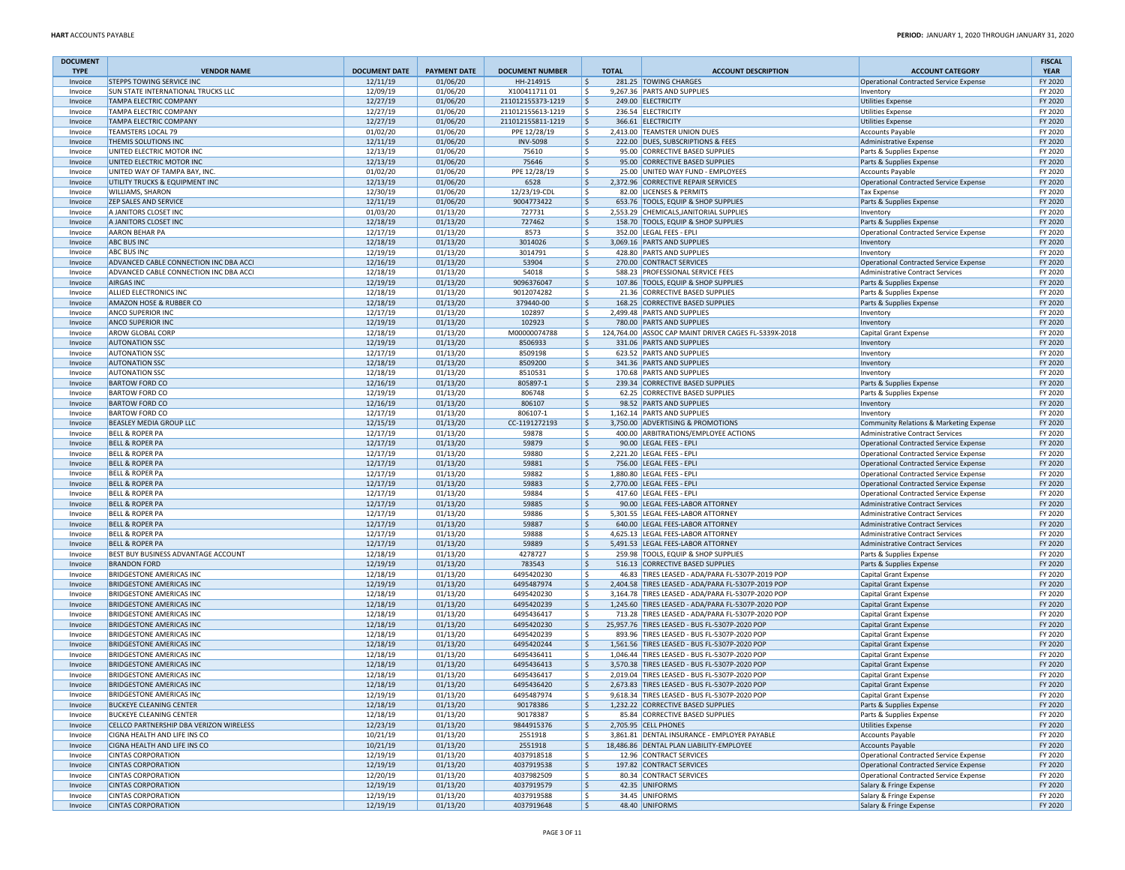| <b>DOCUMENT</b><br><b>TYPE</b> | <b>VENDOR NAME</b>                                                        | <b>DOCUMENT DATE</b> | <b>PAYMENT DATE</b>  | <b>DOCUMENT NUMBER</b> | <b>TOTAL</b> | <b>ACCOUNT DESCRIPTION</b>                                  | <b>ACCOUNT CATEGORY</b>                                                     | <b>FISCAL</b><br><b>YEAR</b> |
|--------------------------------|---------------------------------------------------------------------------|----------------------|----------------------|------------------------|--------------|-------------------------------------------------------------|-----------------------------------------------------------------------------|------------------------------|
| Invoice                        | <b>STEPPS TOWING SERVICE INC</b>                                          | 12/11/19             | 01/06/20             | HH-214915              | Ŝ.           | 281.25 TOWING CHARGES                                       | Operational Contracted Service Expense                                      | FY 2020                      |
| Invoice                        | SUN STATE INTERNATIONAL TRUCKS LLC                                        | 12/09/19             | 01/06/20             | X10041171101           | Ŝ.           | 9,267.36 PARTS AND SUPPLIES                                 | Inventory                                                                   | FY 2020                      |
| Invoice                        | TAMPA ELECTRIC COMPANY                                                    | 12/27/19             | 01/06/20             | 211012155373-1219      | S,           | 249.00 ELECTRICITY                                          | <b>Utilities Expense</b>                                                    | FY 2020                      |
| Invoice                        | <b>TAMPA ELECTRIC COMPANY</b>                                             | 12/27/19             | 01/06/20             | 211012155613-1219      | l\$.         | 236.54 ELECTRICITY                                          | <b>Utilities Expense</b>                                                    | FY 2020                      |
| Invoice                        | TAMPA ELECTRIC COMPANY                                                    | 12/27/19             | 01/06/20             | 211012155811-1219      | S,           | 366.61 ELECTRICITY                                          | Utilities Expense                                                           | FY 2020                      |
| Invoice                        | <b>TEAMSTERS LOCAL 79</b>                                                 | 01/02/20             | 01/06/20             | PPE 12/28/19           | l\$          | 2,413.00 TEAMSTER UNION DUES                                | Accounts Payable                                                            | FY 2020                      |
| Invoice                        | THEMIS SOLUTIONS INC                                                      | 12/11/19             | 01/06/20             | <b>INV-5098</b>        | l\$          | 222.00 DUES, SUBSCRIPTIONS & FEES                           | Administrative Expense                                                      | FY 2020                      |
| Invoice                        | UNITED ELECTRIC MOTOR INC                                                 | 12/13/19             | 01/06/20             | 75610                  | Ŝ.           | 95.00 CORRECTIVE BASED SUPPLIES                             | Parts & Supplies Expense                                                    | FY 2020                      |
| Invoice                        | UNITED ELECTRIC MOTOR INC                                                 | 12/13/19             | 01/06/20             | 75646                  | I\$          | 95.00 CORRECTIVE BASED SUPPLIES                             | Parts & Supplies Expense                                                    | FY 2020                      |
| Invoice                        | UNITED WAY OF TAMPA BAY, INC.                                             | 01/02/20             | 01/06/20             | PPE 12/28/19           | l\$          | 25.00 UNITED WAY FUND - EMPLOYEES                           | <b>Accounts Payable</b>                                                     | FY 2020                      |
| Invoice                        | UTILITY TRUCKS & EQUIPMENT INC                                            | 12/13/19             | 01/06/20             | 6528                   | l\$          | 2,372.96 CORRECTIVE REPAIR SERVICES                         | Operational Contracted Service Expense                                      | FY 2020                      |
| Invoice                        | <b>WILLIAMS, SHARON</b>                                                   | 12/30/19             | 01/06/20             | 12/23/19-CDL           | ۱\$.         | 82.00 LICENSES & PERMITS                                    | <b>Tax Expense</b>                                                          | FY 2020                      |
| Invoice                        | ZEP SALES AND SERVICE                                                     | 12/11/19             | 01/06/20             | 9004773422             | \$           | 653.76 TOOLS, EQUIP & SHOP SUPPLIES                         | Parts & Supplies Expense                                                    | FY 2020                      |
| Invoice                        | A JANITORS CLOSET INC                                                     | 01/03/20             | 01/13/20             | 727731                 | l s          | 2,553.29 CHEMICALS, JANITORIAL SUPPLIES                     | Inventory                                                                   | FY 2020                      |
| Invoice                        | A JANITORS CLOSET INC                                                     | 12/18/19             | 01/13/20             | 727462                 | S.           | 158.70 TOOLS, EQUIP & SHOP SUPPLIES                         | Parts & Supplies Expense                                                    | FY 2020                      |
| Invoice                        | <b>AARON BEHAR PA</b><br><b>ABC BUS INC</b>                               | 12/17/19<br>12/18/19 | 01/13/20<br>01/13/20 | 8573<br>3014026        | \$           | 352.00 LEGAL FEES - EPLI<br>3,069.16 PARTS AND SUPPLIES     | Operational Contracted Service Expense                                      | FY 2020<br>FY 2020           |
| Invoice<br>Invoice             | <b>ABC BUS INC</b>                                                        | 12/19/19             | 01/13/20             | 3014791                | \$<br>l\$    | 428.80 PARTS AND SUPPLIES                                   | Inventory                                                                   | FY 2020                      |
| Invoice                        | ADVANCED CABLE CONNECTION INC DBA ACCI                                    | 12/16/19             | 01/13/20             | 53904                  | S.           | 270.00 CONTRACT SERVICES                                    | Inventory<br>Operational Contracted Service Expense                         | FY 2020                      |
| Invoice                        | ADVANCED CABLE CONNECTION INC DBA ACCI                                    | 12/18/19             | 01/13/20             | 54018                  | \$           | 588.23 PROFESSIONAL SERVICE FEES                            | Administrative Contract Services                                            | FY 2020                      |
| Invoice                        | <b>AIRGAS INC</b>                                                         | 12/19/19             | 01/13/20             | 9096376047             | ۱\$          | 107.86 TOOLS, EQUIP & SHOP SUPPLIES                         | Parts & Supplies Expense                                                    | FY 2020                      |
| Invoice                        | ALLIED ELECTRONICS INC                                                    | 12/18/19             | 01/13/20             | 9012074282             | ١s           | 21.36 CORRECTIVE BASED SUPPLIES                             | Parts & Supplies Expense                                                    | FY 2020                      |
| Invoice                        | AMAZON HOSE & RUBBER CO                                                   | 12/18/19             | 01/13/20             | 379440-00              | S,           | 168.25 CORRECTIVE BASED SUPPLIES                            | Parts & Supplies Expense                                                    | FY 2020                      |
| Invoice                        | ANCO SUPERIOR INC                                                         | 12/17/19             | 01/13/20             | 102897                 | l\$          | 2,499.48 PARTS AND SUPPLIES                                 | Inventory                                                                   | FY 2020                      |
| Invoice                        | <b>ANCO SUPERIOR INC</b>                                                  | 12/19/19             | 01/13/20             | 102923                 | l\$          | 780.00 PARTS AND SUPPLIES                                   | Inventory                                                                   | FY 2020                      |
| Invoice                        | <b>AROW GLOBAL CORP</b>                                                   | 12/18/19             | 01/13/20             | M00000074788           | I\$.         | 124,764.00 ASSOC CAP MAINT DRIVER CAGES FL-5339X-2018       | Capital Grant Expense                                                       | FY 2020                      |
| Invoice                        | <b>AUTONATION SSC</b>                                                     | 12/19/19             | 01/13/20             | 8506933                | l\$          | 331.06 PARTS AND SUPPLIES                                   | Inventory                                                                   | FY 2020                      |
| Invoice                        | <b>AUTONATION SSC</b>                                                     | 12/17/19             | 01/13/20             | 8509198                | l\$          | 623.52 PARTS AND SUPPLIES                                   | Inventory                                                                   | FY 2020                      |
| Invoice                        | <b>AUTONATION SSC</b>                                                     | 12/18/19             | 01/13/20             | 8509200                | l\$.         | 341.36 PARTS AND SUPPLIES                                   | Inventory                                                                   | FY 2020                      |
| Invoice                        | <b>AUTONATION SSC</b>                                                     | 12/18/19             | 01/13/20             | 8510531                | l\$          | 170.68 PARTS AND SUPPLIES                                   | Inventory                                                                   | FY 2020                      |
| Invoice                        | <b>BARTOW FORD CO</b>                                                     | 12/16/19             | 01/13/20             | 805897-1               | S,           | 239.34 CORRECTIVE BASED SUPPLIES                            | Parts & Supplies Expense                                                    | FY 2020                      |
| Invoice                        | <b>BARTOW FORD CO</b>                                                     | 12/19/19             | 01/13/20             | 806748                 | l \$         | 62.25 CORRECTIVE BASED SUPPLIES                             | Parts & Supplies Expense                                                    | FY 2020                      |
| Invoice                        | <b>BARTOW FORD CO</b>                                                     | 12/16/19             | 01/13/20             | 806107                 | S,           | 98.52 PARTS AND SUPPLIES                                    | Inventory                                                                   | FY 2020                      |
| Invoice                        | <b>BARTOW FORD CO</b>                                                     | 12/17/19             | 01/13/20             | 806107-1               | \$.          | 1,162.14 PARTS AND SUPPLIES                                 | Inventory                                                                   | FY 2020                      |
| Invoice                        | BEASLEY MEDIA GROUP LLC                                                   | 12/15/19             | 01/13/20             | CC-1191272193          | l\$          | 3,750.00 ADVERTISING & PROMOTIONS                           | Community Relations & Marketing Expense                                     | FY 2020                      |
| Invoice                        | <b>BELL &amp; ROPER PA</b>                                                | 12/17/19             | 01/13/20             | 59878                  | ١ś           | 400.00 ARBITRATIONS/EMPLOYEE ACTIONS                        | Administrative Contract Services                                            | FY 2020                      |
| Invoice                        | <b>BELL &amp; ROPER PA</b>                                                | 12/17/19             | 01/13/20             | 59879                  | S,           | 90.00 LEGAL FEES - EPLI                                     | Operational Contracted Service Expense                                      | FY 2020                      |
| Invoice                        | <b>BELL &amp; ROPER PA</b>                                                | 12/17/19             | 01/13/20             | 59880                  | l\$          | 2,221.20 LEGAL FEES - EPLI                                  | Operational Contracted Service Expense                                      | FY 2020                      |
| Invoice                        | <b>BELL &amp; ROPER PA</b>                                                | 12/17/19             | 01/13/20             | 59881                  | l\$          | 756.00 LEGAL FEES - EPLI                                    | Operational Contracted Service Expense                                      | FY 2020                      |
| Invoice                        | <b>BELL &amp; ROPER PA</b>                                                | 12/17/19             | 01/13/20             | 59882                  | ۱\$.         | 1,880.80 LEGAL FEES - EPLI                                  | Operational Contracted Service Expense                                      | FY 2020                      |
| Invoice                        | <b>BELL &amp; ROPER PA</b>                                                | 12/17/19             | 01/13/20             | 59883                  | S,           | 2,770.00 LEGAL FEES - EPLI                                  | Operational Contracted Service Expense                                      | FY 2020                      |
| Invoice<br>Invoice             | <b>BELL &amp; ROPER PA</b><br><b>BELL &amp; ROPER PA</b>                  | 12/17/19<br>12/17/19 | 01/13/20<br>01/13/20 | 59884<br>59885         | l\$          | 417.60 LEGAL FEES - EPLI<br>90.00 LEGAL FEES-LABOR ATTORNEY | Operational Contracted Service Expense                                      | FY 2020<br>FY 2020           |
| Invoice                        | <b>BELL &amp; ROPER PA</b>                                                | 12/17/19             | 01/13/20             | 59886                  | I\$<br>١ś    | 5,301.55 LEGAL FEES-LABOR ATTORNEY                          | Administrative Contract Services<br><b>Administrative Contract Services</b> | FY 2020                      |
| Invoice                        | <b>BELL &amp; ROPER PA</b>                                                | 12/17/19             | 01/13/20             | 59887                  | S,           | 640.00 LEGAL FEES-LABOR ATTORNEY                            | <b>Administrative Contract Services</b>                                     | FY 2020                      |
| Invoice                        | <b>BELL &amp; ROPER PA</b>                                                | 12/17/19             | 01/13/20             | 59888                  | l\$.         | 4,625.13 LEGAL FEES-LABOR ATTORNEY                          | Administrative Contract Services                                            | FY 2020                      |
| Invoice                        | <b>BELL &amp; ROPER PA</b>                                                | 12/17/19             | 01/13/20             | 59889                  | S,           | 5,491.53 LEGAL FEES-LABOR ATTORNEY                          | Administrative Contract Services                                            | FY 2020                      |
| Invoice                        | BEST BUY BUSINESS ADVANTAGE ACCOUNT                                       | 12/18/19             | 01/13/20             | 4278727                | -\$          | 259.98 TOOLS, EQUIP & SHOP SUPPLIES                         | Parts & Supplies Expense                                                    | FY 2020                      |
| Invoice                        | <b>BRANDON FORD</b>                                                       | 12/19/19             | 01/13/20             | 783543                 | S,           | 516.13 CORRECTIVE BASED SUPPLIES                            | Parts & Supplies Expense                                                    | FY 2020                      |
| Invoice                        | <b>BRIDGESTONE AMERICAS INC</b>                                           | 12/18/19             | 01/13/20             | 6495420230             | l \$         | 46.83 TIRES LEASED - ADA/PARA FL-5307P-2019 POP             | Capital Grant Expense                                                       | FY 2020                      |
| Invoice                        | <b>BRIDGESTONE AMERICAS INC</b>                                           | 12/19/19             | 01/13/20             | 6495487974             | I\$          | 2,404.58 TIRES LEASED - ADA/PARA FL-5307P-2019 POP          | Capital Grant Expense                                                       | FY 2020                      |
| Invoice                        | <b>BRIDGESTONE AMERICAS INC</b>                                           | 12/18/19             | 01/13/20             | 6495420230             | \$.          | 3,164.78 TIRES LEASED - ADA/PARA FL-5307P-2020 POP          | Capital Grant Expense                                                       | FY 2020                      |
| Invoice                        | <b>BRIDGESTONE AMERICAS INC</b>                                           | 12/18/19             | 01/13/20             | 6495420239             | S,           | 1,245.60 TIRES LEASED - ADA/PARA FL-5307P-2020 POP          | Capital Grant Expense                                                       | FY 2020                      |
| Invoice                        | <b>BRIDGESTONE AMERICAS INC</b>                                           | 12/18/19             | 01/13/20             | 6495436417             | S            | 713.28 TIRES LEASED - ADA/PARA FL-5307P-2020 POP            | Capital Grant Expense                                                       | FY 2020                      |
| Invoice                        | <b>BRIDGESTONE AMERICAS INC</b>                                           | 12/18/19             | 01/13/20             | 6495420230             | I\$          | 25,957.76 TIRES LEASED - BUS FL-5307P-2020 POP              | Capital Grant Expense                                                       | FY 2020                      |
| Invoice                        | <b>BRIDGESTONE AMERICAS INC</b>                                           | 12/18/19             | 01/13/20             | 6495420239             | -\$          | 893.96 TIRES LEASED - BUS FL-5307P-2020 POP                 | Capital Grant Expense                                                       | FY 2020                      |
| Invoice                        | <b>BRIDGESTONE AMERICAS INC</b>                                           | 12/18/19             | 01/13/20             | 6495420244             | l\$          | 1,561.56 TIRES LEASED - BUS FL-5307P-2020 POP               | Capital Grant Expense                                                       | FY 2020                      |
| Invoice                        | <b>BRIDGESTONE AMERICAS INC</b>                                           | 12/18/19             | 01/13/20             | 6495436411             | .s           | 1,046.44 TIRES LEASED - BUS FL-5307P-2020 POP               | Capital Grant Expense                                                       | FY 2020                      |
| Invoice                        | <b>BRIDGESTONE AMERICAS INC</b>                                           | 12/18/19             | 01/13/20             | 6495436413             | \$           | 3,570.38 TIRES LEASED - BUS FL-5307P-2020 POP               | Capital Grant Expense                                                       | FY 2020                      |
| Invoice                        | <b>BRIDGESTONE AMERICAS INC</b>                                           | 12/18/19             | 01/13/20             | 6495436417             | ١ś           | 2.019.04 TIRES LEASED - BUS FL-5307P-2020 POP               | Capital Grant Expense                                                       | FY 2020                      |
| Invoice                        | <b>BRIDGESTONE AMERICAS INC</b>                                           | 12/18/19             | 01/13/20             | 6495436420             | $\mathsf{S}$ | 2.673.83 TIRES LEASED - BUS FL-5307P-2020 POP               | Capital Grant Expense                                                       | FY 2020                      |
| Invoice                        | <b>BRIDGESTONE AMERICAS INC</b>                                           | 12/19/19             | 01/13/20             | 6495487974             |              | 9,618.34 TIRES LEASED - BUS FL-5307P-2020 POP               | Capital Grant Expense                                                       | FY 2020                      |
| Invoice                        | <b>BUCKEYE CLEANING CENTER</b>                                            | 12/18/19             | 01/13/20             | 90178386               | \$           | 1,232.22 CORRECTIVE BASED SUPPLIES                          | Parts & Supplies Expense                                                    | FY 2020                      |
| Invoice                        | <b>BUCKEYE CLEANING CENTER</b><br>CELLCO PARTNERSHIP DBA VERIZON WIRELESS | 12/18/19             | 01/13/20             | 90178387               | l \$         | 85.84 CORRECTIVE BASED SUPPLIES<br>2,705.95 CELL PHONES     | Parts & Supplies Expense                                                    | FY 2020                      |
| Invoice                        | CIGNA HEALTH AND LIFE INS CO                                              | 12/23/19<br>10/21/19 | 01/13/20<br>01/13/20 | 9844915376<br>2551918  | \$<br>\$.    | 3,861.81 DENTAL INSURANCE - EMPLOYER PAYABLE                | Utilities Expense<br><b>Accounts Payable</b>                                | FY 2020<br>FY 2020           |
| Invoice<br>Invoice             | CIGNA HEALTH AND LIFE INS CO                                              | 10/21/19             | 01/13/20             | 2551918                | \$           | 18,486.86 DENTAL PLAN LIABILITY-EMPLOYEE                    | Accounts Payable                                                            | FY 2020                      |
| Invoice                        | <b>CINTAS CORPORATION</b>                                                 | 12/19/19             | 01/13/20             | 4037918518             | l\$          | 12.96 CONTRACT SERVICES                                     | Operational Contracted Service Expense                                      | FY 2020                      |
| Invoice                        | <b>CINTAS CORPORATION</b>                                                 | 12/19/19             | 01/13/20             | 4037919538             | \$           | 197.82 CONTRACT SERVICES                                    | Operational Contracted Service Expense                                      | FY 2020                      |
| Invoice                        | <b>CINTAS CORPORATION</b>                                                 | 12/20/19             | 01/13/20             | 4037982509             | \$.          | 80.34 CONTRACT SERVICES                                     | Operational Contracted Service Expense                                      | FY 2020                      |
| Invoice                        | <b>CINTAS CORPORATION</b>                                                 | 12/19/19             | 01/13/20             | 4037919579             | l\$          | 42.35 UNIFORMS                                              | Salary & Fringe Expense                                                     | FY 2020                      |
| Invoice                        | <b>CINTAS CORPORATION</b>                                                 | 12/19/19             | 01/13/20             | 4037919588             | \$.          | 34.45 UNIFORMS                                              | Salary & Fringe Expense                                                     | FY 2020                      |
| Invoice                        | <b>CINTAS CORPORATION</b>                                                 | 12/19/19             | 01/13/20             | 4037919648             | ١\$          | 48.40 UNIFORMS                                              | Salary & Fringe Expense                                                     | FY 2020                      |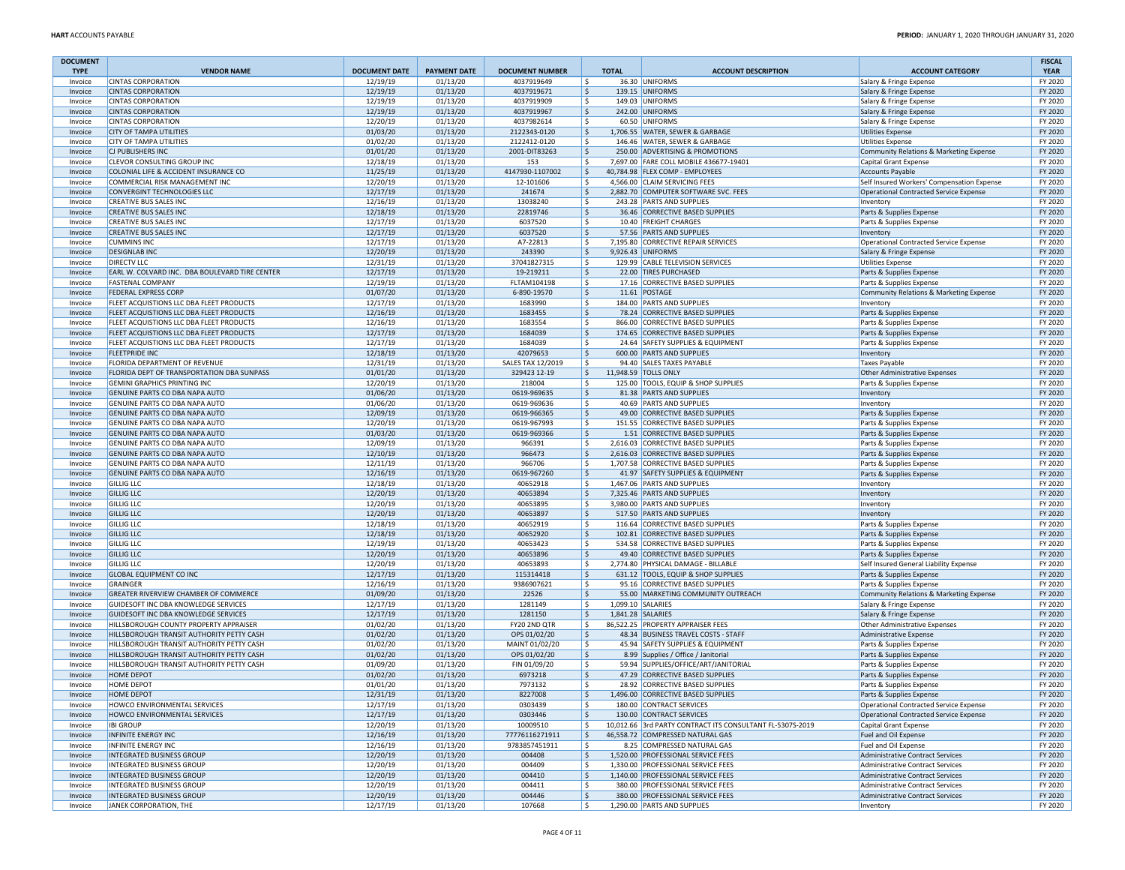| <b>DOCUMENT</b><br><b>TYPE</b> | <b>VENDOR NAME</b>                                                                  | <b>DOCUMENT DATE</b> | <b>PAYMENT DATE</b>  | <b>DOCUMENT NUMBER</b>       | <b>TOTAL</b> | <b>ACCOUNT DESCRIPTION</b>                                               | <b>ACCOUNT CATEGORY</b>                                 | <b>FISCAL</b><br><b>YEAR</b> |
|--------------------------------|-------------------------------------------------------------------------------------|----------------------|----------------------|------------------------------|--------------|--------------------------------------------------------------------------|---------------------------------------------------------|------------------------------|
| Invoice                        | <b>CINTAS CORPORATION</b>                                                           | 12/19/19             | 01/13/20             | 4037919649                   | ۱\$          | 36.30 UNIFORMS                                                           | Salary & Fringe Expense                                 | FY 2020                      |
| Invoice                        | <b>CINTAS CORPORATION</b>                                                           | 12/19/19             | 01/13/20             | 4037919671                   | ١\$          | 139.15 UNIFORMS                                                          | Salary & Fringe Expense                                 | FY 2020                      |
| Invoice                        | <b>CINTAS CORPORATION</b>                                                           | 12/19/19             | 01/13/20             | 4037919909                   | ١\$          | 149.03 UNIFORMS                                                          | Salary & Fringe Expense                                 | FY 2020                      |
| Invoice                        | <b>CINTAS CORPORATION</b>                                                           | 12/19/19             | 01/13/20             | 4037919967                   | l\$          | 242.00 UNIFORMS                                                          | Salary & Fringe Expense                                 | FY 2020                      |
| Invoice                        | <b>CINTAS CORPORATION</b>                                                           | 12/20/19             | 01/13/20             | 4037982614                   | ١\$          | 60.50 UNIFORMS                                                           | Salary & Fringe Expense                                 | FY 2020                      |
| Invoice                        | <b>CITY OF TAMPA UTILITIES</b>                                                      | 01/03/20             | 01/13/20             | 2122343-0120                 | ۱\$          | 1.706.55 WATER, SEWER & GARBAGE                                          | <b>Utilities Expense</b>                                | FY 2020                      |
| Invoice                        | <b>CITY OF TAMPA UTILITIES</b>                                                      | 01/02/20             | 01/13/20             | 2122412-0120                 | l \$         | 146.46 WATER, SEWER & GARBAGE                                            | <b>Utilities Expense</b>                                | FY 2020                      |
| Invoice                        | CJ PUBLISHERS INC                                                                   | 01/01/20             | 01/13/20             | 2001-DIT83263                | ۱\$          | 250.00 ADVERTISING & PROMOTIONS                                          | Community Relations & Marketing Expense                 | FY 2020                      |
| Invoice                        | CLEVOR CONSULTING GROUP INC                                                         | 12/18/19             | 01/13/20             | 153                          | ١\$          | 7,697.00 FARE COLL MOBILE 436677-19401                                   | Capital Grant Expense                                   | FY 2020                      |
| Invoice                        | COLONIAL LIFE & ACCIDENT INSURANCE CO                                               | 11/25/19             | 01/13/20             | 4147930-1107002              | ۱\$          | 40,784.98 FLEX COMP - EMPLOYEES                                          | Accounts Payable                                        | FY 2020                      |
| Invoice                        | COMMERCIAL RISK MANAGEMENT INC<br><b>CONVERGINT TECHNOLOGIES LLC</b>                | 12/20/19<br>12/17/19 | 01/13/20<br>01/13/20 | 12-101606<br>241674          | ١ś<br>۱\$.   | 4,566.00 CLAIM SERVICING FEES<br>2,882.70 COMPUTER SOFTWARE SVC. FEES    | Self Insured Workers' Compensation Expense              | FY 2020<br>FY 2020           |
| Invoice<br>Invoice             | <b>CREATIVE BUS SALES INC</b>                                                       | 12/16/19             | 01/13/20             | 13038240                     | ١\$          | 243.28 PARTS AND SUPPLIES                                                | Operational Contracted Service Expense                  | FY 2020                      |
| Invoice                        | <b>CREATIVE BUS SALES INC</b>                                                       | 12/18/19             | 01/13/20             | 22819746                     | ۱\$          | 36.46 CORRECTIVE BASED SUPPLIES                                          | Inventory<br>Parts & Supplies Expense                   | FY 2020                      |
| Invoice                        | <b>CREATIVE BUS SALES INC</b>                                                       | 12/17/19             | 01/13/20             | 6037520                      | ١\$          | 10.40 FREIGHT CHARGES                                                    | Parts & Supplies Expense                                | FY 2020                      |
| Invoice                        | <b>CREATIVE BUS SALES INC</b>                                                       | 12/17/19             | 01/13/20             | 6037520                      | ۱\$          | 57.56 PARTS AND SUPPLIES                                                 | Inventory                                               | FY 2020                      |
| Invoice                        | <b>CUMMINS INC</b>                                                                  | 12/17/19             | 01/13/20             | A7-22813                     | ١\$          | 7,195.80 CORRECTIVE REPAIR SERVICES                                      | Operational Contracted Service Expense                  | FY 2020                      |
| Invoice                        | <b>DESIGNLAB INC</b>                                                                | 12/20/19             | 01/13/20             | 243390                       | ۱\$.         | 9,926.43 UNIFORMS                                                        | Salary & Fringe Expense                                 | FY 2020                      |
| Invoice                        | <b>DIRECTV LLC</b>                                                                  | 12/31/19             | 01/13/20             | 37041827315                  | ١\$          | 129.99 CABLE TELEVISION SERVICES                                         | <b>Utilities Expense</b>                                | FY 2020                      |
| Invoice                        | EARL W. COLVARD INC. DBA BOULEVARD TIRE CENTER                                      | 12/17/19             | 01/13/20             | 19-219211                    | ۱\$          | 22.00 TIRES PURCHASED                                                    | Parts & Supplies Expense                                | FY 2020                      |
| Invoice                        | <b>FASTENAL COMPANY</b>                                                             | 12/19/19             | 01/13/20             | FLTAM104198                  | ١\$          | 17.16 CORRECTIVE BASED SUPPLIES                                          | Parts & Supplies Expense                                | FY 2020                      |
| Invoice                        | <b>FEDERAL EXPRESS CORP</b>                                                         | 01/07/20             | 01/13/20             | 6-890-19570                  | ۱\$          | 11.61 POSTAGE                                                            | Community Relations & Marketing Expense                 | FY 2020                      |
| Invoice                        | FLEET ACQUISTIONS LLC DBA FLEET PRODUCTS                                            | 12/17/19             | 01/13/20             | 1683990                      | ١\$          | 184.00 PARTS AND SUPPLIES                                                | Inventory                                               | FY 2020                      |
| Invoice                        | FLEET ACQUISTIONS LLC DBA FLEET PRODUCTS                                            | 12/16/19             | 01/13/20             | 1683455                      | ١\$          | 78.24 CORRECTIVE BASED SUPPLIES                                          | Parts & Supplies Expense                                | FY 2020                      |
| Invoice                        | FLEET ACQUISTIONS LLC DBA FLEET PRODUCTS                                            | 12/16/19             | 01/13/20             | 1683554                      | ١\$          | 866.00 CORRECTIVE BASED SUPPLIES                                         | Parts & Supplies Expense                                | FY 2020                      |
| Invoice                        | FLEET ACQUISTIONS LLC DBA FLEET PRODUCTS                                            | 12/17/19             | 01/13/20             | 1684039                      | ١\$          | 174.65 CORRECTIVE BASED SUPPLIES                                         | Parts & Supplies Expense                                | FY 2020                      |
| Invoice                        | FLEET ACQUISTIONS LLC DBA FLEET PRODUCTS                                            | 12/17/19             | 01/13/20             | 1684039                      | ١\$          | 24.64 SAFETY SUPPLIES & EQUIPMENT                                        | Parts & Supplies Expense                                | FY 2020                      |
| Invoice                        | <b>FLEETPRIDE INC</b>                                                               | 12/18/19             | 01/13/20             | 42079653                     | ۱\$          | 600.00 PARTS AND SUPPLIES                                                | Inventory                                               | FY 2020                      |
| Invoice                        | FLORIDA DEPARTMENT OF REVENUE                                                       | 12/31/19             | 01/13/20             | SALES TAX 12/2019            | l \$         | 94.40 SALES TAXES PAYABLE                                                | Taxes Payable                                           | FY 2020                      |
| Invoice                        | FLORIDA DEPT OF TRANSPORTATION DBA SUNPASS                                          | 01/01/20             | 01/13/20             | 329423 12-19                 | ۱\$.         | 11,948.59 TOLLS ONLY                                                     | Other Administrative Expenses                           | FY 2020                      |
| Invoice                        | <b>GEMINI GRAPHICS PRINTING INC</b>                                                 | 12/20/19             | 01/13/20             | 218004                       | ١\$          | 125.00 TOOLS, EQUIP & SHOP SUPPLIES                                      | Parts & Supplies Expense                                | FY 2020                      |
| Invoice                        | GENUINE PARTS CO DBA NAPA AUTO                                                      | 01/06/20             | 01/13/20             | 0619-969635                  | ۱\$.         | 81.38 PARTS AND SUPPLIES                                                 | Inventory                                               | FY 2020                      |
| Invoice                        | GENUINE PARTS CO DBA NAPA AUTO                                                      | 01/06/20             | 01/13/20             | 0619-969636                  | ١\$          | 40.69 PARTS AND SUPPLIES                                                 | Inventory                                               | FY 2020                      |
| Invoice                        | GENUINE PARTS CO DBA NAPA AUTO                                                      | 12/09/19             | 01/13/20             | 0619-966365                  | ۱\$          | 49.00 CORRECTIVE BASED SUPPLIES                                          | Parts & Supplies Expense                                | FY 2020                      |
| Invoice                        | GENUINE PARTS CO DBA NAPA AUTO                                                      | 12/20/19             | 01/13/20             | 0619-967993                  | ١\$          | 151.55 CORRECTIVE BASED SUPPLIES                                         | Parts & Supplies Expense                                | FY 2020                      |
| Invoice                        | GENUINE PARTS CO DBA NAPA AUTO<br>GENUINE PARTS CO DBA NAPA AUTO                    | 01/03/20<br>12/09/19 | 01/13/20<br>01/13/20 | 0619-969366<br>966391        | ١\$<br>١\$   | 1.51 CORRECTIVE BASED SUPPLIES<br>2,616.03 CORRECTIVE BASED SUPPLIES     | Parts & Supplies Expense                                | FY 2020<br>FY 2020           |
| Invoice<br>Invoice             | GENUINE PARTS CO DBA NAPA AUTO                                                      | 12/10/19             | 01/13/20             | 966473                       | ۱\$          | 2,616.03 CORRECTIVE BASED SUPPLIES                                       | Parts & Supplies Expense<br>Parts & Supplies Expense    | FY 2020                      |
| Invoice                        | GENUINE PARTS CO DBA NAPA AUTO                                                      | 12/11/19             | 01/13/20             | 966706                       | l \$         | 1,707.58 CORRECTIVE BASED SUPPLIES                                       | Parts & Supplies Expense                                | FY 2020                      |
| Invoice                        | GENUINE PARTS CO DBA NAPA AUTO                                                      | 12/16/19             | 01/13/20             | 0619-967260                  | ۱\$          | 41.97 SAFETY SUPPLIES & EQUIPMENT                                        | Parts & Supplies Expense                                | FY 2020                      |
| Invoice                        | <b>GILLIG LLC</b>                                                                   | 12/18/19             | 01/13/20             | 40652918                     | ١\$          | 1,467.06 PARTS AND SUPPLIES                                              | Inventory                                               | FY 2020                      |
| Invoice                        | <b>GILLIG LLC</b>                                                                   | 12/20/19             | 01/13/20             | 40653894                     | ١\$          | 7,325.46 PARTS AND SUPPLIES                                              | Inventory                                               | FY 2020                      |
| Invoice                        | <b>GILLIG LLC</b>                                                                   | 12/20/19             | 01/13/20             | 40653895                     | ١\$          | 3,980.00 PARTS AND SUPPLIES                                              | Inventory                                               | FY 2020                      |
| Invoice                        | <b>GILLIG LLC</b>                                                                   | 12/20/19             | 01/13/20             | 40653897                     | ١\$          | 517.50 PARTS AND SUPPLIES                                                | Inventory                                               | FY 2020                      |
| Invoice                        | <b>GILLIG LLC</b>                                                                   | 12/18/19             | 01/13/20             | 40652919                     | ١\$          | 116.64 CORRECTIVE BASED SUPPLIES                                         | Parts & Supplies Expense                                | FY 2020                      |
| Invoice                        | <b>GILLIG LLC</b>                                                                   | 12/18/19             | 01/13/20             | 40652920                     | ۱\$.         | 102.81 CORRECTIVE BASED SUPPLIES                                         | Parts & Supplies Expense                                | FY 2020                      |
| Invoice                        | <b>GILLIG LLC</b>                                                                   | 12/19/19             | 01/13/20             | 40653423                     | ١\$          | 534.58 CORRECTIVE BASED SUPPLIES                                         | Parts & Supplies Expense                                | FY 2020                      |
| Invoice                        | <b>GILLIG LLC</b>                                                                   | 12/20/19             | 01/13/20             | 40653896                     | ١\$          | 49.40 CORRECTIVE BASED SUPPLIES                                          | Parts & Supplies Expense                                | FY 2020                      |
| Invoice                        | <b>GILLIG LLC</b>                                                                   | 12/20/19             | 01/13/20             | 40653893                     | ١\$          | 2,774.80 PHYSICAL DAMAGE - BILLABLE                                      | Self Insured General Liability Expense                  | FY 2020                      |
| Invoice                        | GLOBAL EQUIPMENT CO INC                                                             | 12/17/19             | 01/13/20             | 115314418                    | ۱\$          | 631.12 TOOLS, EQUIP & SHOP SUPPLIES                                      | Parts & Supplies Expense                                | FY 2020                      |
| Invoice                        | GRAINGER                                                                            | 12/16/19             | 01/13/20             | 9386907621                   | l \$         | 95.16 CORRECTIVE BASED SUPPLIES                                          | Parts & Supplies Expense                                | FY 2020                      |
| Invoice                        | GREATER RIVERVIEW CHAMBER OF COMMERCE                                               | 01/09/20             | 01/13/20             | 22526                        | ۱\$.         | 55.00 MARKETING COMMUNITY OUTREACH                                       | Community Relations & Marketing Expense                 | FY 2020                      |
| Invoice                        | GUIDESOFT INC DBA KNOWLEDGE SERVICES                                                | 12/17/19             | 01/13/20             | 1281149                      | ١\$          | 1,099.10 SALARIES                                                        | Salary & Fringe Expense                                 | FY 2020                      |
| Invoice                        | GUIDESOFT INC DBA KNOWLEDGE SERVICES                                                | 12/17/19             | 01/13/20             | 1281150                      | l\$          | 1,841.28 SALARIES                                                        | Salary & Fringe Expense                                 | FY 2020                      |
| Invoice                        | HILLSBOROUGH COUNTY PROPERTY APPRAISER<br>HILLSBOROUGH TRANSIT AUTHORITY PETTY CASH | 01/02/20             | 01/13/20<br>01/13/20 | FY20 2ND QTR<br>OPS 01/02/20 | ١\$<br>۱\$   | 86,522.25 PROPERTY APPRAISER FEES<br>48.34 BUSINESS TRAVEL COSTS - STAFF | Other Administrative Expenses<br>Administrative Expense | FY 2020<br>FY 2020           |
| Invoice                        | HILLSBOROUGH TRANSIT AUTHORITY PETTY CASH                                           | 01/02/20<br>01/02/20 | 01/13/20             | MAINT 01/02/20               | ١\$          | 45.94 SAFETY SUPPLIES & EQUIPMENT                                        | Parts & Supplies Expense                                | FY 2020                      |
| Invoice<br>Invoice             | HILLSBOROUGH TRANSIT AUTHORITY PETTY CASH                                           | 01/02/20             | 01/13/20             | OPS 01/02/20                 | ۱\$          | 8.99 Supplies / Office / Janitorial                                      | Parts & Supplies Expense                                | FY 2020                      |
| Invoice                        | HILLSBOROUGH TRANSIT AUTHORITY PETTY CASH                                           | 01/09/20             | 01/13/20             | FIN 01/09/20                 | ١\$          | 59.94 SUPPLIES/OFFICE/ART/JANITORIAL                                     | Parts & Supplies Expense                                | FY 2020                      |
| Invoice                        | <b>HOME DEPOT</b>                                                                   | 01/02/20             | 01/13/20             | 6973218                      | l \$         | 47.29 CORRECTIVE BASED SUPPLIES                                          | Parts & Supplies Expense                                | FY 2020                      |
| Invoice                        | HOME DEPOT                                                                          | 01/01/20             | 01/13/20             | 7973132                      | ١ś           | 28.92 CORRECTIVE BASED SUPPLIES                                          | Parts & Supplies Expense                                | FY 2020                      |
| Invoice                        | <b>HOME DEPOT</b>                                                                   | 12/31/19             | 01/13/20             | 8227008                      | ١ş           | 1,496.00 CORRECTIVE BASED SUPPLIES                                       | Parts & Supplies Expense                                | FY 2020                      |
| Invoice                        | HOWCO ENVIRONMENTAL SERVICES                                                        | 12/17/19             | 01/13/20             | 0303439                      | ١\$          | 180.00 CONTRACT SERVICES                                                 | Operational Contracted Service Expense                  | FY 2020                      |
| Invoice                        | HOWCO ENVIRONMENTAL SERVICES                                                        | 12/17/19             | 01/13/20             | 0303446                      | ۱\$.         | 130.00 CONTRACT SERVICES                                                 | Operational Contracted Service Expense                  | FY 2020                      |
| Invoice                        | <b>IBI GROUP</b>                                                                    | 12/20/19             | 01/13/20             | 10009510                     | l \$         | 10,012.66 3rd PARTY CONTRACT ITS CONSULTANT FL-5307S-2019                | Capital Grant Expense                                   | FY 2020                      |
| Invoice                        | <b>INFINITE ENERGY INC</b>                                                          | 12/16/19             | 01/13/20             | 77776116271911               | ۱\$.         | 46,558.72 COMPRESSED NATURAL GAS                                         | Fuel and Oil Expense                                    | FY 2020                      |
| Invoice                        | <b>INFINITE ENERGY INC</b>                                                          | 12/16/19             | 01/13/20             | 9783857451911                | ١\$          | 8.25 COMPRESSED NATURAL GAS                                              | Fuel and Oil Expense                                    | FY 2020                      |
| Invoice                        | <b>INTEGRATED BUSINESS GROUP</b>                                                    | 12/20/19             | 01/13/20             | 004408                       | ۱\$.         | 1,520.00 PROFESSIONAL SERVICE FEES                                       | Administrative Contract Services                        | FY 2020                      |
| Invoice                        | <b>INTEGRATED BUSINESS GROUP</b>                                                    | 12/20/19             | 01/13/20             | 004409                       | ١\$          | 1,330.00 PROFESSIONAL SERVICE FEES                                       | Administrative Contract Services                        | FY 2020                      |
| Invoice                        | INTEGRATED BUSINESS GROUP                                                           | 12/20/19             | 01/13/20             | 004410                       | ۱\$          | 1,140.00 PROFESSIONAL SERVICE FEES                                       | Administrative Contract Services                        | FY 2020                      |
| Invoice                        | <b>INTEGRATED BUSINESS GROUP</b>                                                    | 12/20/19             | 01/13/20             | 004411                       | ١\$          | 380.00 PROFESSIONAL SERVICE FEES                                         | <b>Administrative Contract Services</b>                 | FY 2020                      |
| Invoice                        | <b>INTEGRATED BUSINESS GROUP</b>                                                    | 12/20/19             | 01/13/20             | 004446                       | ۱\$          | 380.00 PROFESSIONAL SERVICE FEES                                         | Administrative Contract Services                        | FY 2020                      |
| Invoice                        | JANEK CORPORATION, THE                                                              | 12/17/19             | 01/13/20             | 107668                       | ١\$          | 1,290.00 PARTS AND SUPPLIES                                              | Inventory                                               | FY 2020                      |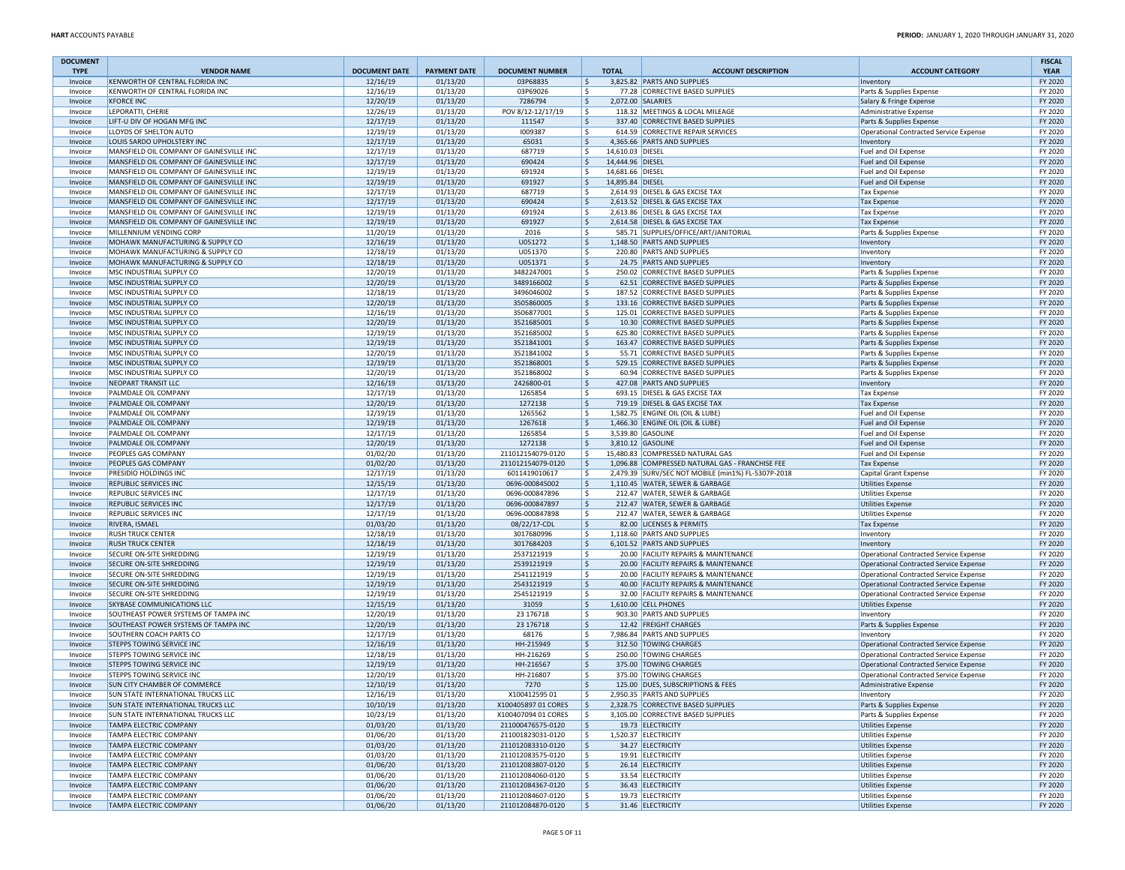| <b>DOCUMENT</b>    |                                                                                      |                      |                      |                                        |                          |                  |                                                                          |                                                      | <b>FISCAL</b>      |
|--------------------|--------------------------------------------------------------------------------------|----------------------|----------------------|----------------------------------------|--------------------------|------------------|--------------------------------------------------------------------------|------------------------------------------------------|--------------------|
| <b>TYPE</b>        | <b>VENDOR NAME</b>                                                                   | <b>DOCUMENT DATE</b> | <b>PAYMENT DATE</b>  | <b>DOCUMENT NUMBER</b>                 |                          | <b>TOTAL</b>     | <b>ACCOUNT DESCRIPTION</b>                                               | <b>ACCOUNT CATEGORY</b>                              | <b>YEAR</b>        |
| Invoice            | KENWORTH OF CENTRAL FLORIDA INC                                                      | 12/16/19             | 01/13/20             | 03P68835                               | ۱\$.                     |                  | 3,825.82 PARTS AND SUPPLIES                                              | Inventory                                            | FY 2020            |
| Invoice            | KENWORTH OF CENTRAL FLORIDA INC<br><b>KFORCE INC</b>                                 | 12/16/19<br>12/20/19 | 01/13/20<br>01/13/20 | 03P69026<br>7286794                    | ١\$<br>١\$               |                  | 77.28 CORRECTIVE BASED SUPPLIES<br>2,072.00 SALARIES                     | Parts & Supplies Expense                             | FY 2020<br>FY 2020 |
| Invoice<br>Invoice | LEPORATTI, CHERIE                                                                    | 12/26/19             | 01/13/20             | POV 8/12-12/17/19                      | l\$                      |                  | 118.32 MEETINGS & LOCAL MILEAGE                                          | Salary & Fringe Expense<br>Administrative Expense    | FY 2020            |
| Invoice            | LIFT-U DIV OF HOGAN MFG INC                                                          | 12/17/19             | 01/13/20             | 111547                                 | ۱\$                      |                  | 337.40 CORRECTIVE BASED SUPPLIES                                         | Parts & Supplies Expense                             | FY 2020            |
| Invoice            | LLOYDS OF SHELTON AUTO                                                               | 12/19/19             | 01/13/20             | 1009387                                | ١\$                      |                  | 614.59 CORRECTIVE REPAIR SERVICES                                        | Operational Contracted Service Expense               | FY 2020            |
| Invoice            | LOUIS SARDO UPHOLSTERY INC                                                           | 12/17/19             | 01/13/20             | 65031                                  | ۱\$                      |                  | 4,365.66 PARTS AND SUPPLIES                                              | Inventory                                            | FY 2020            |
| Invoice            | MANSFIELD OIL COMPANY OF GAINESVILLE INC                                             | 12/17/19             | 01/13/20             | 687719                                 | ١\$                      | 14,610.03 DIESEL |                                                                          | Fuel and Oil Expense                                 | FY 2020            |
| Invoice            | MANSFIELD OIL COMPANY OF GAINESVILLE INC                                             | 12/17/19             | 01/13/20             | 690424                                 | ۱\$                      | 14,444.96 DIESEL |                                                                          | Fuel and Oil Expense                                 | FY 2020            |
| Invoice            | MANSFIELD OIL COMPANY OF GAINESVILLE INC                                             | 12/19/19             | 01/13/20             | 691924                                 | ١\$                      | 14,681.66 DIESEL |                                                                          | Fuel and Oil Expense                                 | FY 2020            |
| Invoice            | MANSFIELD OIL COMPANY OF GAINESVILLE INC                                             | 12/19/19             | 01/13/20             | 691927                                 | ۱\$                      | 14,895.84 DIESEL |                                                                          | Fuel and Oil Expense                                 | FY 2020            |
| Invoice<br>Invoice | MANSFIELD OIL COMPANY OF GAINESVILLE INC<br>MANSFIELD OIL COMPANY OF GAINESVILLE INC | 12/17/19<br>12/17/19 | 01/13/20<br>01/13/20 | 687719<br>690424                       | ۱\$<br>١\$               |                  | 2,614.93 DIESEL & GAS EXCISE TAX<br>2,613.52 DIESEL & GAS EXCISE TAX     | <b>Tax Expense</b><br><b>Tax Expense</b>             | FY 2020<br>FY 2020 |
| Invoice            | MANSFIELD OIL COMPANY OF GAINESVILLE INC                                             | 12/19/19             | 01/13/20             | 691924                                 | ١\$                      |                  | 2,613.86 DIESEL & GAS EXCISE TAX                                         | <b>Tax Expense</b>                                   | FY 2020            |
| Invoice            | MANSFIELD OIL COMPANY OF GAINESVILLE INC                                             | 12/19/19             | 01/13/20             | 691927                                 | l \$                     |                  | 2,614.58 DIESEL & GAS EXCISE TAX                                         | <b>Tax Expense</b>                                   | FY 2020            |
| Invoice            | MILLENNIUM VENDING CORP                                                              | 11/20/19             | 01/13/20             | 2016                                   | ١\$                      |                  | 585.71 SUPPLIES/OFFICE/ART/JANITORIAL                                    | Parts & Supplies Expense                             | FY 2020            |
| Invoice            | MOHAWK MANUFACTURING & SUPPLY CO                                                     | 12/16/19             | 01/13/20             | U051272                                | ١\$                      |                  | 1,148.50 PARTS AND SUPPLIES                                              | Inventory                                            | FY 2020            |
| Invoice            | MOHAWK MANUFACTURING & SUPPLY CO                                                     | 12/18/19             | 01/13/20             | U051370                                | ١\$                      |                  | 220.80 PARTS AND SUPPLIES                                                | Inventory                                            | FY 2020            |
| Invoice            | MOHAWK MANUFACTURING & SUPPLY CO                                                     | 12/18/19             | 01/13/20             | U051371                                | ۱\$                      |                  | 24.75 PARTS AND SUPPLIES                                                 | Inventory                                            | FY 2020            |
| Invoice            | MSC INDUSTRIAL SUPPLY CO                                                             | 12/20/19             | 01/13/20             | 3482247001                             | ١\$                      |                  | 250.02 CORRECTIVE BASED SUPPLIES                                         | Parts & Supplies Expense                             | FY 2020            |
| Invoice            | MSC INDUSTRIAL SUPPLY CO                                                             | 12/20/19             | 01/13/20             | 3489166002                             | ١\$                      |                  | 62.51 CORRECTIVE BASED SUPPLIES                                          | Parts & Supplies Expense                             | FY 2020            |
| Invoice            | MSC INDUSTRIAL SUPPLY CO<br>MSC INDUSTRIAL SUPPLY CO                                 | 12/18/19             | 01/13/20             | 3496046002                             | ١\$                      |                  | 187.52 CORRECTIVE BASED SUPPLIES                                         | Parts & Supplies Expense                             | FY 2020            |
| Invoice<br>Invoice | MSC INDUSTRIAL SUPPLY CO                                                             | 12/20/19<br>12/16/19 | 01/13/20<br>01/13/20 | 3505860005<br>3506877001               | ۱\$<br>١\$               |                  | 133.16 CORRECTIVE BASED SUPPLIES<br>125.01 CORRECTIVE BASED SUPPLIES     | Parts & Supplies Expense<br>Parts & Supplies Expense | FY 2020<br>FY 2020 |
| Invoice            | MSC INDUSTRIAL SUPPLY CO                                                             | 12/20/19             | 01/13/20             | 3521685001                             | ١\$                      |                  | 10.30 CORRECTIVE BASED SUPPLIES                                          | Parts & Supplies Expense                             | FY 2020            |
| Invoice            | MSC INDUSTRIAL SUPPLY CO                                                             | 12/19/19             | 01/13/20             | 3521685002                             | ١\$                      |                  | 625.80 CORRECTIVE BASED SUPPLIES                                         | Parts & Supplies Expense                             | FY 2020            |
| Invoice            | MSC INDUSTRIAL SUPPLY CO                                                             | 12/19/19             | 01/13/20             | 3521841001                             | l\$                      |                  | 163.47 CORRECTIVE BASED SUPPLIES                                         | Parts & Supplies Expense                             | FY 2020            |
| Invoice            | MSC INDUSTRIAL SUPPLY CO                                                             | 12/20/19             | 01/13/20             | 3521841002                             | ١\$                      |                  | 55.71 CORRECTIVE BASED SUPPLIES                                          | Parts & Supplies Expense                             | FY 2020            |
| Invoice            | MSC INDUSTRIAL SUPPLY CO                                                             | 12/19/19             | 01/13/20             | 3521868001                             | ۱\$                      |                  | 529.15 CORRECTIVE BASED SUPPLIES                                         | Parts & Supplies Expense                             | FY 2020            |
| Invoice            | MSC INDUSTRIAL SUPPLY CO                                                             | 12/20/19             | 01/13/20             | 3521868002                             | ١\$                      |                  | 60.94 CORRECTIVE BASED SUPPLIES                                          | Parts & Supplies Expense                             | FY 2020            |
| Invoice            | <b>NEOPART TRANSIT LLC</b>                                                           | 12/16/19             | 01/13/20             | 2426800-01                             | ١\$                      |                  | 427.08 PARTS AND SUPPLIES                                                | Inventory                                            | FY 2020            |
| Invoice            | PALMDALE OIL COMPANY                                                                 | 12/17/19             | 01/13/20             | 1265854                                | ١\$                      |                  | 693.15 DIESEL & GAS EXCISE TAX                                           | <b>Tax Expense</b>                                   | FY 2020            |
| Invoice            | PALMDALE OIL COMPANY<br>PALMDALE OIL COMPANY                                         | 12/20/19<br>12/19/19 | 01/13/20<br>01/13/20 | 1272138<br>1265562                     | ۱\$<br>١\$               |                  | 719.19 DIESEL & GAS EXCISE TAX<br>1.582.75 ENGINE OIL (OIL & LUBE)       | <b>Tax Expense</b><br>Fuel and Oil Expense           | FY 2020<br>FY 2020 |
| Invoice<br>Invoice | PALMDALE OIL COMPANY                                                                 | 12/19/19             | 01/13/20             | 1267618                                | ١\$                      |                  | 1,466.30 ENGINE OIL (OIL & LUBE)                                         | Fuel and Oil Expense                                 | FY 2020            |
| Invoice            | PALMDALE OIL COMPANY                                                                 | 12/17/19             | 01/13/20             | 1265854                                | ١\$                      |                  | 3,539.80 GASOLINE                                                        | Fuel and Oil Expense                                 | FY 2020            |
| Invoice            | PALMDALE OIL COMPANY                                                                 | 12/20/19             | 01/13/20             | 1272138                                | l\$                      |                  | 3,810.12 GASOLINE                                                        | <b>Fuel and Oil Expense</b>                          | FY 2020            |
| Invoice            | PEOPLES GAS COMPANY                                                                  | 01/02/20             | 01/13/20             | 211012154079-0120                      | ١\$                      |                  | 15,480.83 COMPRESSED NATURAL GAS                                         | Fuel and Oil Expense                                 | FY 2020            |
| Invoice            | PEOPLES GAS COMPANY                                                                  | 01/02/20             | 01/13/20             | 211012154079-0120                      | ۱\$                      |                  | 1,096.88 COMPRESSED NATURAL GAS - FRANCHISE FEE                          | <b>Tax Expense</b>                                   | FY 2020            |
| Invoice            | PRESIDIO HOLDINGS INC                                                                | 12/17/19             | 01/13/20             | 6011419010617                          | l \$                     |                  | 2,479.39 SURV/SEC NOT MOBILE (min1%) FL-5307P-2018                       | Capital Grant Expense                                | FY 2020            |
| Invoice            | REPUBLIC SERVICES INC                                                                | 12/15/19             | 01/13/20             | 0696-000845002                         | ۱\$                      |                  | 1,110.45 WATER, SEWER & GARBAGE                                          | <b>Utilities Expense</b>                             | FY 2020            |
| Invoice            | REPUBLIC SERVICES INC                                                                | 12/17/19             | 01/13/20             | 0696-000847896                         | ١\$                      |                  | 212.47 WATER, SEWER & GARBAGE                                            | <b>Utilities Expense</b>                             | FY 2020            |
| Invoice            | REPUBLIC SERVICES INC                                                                | 12/17/19             | 01/13/20             | 0696-000847897                         | ۱\$                      |                  | 212.47 WATER, SEWER & GARBAGE                                            | <b>Utilities Expense</b>                             | FY 2020            |
| Invoice<br>Invoice | REPUBLIC SERVICES INC<br>RIVERA, ISMAEL                                              | 12/17/19<br>01/03/20 | 01/13/20<br>01/13/20 | 0696-000847898<br>08/22/17-CDL         | l \$<br>۱\$              |                  | 212.47 WATER, SEWER & GARBAGE<br>82.00 LICENSES & PERMITS                | <b>Utilities Expense</b><br><b>Tax Expense</b>       | FY 2020<br>FY 2020 |
| Invoice            | <b>RUSH TRUCK CENTER</b>                                                             | 12/18/19             | 01/13/20             | 3017680996                             | ١\$                      |                  | 1,118.60 PARTS AND SUPPLIES                                              | Inventory                                            | FY 2020            |
| Invoice            | <b>RUSH TRUCK CENTER</b>                                                             | 12/18/19             | 01/13/20             | 3017684203                             | ۱\$                      |                  | 6,101.52 PARTS AND SUPPLIES                                              | Inventory                                            | FY 2020            |
| Invoice            | SECURE ON-SITE SHREDDING                                                             | 12/19/19             | 01/13/20             | 2537121919                             | ١\$                      |                  | 20.00 FACILITY REPAIRS & MAINTENANCE                                     | Operational Contracted Service Expense               | FY 2020            |
| Invoice            | SECURE ON-SITE SHREDDING                                                             | 12/19/19             | 01/13/20             | 2539121919                             | l\$                      |                  | 20.00 FACILITY REPAIRS & MAINTENANCE                                     | Operational Contracted Service Expense               | FY 2020            |
| Invoice            | SECURE ON-SITE SHREDDING                                                             | 12/19/19             | 01/13/20             | 2541121919                             | ١\$                      |                  | 20.00 FACILITY REPAIRS & MAINTENANCE                                     | Operational Contracted Service Expense               | FY 2020            |
| Invoice            | SECURE ON-SITE SHREDDING                                                             | 12/19/19             | 01/13/20             | 2543121919                             | ۱\$.                     |                  | 40.00 FACILITY REPAIRS & MAINTENANCE                                     | Operational Contracted Service Expense               | FY 2020            |
| Invoice            | SECURE ON-SITE SHREDDING                                                             | 12/19/19             | 01/13/20             | 2545121919                             | ١\$                      |                  | 32.00 FACILITY REPAIRS & MAINTENANCE                                     | <b>Operational Contracted Service Expense</b>        | FY 2020            |
| Invoice            | SKYBASE COMMUNICATIONS LLC                                                           | 12/15/19             | 01/13/20             | 31059                                  | ١\$                      |                  | 1,610.00 CELL PHONES                                                     | Utilities Expense                                    | FY 2020<br>FY 2020 |
| Invoice<br>Invoice | SOUTHEAST POWER SYSTEMS OF TAMPA INC<br>SOUTHEAST POWER SYSTEMS OF TAMPA INC         | 12/20/19<br>12/20/19 | 01/13/20<br>01/13/20 | 23 17 67 18<br>23 17 67 18             | ١\$<br>۱\$               |                  | 903.30 PARTS AND SUPPLIES<br>12.42 FREIGHT CHARGES                       | Inventory<br>Parts & Supplies Expense                | FY 2020            |
| Invoice            | SOUTHERN COACH PARTS CO                                                              | 12/17/19             | 01/13/20             | 68176                                  | ١\$                      |                  | 7.986.84 PARTS AND SUPPLIES                                              | Inventory                                            | FY 2020            |
| Invoice            | STEPPS TOWING SERVICE INC                                                            | 12/16/19             | 01/13/20             | HH-215949                              | ١\$                      |                  | 312.50 TOWING CHARGES                                                    | Operational Contracted Service Expense               | FY 2020            |
| Invoice            | <b>STEPPS TOWING SERVICE INC</b>                                                     | 12/18/19             | 01/13/20             | HH-216269                              | ١\$                      |                  | 250.00 TOWING CHARGES                                                    | Operational Contracted Service Expense               | FY 2020            |
| Invoice            | <b>STEPPS TOWING SERVICE INC</b>                                                     | 12/19/19             | 01/13/20             | HH-216567                              | ١\$                      |                  | 375.00 TOWING CHARGES                                                    | Operational Contracted Service Expense               | FY 2020            |
| Invoice            | STEPPS TOWING SERVICE INC                                                            | 12/20/19             | 01/13/20             | HH-216807                              | ١\$                      |                  | 375.00 TOWING CHARGES                                                    | <b>Operational Contracted Service Expense</b>        | FY 2020            |
| Invoice            | <b>SUN CITY CHAMBER OF COMMERCE</b>                                                  | 12/10/19             | 01/13/20             | 7270                                   | ۱\$                      |                  | 125.00 DUES, SUBSCRIPTIONS & FEES                                        | Administrative Expense                               | FY 2020            |
| Invoice            | <b>SUN STATE INTERNATIONAL TRUCKS LLC</b>                                            | 12/16/19             | 01/13/20             | X10041259501                           | ١ş                       |                  | 2,950.35 PARTS AND SUPPLIES                                              | Inventory                                            | FY 2020            |
| Invoice            | <b>SUN STATE INTERNATIONAL TRUCKS LLC</b>                                            | 10/10/19             | 01/13/20             | X100405897 01 CORES                    | $\vert \mathsf{s} \vert$ |                  | 2,328.75 CORRECTIVE BASED SUPPLIES<br>3.105.00 CORRECTIVE BASED SUPPLIES | Parts & Supplies Expense                             | FY 2020            |
| Invoice            | <b>SUN STATE INTERNATIONAL TRUCKS LLC</b><br><b>TAMPA ELECTRIC COMPANY</b>           | 10/23/19             | 01/13/20<br>01/13/20 | X100407094 01 CORES                    | l \$<br>١\$              |                  | 19.73 ELECTRICITY                                                        | Parts & Supplies Expense<br>Utilities Expense        | FY 2020<br>FY 2020 |
| Invoice<br>Invoice | TAMPA ELECTRIC COMPANY                                                               | 01/03/20<br>01/06/20 | 01/13/20             | 211000476575-0120<br>211001823031-0120 | l \$                     |                  | 1,520.37 ELECTRICITY                                                     | <b>Utilities Expense</b>                             | FY 2020            |
| Invoice            | <b>TAMPA ELECTRIC COMPANY</b>                                                        | 01/03/20             | 01/13/20             | 211012083310-0120                      | l \$                     |                  | 34.27 ELECTRICITY                                                        | Utilities Expense                                    | FY 2020            |
| Invoice            | TAMPA ELECTRIC COMPANY                                                               | 01/03/20             | 01/13/20             | 211012083575-0120                      | ١\$                      |                  | 19.91 ELECTRICITY                                                        | <b>Utilities Expense</b>                             | FY 2020            |
| Invoice            | <b>TAMPA ELECTRIC COMPANY</b>                                                        | 01/06/20             | 01/13/20             | 211012083807-0120                      | l \$                     |                  | 26.14 ELECTRICITY                                                        | Utilities Expense                                    | FY 2020            |
| Invoice            | TAMPA ELECTRIC COMPANY                                                               | 01/06/20             | 01/13/20             | 211012084060-0120                      | l \$                     |                  | 33.54 ELECTRICITY                                                        | Utilities Expense                                    | FY 2020            |
| Invoice            | <b>TAMPA ELECTRIC COMPANY</b>                                                        | 01/06/20             | 01/13/20             | 211012084367-0120                      | ۱\$.                     |                  | 36.43 ELECTRICITY                                                        | Utilities Expense                                    | FY 2020            |
| Invoice            | <b>TAMPA ELECTRIC COMPANY</b>                                                        | 01/06/20             | 01/13/20             | 211012084607-0120                      | l \$                     |                  | 19.73 ELECTRICITY                                                        | <b>Utilities Expense</b>                             | FY 2020            |
| Invoice            | <b>TAMPA ELECTRIC COMPANY</b>                                                        | 01/06/20             | 01/13/20             | 211012084870-0120                      | $\mathsf{S}$             |                  | 31.46 ELECTRICITY                                                        | Utilities Expense                                    | FY 2020            |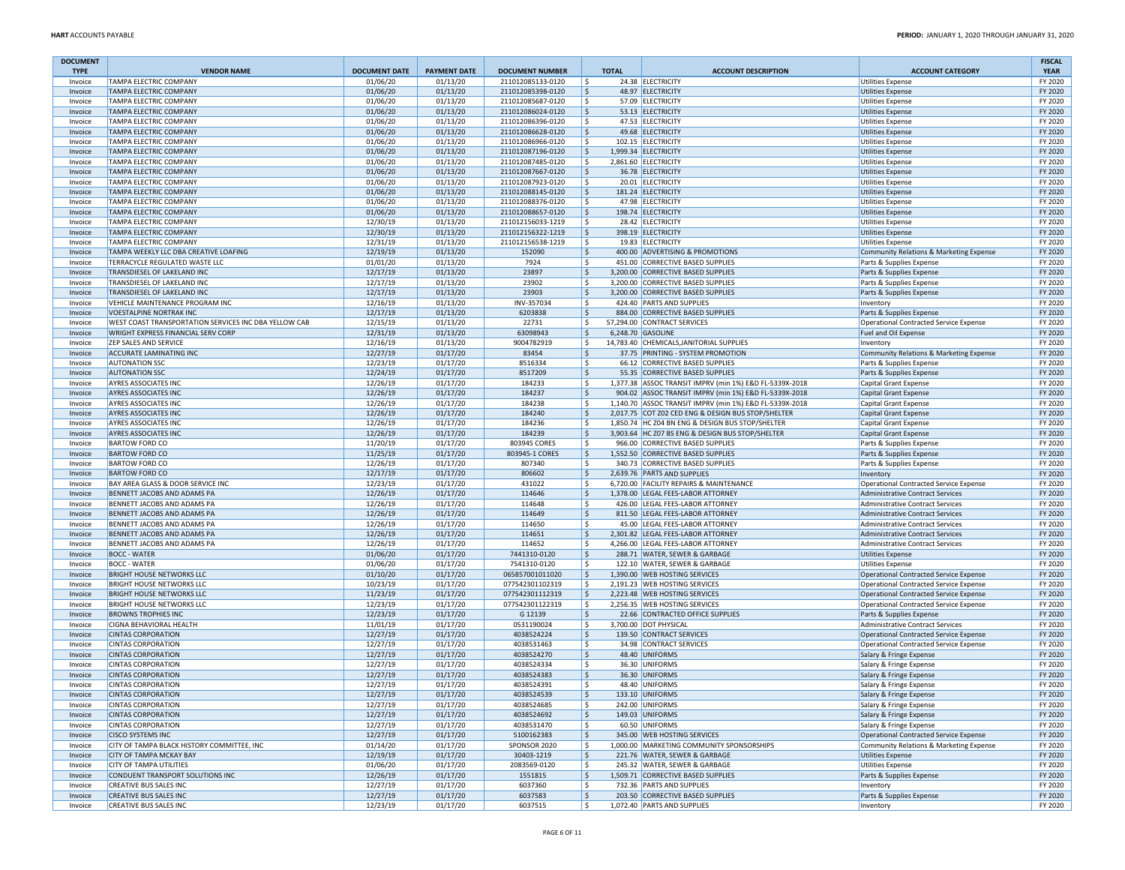| <b>DOCUMENT</b><br><b>TYPE</b> | <b>VENDOR NAME</b>                                             | <b>DOCUMENT DATE</b> | <b>PAYMENT DATE</b>  | <b>DOCUMENT NUMBER</b>   | <b>TOTAL</b> | <b>ACCOUNT DESCRIPTION</b>                                      | <b>ACCOUNT CATEGORY</b>                                           | <b>FISCAL</b><br><b>YEAR</b> |
|--------------------------------|----------------------------------------------------------------|----------------------|----------------------|--------------------------|--------------|-----------------------------------------------------------------|-------------------------------------------------------------------|------------------------------|
| Invoice                        | <b>TAMPA ELECTRIC COMPANY</b>                                  | 01/06/20             | 01/13/20             | 211012085133-0120        | l \$         | 24.38 ELECTRICITY                                               | <b>Utilities Expense</b>                                          | FY 2020                      |
| Invoice                        | TAMPA ELECTRIC COMPANY                                         | 01/06/20             | 01/13/20             | 211012085398-0120        | l\$          | 48.97 ELECTRICITY                                               | <b>Utilities Expense</b>                                          | FY 2020                      |
| Invoice                        | TAMPA ELECTRIC COMPANY                                         | 01/06/20             | 01/13/20             | 211012085687-0120        | ١\$          | 57.09 ELECTRICITY                                               | <b>Utilities Expense</b>                                          | FY 2020                      |
| Invoice                        | <b>TAMPA ELECTRIC COMPANY</b>                                  | 01/06/20             | 01/13/20             | 211012086024-0120        | l\$          | 53.13 ELECTRICITY                                               | <b>Utilities Expense</b>                                          | FY 2020                      |
| Invoice                        | TAMPA ELECTRIC COMPANY                                         | 01/06/20             | 01/13/20             | 211012086396-0120        | ۱ś           | 47.53 ELECTRICITY                                               | <b>Utilities Expense</b>                                          | FY 2020                      |
| Invoice                        | TAMPA ELECTRIC COMPANY                                         | 01/06/20             | 01/13/20             | 211012086628-0120        | ۱\$          | 49.68 ELECTRICITY                                               | <b>Utilities Expense</b>                                          | FY 2020                      |
| Invoice                        | <b>TAMPA ELECTRIC COMPANY</b>                                  | 01/06/20             | 01/13/20             | 211012086966-0120        | ١s           | 102.15 ELECTRICITY                                              | <b>Utilities Expense</b>                                          | FY 2020                      |
| Invoice                        | TAMPA ELECTRIC COMPANY                                         | 01/06/20             | 01/13/20             | 211012087196-0120        | ۱\$.         | 1,999.34 ELECTRICITY                                            | <b>Utilities Expense</b>                                          | FY 2020                      |
| Invoice                        | TAMPA ELECTRIC COMPANY                                         | 01/06/20             | 01/13/20             | 211012087485-0120        | ١\$          | 2,861.60 ELECTRICITY                                            | <b>Utilities Expense</b>                                          | FY 2020                      |
| Invoice                        | TAMPA ELECTRIC COMPANY                                         | 01/06/20             | 01/13/20             | 211012087667-0120        | l\$          | 36.78 ELECTRICITY                                               | <b>Utilities Expense</b>                                          | FY 2020                      |
| Invoice                        | TAMPA ELECTRIC COMPANY                                         | 01/06/20             | 01/13/20             | 211012087923-0120        | ١\$          | 20.01 ELECTRICITY                                               | <b>Utilities Expense</b>                                          | FY 2020                      |
| Invoice                        | TAMPA ELECTRIC COMPANY                                         | 01/06/20             | 01/13/20             | 211012088145-0120        | l \$         | 181.24 ELECTRICITY                                              | Utilities Expense                                                 | FY 2020                      |
| Invoice                        | TAMPA ELECTRIC COMPANY                                         | 01/06/20             | 01/13/20             | 211012088376-0120        | ١\$          | 47.98 ELECTRICITY                                               | <b>Utilities Expense</b>                                          | FY 2020                      |
| Invoice                        | TAMPA ELECTRIC COMPANY                                         | 01/06/20             | 01/13/20             | 211012088657-0120        | ۱\$.         | 198.74 ELECTRICITY                                              | <b>Utilities Expense</b>                                          | FY 2020                      |
| Invoice                        | TAMPA ELECTRIC COMPANY                                         | 12/30/19             | 01/13/20             | 211012156033-1219        | l \$         | 28.42 ELECTRICITY                                               | <b>Utilities Expense</b>                                          | FY 2020                      |
| Invoice                        | TAMPA ELECTRIC COMPANY                                         | 12/30/19             | 01/13/20             | 211012156322-1219        | ۱\$          | 398.19 ELECTRICITY                                              | <b>Utilities Expense</b>                                          | FY 2020                      |
| Invoice                        | TAMPA ELECTRIC COMPANY                                         | 12/31/19             | 01/13/20             | 211012156538-1219        | ١\$          | 19.83 ELECTRICITY                                               | <b>Utilities Expense</b>                                          | FY 2020                      |
| Invoice                        | TAMPA WEEKLY LLC DBA CREATIVE LOAFING                          | 12/19/19             | 01/13/20             | 152090                   | ۱\$.         | 400.00 ADVERTISING & PROMOTIONS                                 | Community Relations & Marketing Expense                           | FY 2020                      |
| Invoice                        | TERRACYCLE REGULATED WASTE LLC                                 | 01/01/20             | 01/13/20             | 7924                     | ١\$          | 451.00 CORRECTIVE BASED SUPPLIES                                | Parts & Supplies Expense                                          | FY 2020                      |
| Invoice                        | TRANSDIESEL OF LAKELAND INC                                    | 12/17/19             | 01/13/20             | 23897                    | ١\$          | 3,200.00 CORRECTIVE BASED SUPPLIES                              | Parts & Supplies Expense                                          | FY 2020                      |
| Invoice                        | TRANSDIESEL OF LAKELAND INC                                    | 12/17/19             | 01/13/20             | 23902                    | ١\$          | 3,200.00 CORRECTIVE BASED SUPPLIES                              | Parts & Supplies Expense                                          | FY 2020                      |
| Invoice                        | TRANSDIESEL OF LAKELAND INC<br>VEHICLE MAINTENANCE PROGRAM INC | 12/17/19             | 01/13/20             | 23903                    | ١\$          | 3,200.00 CORRECTIVE BASED SUPPLIES<br>424.40 PARTS AND SUPPLIES | Parts & Supplies Expense                                          | FY 2020<br>FY 2020           |
| Invoice                        | <b>VOESTALPINE NORTRAK INC</b>                                 | 12/16/19             | 01/13/20             | INV-357034               | ١\$          |                                                                 | Inventory                                                         |                              |
| Invoice<br>Invoice             | WEST COAST TRANSPORTATION SERVICES INC DBA YELLOW CAB          | 12/17/19<br>12/15/19 | 01/13/20<br>01/13/20 | 6203838<br>22731         | ١\$<br>١\$   | 884.00 CORRECTIVE BASED SUPPLIES                                | Parts & Supplies Expense                                          | FY 2020<br>FY 2020           |
|                                | WRIGHT EXPRESS FINANCIAL SERV CORP                             | 12/31/19             | 01/13/20             | 63098943                 | ۱\$          | 57,294.00 CONTRACT SERVICES<br>6,248.70 GASOLINE                | Operational Contracted Service Expense<br>Fuel and Oil Expense    | FY 2020                      |
| Invoice<br>Invoice             | ZEP SALES AND SERVICE                                          | 12/16/19             | 01/13/20             | 9004782919               | ١\$          | 14,783.40 CHEMICALS, JANITORIAL SUPPLIES                        | Inventory                                                         | FY 2020                      |
| Invoice                        | ACCURATE LAMINATING INC                                        | 12/27/19             | 01/17/20             | 83454                    | ١\$          | 37.75 PRINTING - SYSTEM PROMOTION                               | Community Relations & Marketing Expense                           | FY 2020                      |
| Invoice                        | <b>AUTONATION SSC</b>                                          | 12/23/19             | 01/17/20             | 8516334                  | l \$         | 66.12 CORRECTIVE BASED SUPPLIES                                 | Parts & Supplies Expense                                          | FY 2020                      |
| Invoice                        | <b>AUTONATION SSC</b>                                          | 12/24/19             | 01/17/20             | 8517209                  | ١\$          | 55.35 CORRECTIVE BASED SUPPLIES                                 | Parts & Supplies Expense                                          | FY 2020                      |
| Invoice                        | AYRES ASSOCIATES INC                                           | 12/26/19             | 01/17/20             | 184233                   | ١\$          | 1,377.38 ASSOC TRANSIT IMPRV (min 1%) E&D FL-5339X-2018         | Capital Grant Expense                                             | FY 2020                      |
| Invoice                        | <b>AYRES ASSOCIATES INC</b>                                    | 12/26/19             | 01/17/20             | 184237                   | ۱\$.         | 904.02 ASSOC TRANSIT IMPRV (min 1%) E&D FL-5339X-2018           | Capital Grant Expense                                             | FY 2020                      |
| Invoice                        | <b>AYRES ASSOCIATES INC</b>                                    | 12/26/19             | 01/17/20             | 184238                   | ١\$          | 1,140.70 ASSOC TRANSIT IMPRV (min 1%) E&D FL-5339X-2018         | Capital Grant Expense                                             | FY 2020                      |
| Invoice                        | <b>AYRES ASSOCIATES INC</b>                                    | 12/26/19             | 01/17/20             | 184240                   | ١\$          | 2,017.75 COT Z02 CED ENG & DESIGN BUS STOP/SHELTER              | Capital Grant Expense                                             | FY 2020                      |
| Invoice                        | AYRES ASSOCIATES INC                                           | 12/26/19             | 01/17/20             | 184236                   | ١\$          | 1,850.74 HC Z04 BN ENG & DESIGN BUS STOP/SHELTER                | Capital Grant Expense                                             | FY 2020                      |
| Invoice                        | AYRES ASSOCIATES INC                                           | 12/26/19             | 01/17/20             | 184239                   | ١\$          | 3.903.64 HC Z07 BS ENG & DESIGN BUS STOP/SHELTER                | Capital Grant Expense                                             | FY 2020                      |
| Invoice                        | <b>BARTOW FORD CO</b>                                          | 11/20/19             | 01/17/20             | 803945 CORES             | ١\$          | 966.00 CORRECTIVE BASED SUPPLIES                                | Parts & Supplies Expense                                          | FY 2020                      |
| Invoice                        | <b>BARTOW FORD CO</b>                                          | 11/25/19             | 01/17/20             | 803945-1 CORES           | ۱\$          | 1,552.50 CORRECTIVE BASED SUPPLIES                              | Parts & Supplies Expense                                          | FY 2020                      |
| Invoice                        | <b>BARTOW FORD CO</b>                                          | 12/26/19             | 01/17/20             | 807340                   | ١\$          | 340.73 CORRECTIVE BASED SUPPLIES                                | Parts & Supplies Expense                                          | FY 2020                      |
| Invoice                        | <b>BARTOW FORD CO</b>                                          | 12/17/19             | 01/17/20             | 806602                   | ۱\$          | 2,639.76 PARTS AND SUPPLIES                                     | Inventory                                                         | FY 2020                      |
| Invoice                        | BAY AREA GLASS & DOOR SERVICE INC                              | 12/23/19             | 01/17/20             | 431022                   | ١\$          | 6,720.00 FACILITY REPAIRS & MAINTENANCE                         | Operational Contracted Service Expense                            | FY 2020                      |
| Invoice                        | BENNETT JACOBS AND ADAMS PA                                    | 12/26/19             | 01/17/20             | 114646                   | ١\$          | 1,378.00 LEGAL FEES-LABOR ATTORNEY                              | Administrative Contract Services                                  | FY 2020                      |
| Invoice                        | BENNETT JACOBS AND ADAMS PA                                    | 12/26/19             | 01/17/20             | 114648                   | ١\$          | 426.00 LEGAL FEES-LABOR ATTORNEY                                | Administrative Contract Services                                  | FY 2020                      |
| Invoice                        | BENNETT JACOBS AND ADAMS PA                                    | 12/26/19             | 01/17/20             | 114649                   | ١s           | 811.50 LEGAL FEES-LABOR ATTORNEY                                | <b>Administrative Contract Services</b>                           | FY 2020                      |
| Invoice                        | BENNETT JACOBS AND ADAMS PA                                    | 12/26/19             | 01/17/20             | 114650                   | ١\$          | 45.00 LEGAL FEES-LABOR ATTORNEY                                 | <b>Administrative Contract Services</b>                           | FY 2020                      |
| Invoice                        | BENNETT JACOBS AND ADAMS PA                                    | 12/26/19             | 01/17/20             | 114651                   | ۱\$.         | 2,301.82 LEGAL FEES-LABOR ATTORNEY                              | Administrative Contract Services                                  | FY 2020                      |
| Invoice                        | BENNETT JACOBS AND ADAMS PA                                    | 12/26/19             | 01/17/20             | 114652                   | ١\$          | 4,266.00 LEGAL FEES-LABOR ATTORNEY                              | <b>Administrative Contract Services</b>                           | FY 2020                      |
| Invoice                        | <b>BOCC - WATER</b>                                            | 01/06/20             | 01/17/20             | 7441310-0120             | ١\$          | 288.71 WATER, SEWER & GARBAGE                                   | <b>Utilities Expense</b>                                          | FY 2020                      |
| Invoice                        | <b>BOCC - WATER</b>                                            | 01/06/20             | 01/17/20             | 7541310-0120             | ١\$          | 122.10 WATER, SEWER & GARBAGE                                   | <b>Utilities Expense</b>                                          | FY 2020                      |
| Invoice                        | <b>BRIGHT HOUSE NETWORKS LLC</b>                               | 01/10/20             | 01/17/20             | 065857001011020          | ۱\$.         | 1,390.00 WEB HOSTING SERVICES                                   | Operational Contracted Service Expense                            | FY 2020                      |
| Invoice                        | <b>BRIGHT HOUSE NETWORKS LLC</b>                               | 10/23/19             | 01/17/20             | 077542301102319          | ١\$          | 2,191.23 WEB HOSTING SERVICES                                   | Operational Contracted Service Expense                            | FY 2020                      |
| Invoice                        | <b>BRIGHT HOUSE NETWORKS LLC</b>                               | 11/23/19             | 01/17/20             | 077542301112319          | ۱\$.         | 2,223.48 WEB HOSTING SERVICES                                   | Operational Contracted Service Expense                            | FY 2020                      |
| Invoice                        | <b>BRIGHT HOUSE NETWORKS LLC</b>                               | 12/23/19             | 01/17/20             | 077542301122319          | ١\$          | 2,256.35 WEB HOSTING SERVICES                                   | <b>Operational Contracted Service Expense</b>                     | FY 2020                      |
| Invoice                        | <b>BROWNS TROPHIES INC</b>                                     | 12/23/19             | 01/17/20             | G 12139                  | l\$          | 22.66 CONTRACTED OFFICE SUPPLIES                                | Parts & Supplies Expense                                          | FY 2020                      |
| Invoice<br>Invoice             | <b>CIGNA BEHAVIORAL HEALTH</b><br><b>CINTAS CORPORATION</b>    | 11/01/19<br>12/27/19 | 01/17/20<br>01/17/20 | 0531190024<br>4038524224 | ١\$<br>١\$   | 3,700.00 DOT PHYSICAL<br>139.50 CONTRACT SERVICES               | Administrative Contract Services                                  | FY 2020<br>FY 2020           |
|                                | <b>CINTAS CORPORATION</b>                                      | 12/27/19             | 01/17/20             | 4038531463               | ١\$          | 34.98 CONTRACT SERVICES                                         | Operational Contracted Service Expense                            | FY 2020                      |
| Invoice<br>Invoice             | <b>CINTAS CORPORATION</b>                                      | 12/27/19             | 01/17/20             | 4038524270               | ۱\$          | 48.40 UNIFORMS                                                  | Operational Contracted Service Expense<br>Salary & Fringe Expense | FY 2020                      |
| Invoice                        | <b>CINTAS CORPORATION</b>                                      | 12/27/19             | 01/17/20             | 4038524334               | ١\$          | 36.30 UNIFORMS                                                  |                                                                   | FY 2020                      |
| Invoice                        | <b>CINTAS CORPORATION</b>                                      | 12/27/19             | 01/17/20             | 4038524383               | l\$          | 36.30 UNIFORMS                                                  | Salary & Fringe Expense<br>Salary & Fringe Expense                | FY 2020                      |
| Invoice                        | <b>CINTAS CORPORATION</b>                                      | 12/27/19             | 01/17/20             | 4038524391               | l \$         | 48.40 UNIFORMS                                                  | Salary & Fringe Expense                                           | FY 2020                      |
| Invoice                        | <b>CINTAS CORPORATION</b>                                      | 12/27/19             | 01/17/20             | 4038524539               | ١ş           | 133.10 UNIFORMS                                                 | Salary & Fringe Expense                                           | FY 2020                      |
| Invoice                        | <b>CINTAS CORPORATION</b>                                      | 12/27/19             | 01/17/20             | 4038524685               | ١\$          | 242.00 UNIFORMS                                                 | Salary & Fringe Expense                                           | FY 2020                      |
| Invoice                        | <b>CINTAS CORPORATION</b>                                      | 12/27/19             | 01/17/20             | 4038524692               | ۱\$.         | 149.03 UNIFORMS                                                 | Salary & Fringe Expense                                           | FY 2020                      |
| Invoice                        | <b>CINTAS CORPORATION</b>                                      | 12/27/19             | 01/17/20             | 4038531470               | l \$         | 60.50 UNIFORMS                                                  | Salary & Fringe Expense                                           | FY 2020                      |
| Invoice                        | <b>CISCO SYSTEMS INC</b>                                       | 12/27/19             | 01/17/20             | 5100162383               | ۱\$.         | 345.00 WEB HOSTING SERVICES                                     | Operational Contracted Service Expense                            | FY 2020                      |
| Invoice                        | CITY OF TAMPA BLACK HISTORY COMMITTEE, INC                     | 01/14/20             | 01/17/20             | SPONSOR 2020             | ١\$          | 1.000.00 MARKETING COMMUNITY SPONSORSHIPS                       | Community Relations & Marketing Expense                           | FY 2020                      |
| Invoice                        | CITY OF TAMPA MCKAY BAY                                        | 12/19/19             | 01/17/20             | 30403-1219               | ۱\$.         | 221.76 WATER, SEWER & GARBAGE                                   | Utilities Expense                                                 | FY 2020                      |
| Invoice                        | CITY OF TAMPA UTILITIES                                        | 01/06/20             | 01/17/20             | 2083569-0120             | ١\$          | 245.32 WATER, SEWER & GARBAGE                                   | <b>Utilities Expense</b>                                          | FY 2020                      |
| Invoice                        | CONDUENT TRANSPORT SOLUTIONS INC                               | 12/26/19             | 01/17/20             | 1551815                  | ۱\$.         | 1,509.71 CORRECTIVE BASED SUPPLIES                              | Parts & Supplies Expense                                          | FY 2020                      |
| Invoice                        | <b>CREATIVE BUS SALES INC</b>                                  | 12/27/19             | 01/17/20             | 6037360                  | ١\$          | 732.36 PARTS AND SUPPLIES                                       | Inventory                                                         | FY 2020                      |
| Invoice                        | <b>CREATIVE BUS SALES INC</b>                                  | 12/27/19             | 01/17/20             | 6037583                  | ۱\$          | 203.50 CORRECTIVE BASED SUPPLIES                                | Parts & Supplies Expense                                          | FY 2020                      |
| Invoice                        | <b>CREATIVE BUS SALES INC</b>                                  | 12/23/19             | 01/17/20             | 6037515                  | ١\$          | 1,072.40 PARTS AND SUPPLIES                                     | Inventory                                                         | FY 2020                      |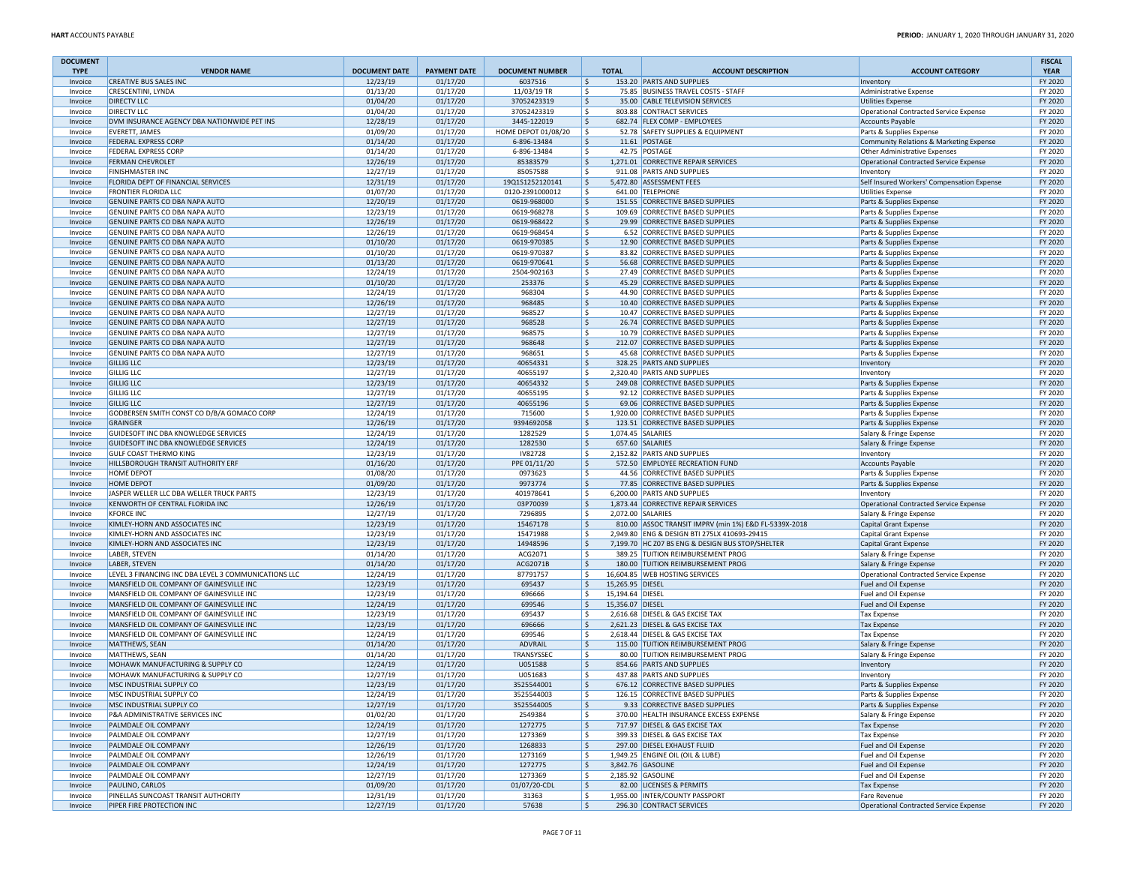| <b>DOCUMENT</b>    |                                                                                      |                      |                      |                                    |                                |                                                                          |                                                                        | <b>FISCAL</b>      |
|--------------------|--------------------------------------------------------------------------------------|----------------------|----------------------|------------------------------------|--------------------------------|--------------------------------------------------------------------------|------------------------------------------------------------------------|--------------------|
| <b>TYPE</b>        | <b>VENDOR NAME</b><br><b>CREATIVE BUS SALES INC.</b>                                 | <b>DOCUMENT DATE</b> | <b>PAYMENT DATE</b>  | <b>DOCUMENT NUMBER</b>             | <b>TOTAL</b>                   | <b>ACCOUNT DESCRIPTION</b>                                               | <b>ACCOUNT CATEGORY</b>                                                | <b>YEAR</b>        |
| Invoice<br>Invoice | <b>CRESCENTINI, LYNDA</b>                                                            | 12/23/19<br>01/13/20 | 01/17/20<br>01/17/20 | 6037516<br>11/03/19 TR             | ۱\$<br>l \$                    | 153.20 PARTS AND SUPPLIES<br>75.85 BUSINESS TRAVEL COSTS - STAFF         | Inventory<br>Administrative Expense                                    | FY 2020<br>FY 2020 |
| Invoice            | <b>DIRECTV LLC</b>                                                                   | 01/04/20             | 01/17/20             | 37052423319                        | ۱\$                            | 35.00 CABLE TELEVISION SERVICES                                          | <b>Utilities Expense</b>                                               | FY 2020            |
| Invoice            | <b>DIRECTV LLC</b>                                                                   | 01/04/20             | 01/17/20             | 37052423319                        | l\$                            | 803.88 CONTRACT SERVICES                                                 | Operational Contracted Service Expense                                 | FY 2020            |
| Invoice            | DVM INSURANCE AGENCY DBA NATIONWIDE PET INS                                          | 12/28/19             | 01/17/20             | 3445-122019                        | ۱\$                            | 682.74 FLEX COMP - EMPLOYEES                                             | Accounts Payable                                                       | FY 2020            |
| Invoice            | <b>EVERETT, JAMES</b>                                                                | 01/09/20             | 01/17/20             | HOME DEPOT 01/08/20                | ١\$                            | 52.78 SAFETY SUPPLIES & EQUIPMENT                                        | Parts & Supplies Expense                                               | FY 2020            |
| Invoice            | <b>FEDERAL EXPRESS CORP</b>                                                          | 01/14/20             | 01/17/20             | 6-896-13484                        | l\$                            | 11.61 POSTAGE                                                            | Community Relations & Marketing Expense                                | FY 2020            |
| Invoice            | <b>FEDERAL EXPRESS CORP</b>                                                          | 01/14/20             | 01/17/20             | 6-896-13484                        | l\$                            | 42.75 POSTAGE                                                            | Other Administrative Expenses                                          | FY 2020            |
| Invoice            | <b>FERMAN CHEVROLET</b>                                                              | 12/26/19             | 01/17/20             | 85383579                           | ۱\$                            | 1,271.01 CORRECTIVE REPAIR SERVICES                                      | Operational Contracted Service Expense                                 | FY 2020            |
| Invoice            | <b>FINISHMASTER INC</b>                                                              | 12/27/19<br>12/31/19 | 01/17/20<br>01/17/20 | 85057588                           | l\$<br>١\$                     | 911.08 PARTS AND SUPPLIES<br>5,472.80 ASSESSMENT FEES                    | Inventory                                                              | FY 2020<br>FY 2020 |
| Invoice<br>Invoice | FLORIDA DEPT OF FINANCIAL SERVICES<br><b>FRONTIER FLORIDA LLC</b>                    | 01/07/20             | 01/17/20             | 19Q1S1252120141<br>0120-2391000012 | l\$                            | 641.00 TELEPHONE                                                         | Self Insured Workers' Compensation Expense<br><b>Utilities Expense</b> | FY 2020            |
| Invoice            | GENUINE PARTS CO DBA NAPA AUTO                                                       | 12/20/19             | 01/17/20             | 0619-968000                        | ۱\$                            | 151.55 CORRECTIVE BASED SUPPLIES                                         | Parts & Supplies Expense                                               | FY 2020            |
| Invoice            | GENUINE PARTS CO DBA NAPA AUTO                                                       | 12/23/19             | 01/17/20             | 0619-968278                        | ١\$                            | 109.69 CORRECTIVE BASED SUPPLIES                                         | Parts & Supplies Expense                                               | FY 2020            |
| Invoice            | GENUINE PARTS CO DBA NAPA AUTO                                                       | 12/26/19             | 01/17/20             | 0619-968422                        | ۱\$                            | 29.99 CORRECTIVE BASED SUPPLIES                                          | Parts & Supplies Expense                                               | FY 2020            |
| Invoice            | GENUINE PARTS CO DBA NAPA AUTO                                                       | 12/26/19             | 01/17/20             | 0619-968454                        | l \$                           | 6.52 CORRECTIVE BASED SUPPLIES                                           | Parts & Supplies Expense                                               | FY 2020            |
| Invoice            | GENUINE PARTS CO DBA NAPA AUTO                                                       | 01/10/20             | 01/17/20             | 0619-970385                        | ۱\$                            | 12.90 CORRECTIVE BASED SUPPLIES                                          | Parts & Supplies Expense                                               | FY 2020            |
| Invoice            | GENUINE PARTS CO DBA NAPA AUTO                                                       | 01/10/20             | 01/17/20             | 0619-970387                        | ١\$                            | 83.82 CORRECTIVE BASED SUPPLIES                                          | Parts & Supplies Expense                                               | FY 2020            |
| Invoice            | GENUINE PARTS CO DBA NAPA AUTO                                                       | 01/13/20             | 01/17/20             | 0619-970641                        | l\$                            | 56.68 CORRECTIVE BASED SUPPLIES                                          | Parts & Supplies Expense                                               | FY 2020            |
| Invoice            | GENUINE PARTS CO DBA NAPA AUTO                                                       | 12/24/19             | 01/17/20             | 2504-902163                        | I\$                            | 27.49 CORRECTIVE BASED SUPPLIES                                          | Parts & Supplies Expense                                               | FY 2020            |
| Invoice            | GENUINE PARTS CO DBA NAPA AUTO<br>GENUINE PARTS CO DBA NAPA AUTO                     | 01/10/20             | 01/17/20             | 253376<br>968304                   | l\$                            | 45.29 CORRECTIVE BASED SUPPLIES<br>44.90 CORRECTIVE BASED SUPPLIES       | Parts & Supplies Expense                                               | FY 2020            |
| Invoice<br>Invoice | GENUINE PARTS CO DBA NAPA AUTO                                                       | 12/24/19<br>12/26/19 | 01/17/20<br>01/17/20 | 968485                             | l\$<br>۱\$                     | 10.40 CORRECTIVE BASED SUPPLIES                                          | Parts & Supplies Expense<br>Parts & Supplies Expense                   | FY 2020<br>FY 2020 |
| Invoice            | GENUINE PARTS CO DBA NAPA AUTO                                                       | 12/27/19             | 01/17/20             | 968527                             | ١\$                            | 10.47 CORRECTIVE BASED SUPPLIES                                          | Parts & Supplies Expense                                               | FY 2020            |
| Invoice            | GENUINE PARTS CO DBA NAPA AUTO                                                       | 12/27/19             | 01/17/20             | 968528                             | l\$                            | 26.74 CORRECTIVE BASED SUPPLIES                                          | Parts & Supplies Expense                                               | FY 2020            |
| Invoice            | GENUINE PARTS CO DBA NAPA AUTO                                                       | 12/27/19             | 01/17/20             | 968575                             | l\$                            | 10.79 CORRECTIVE BASED SUPPLIES                                          | Parts & Supplies Expense                                               | FY 2020            |
| Invoice            | GENUINE PARTS CO DBA NAPA AUTO                                                       | 12/27/19             | 01/17/20             | 968648                             | ۱\$                            | 212.07 CORRECTIVE BASED SUPPLIES                                         | Parts & Supplies Expense                                               | FY 2020            |
| Invoice            | GENUINE PARTS CO DBA NAPA AUTO                                                       | 12/27/19             | 01/17/20             | 968651                             | l\$                            | 45.68 CORRECTIVE BASED SUPPLIES                                          | Parts & Supplies Expense                                               | FY 2020            |
| Invoice            | <b>GILLIG LLC</b>                                                                    | 12/23/19             | 01/17/20             | 40654331                           | ۱\$                            | 328.25 PARTS AND SUPPLIES                                                | Inventory                                                              | FY 2020            |
| Invoice            | <b>GILLIG LLC</b>                                                                    | 12/27/19             | 01/17/20             | 40655197                           | l\$                            | 2,320.40 PARTS AND SUPPLIES                                              | Inventory                                                              | FY 2020            |
| Invoice            | <b>GILLIG LLC</b>                                                                    | 12/23/19             | 01/17/20             | 40654332                           | l\$                            | 249.08 CORRECTIVE BASED SUPPLIES                                         | Parts & Supplies Expense                                               | FY 2020            |
| Invoice<br>Invoice | <b>GILLIG LLC</b><br><b>GILLIG LLC</b>                                               | 12/27/19<br>12/27/19 | 01/17/20<br>01/17/20 | 40655195<br>40655196               | ١\$<br>۱\$                     | 92.12 CORRECTIVE BASED SUPPLIES<br>69.06 CORRECTIVE BASED SUPPLIES       | Parts & Supplies Expense                                               | FY 2020<br>FY 2020 |
| Invoice            | GODBERSEN SMITH CONST CO D/B/A GOMACO CORP                                           | 12/24/19             | 01/17/20             | 715600                             | l\$                            | 1.920.00 CORRECTIVE BASED SUPPLIES                                       | Parts & Supplies Expense<br>Parts & Supplies Expense                   | FY 2020            |
| Invoice            | <b>GRAINGER</b>                                                                      | 12/26/19             | 01/17/20             | 9394692058                         | l\$                            | 123.51 CORRECTIVE BASED SUPPLIES                                         | Parts & Supplies Expense                                               | FY 2020            |
| Invoice            | GUIDESOFT INC DBA KNOWLEDGE SERVICES                                                 | 12/24/19             | 01/17/20             | 1282529                            | ١\$                            | 1,074.45 SALARIES                                                        | Salary & Fringe Expense                                                | FY 2020            |
| Invoice            | GUIDESOFT INC DBA KNOWLEDGE SERVICES                                                 | 12/24/19             | 01/17/20             | 1282530                            | ۱\$                            | 657.60 SALARIES                                                          | Salary & Fringe Expense                                                | FY 2020            |
| Invoice            | <b>GULF COAST THERMO KING</b>                                                        | 12/23/19             | 01/17/20             | IV82728                            | l\$                            | 2,152.82 PARTS AND SUPPLIES                                              | Inventory                                                              | FY 2020            |
| Invoice            | HILLSBOROUGH TRANSIT AUTHORITY ERF                                                   | 01/16/20             | 01/17/20             | PPE 01/11/20                       | ١\$                            | 572.50 EMPLOYEE RECREATION FUND                                          | <b>Accounts Payable</b>                                                | FY 2020            |
| Invoice            | HOME DEPOT                                                                           | 01/08/20             | 01/17/20             | 0973623                            | l\$                            | 44.56 CORRECTIVE BASED SUPPLIES                                          | Parts & Supplies Expense                                               | FY 2020            |
| Invoice            | <b>HOME DEPOT</b>                                                                    | 01/09/20             | 01/17/20             | 9973774                            | ۱\$                            | 77.85 CORRECTIVE BASED SUPPLIES                                          | Parts & Supplies Expense                                               | FY 2020            |
| Invoice            | JASPER WELLER LLC DBA WELLER TRUCK PARTS                                             | 12/23/19             | 01/17/20             | 401978641                          | l\$                            | 6,200.00 PARTS AND SUPPLIES                                              | Inventory                                                              | FY 2020            |
| Invoice<br>Invoice | KENWORTH OF CENTRAL FLORIDA INC<br><b>KFORCE INC</b>                                 | 12/26/19<br>12/27/19 | 01/17/20<br>01/17/20 | 03P70039<br>7296895                | l\$<br>١\$                     | 1,873.44 CORRECTIVE REPAIR SERVICES<br>2,072.00 SALARIES                 | Operational Contracted Service Expense                                 | FY 2020<br>FY 2020 |
| Invoice            | KIMLEY-HORN AND ASSOCIATES INC                                                       | 12/23/19             | 01/17/20             | 15467178                           | ۱\$                            | 810.00 ASSOC TRANSIT IMPRV (min 1%) E&D FL-5339X-2018                    | Salary & Fringe Expense<br><b>Capital Grant Expense</b>                | FY 2020            |
| Invoice            | KIMLEY-HORN AND ASSOCIATES INC                                                       | 12/23/19             | 01/17/20             | 15471988                           | ١\$                            | 2,949.80 ENG & DESIGN BTI 275LX 410693-29415                             | Capital Grant Expense                                                  | FY 2020            |
| Invoice            | KIMLEY-HORN AND ASSOCIATES INC                                                       | 12/23/19             | 01/17/20             | 14948596                           | l\$                            | 7,199.70 HC Z07 BS ENG & DESIGN BUS STOP/SHELTER                         | Capital Grant Expense                                                  | FY 2020            |
| Invoice            | LABER, STEVEN                                                                        | 01/14/20             | 01/17/20             | ACG2071                            | l\$                            | 389.25 TUITION REIMBURSEMENT PROG                                        | Salary & Fringe Expense                                                | FY 2020            |
| Invoice            | LABER, STEVEN                                                                        | 01/14/20             | 01/17/20             | ACG2071B                           | l\$                            | 180.00 TUITION REIMBURSEMENT PROG                                        | Salary & Fringe Expense                                                | FY 2020            |
| Invoice            | LEVEL 3 FINANCING INC DBA LEVEL 3 COMMUNICATIONS LLC                                 | 12/24/19             | 01/17/20             | 87791757                           | ١\$                            | 16,604.85 WEB HOSTING SERVICES                                           | Operational Contracted Service Expense                                 | FY 2020            |
| Invoice            | MANSFIELD OIL COMPANY OF GAINESVILLE INC                                             | 12/23/19             | 01/17/20             | 695437                             | l\$<br>15,265.95 DIESEL        |                                                                          | Fuel and Oil Expense                                                   | FY 2020            |
| Invoice            | MANSFIELD OIL COMPANY OF GAINESVILLE INC                                             | 12/23/19             | 01/17/20             | 696666                             | l\$<br>15,194.64 DIESEL        |                                                                          | Fuel and Oil Expense                                                   | FY 2020            |
| Invoice<br>Invoice | MANSFIELD OIL COMPANY OF GAINESVILLE INC<br>MANSFIELD OIL COMPANY OF GAINESVILLE INC | 12/24/19<br>12/23/19 | 01/17/20<br>01/17/20 | 699546<br>695437                   | ۱\$<br>15,356.07 DIESEL<br>l\$ | 2,616.68 DIESEL & GAS EXCISE TAX                                         | <b>Fuel and Oil Expense</b>                                            | FY 2020<br>FY 2020 |
| Invoice            | MANSFIELD OIL COMPANY OF GAINESVILLE INC                                             | 12/23/19             | 01/17/20             | 696666                             | ۱\$                            | 2,621.23 DIESEL & GAS EXCISE TAX                                         | Tax Expense<br><b>Tax Expense</b>                                      | FY 2020            |
| Invoice            | MANSFIELD OIL COMPANY OF GAINESVILLE INC                                             | 12/24/19             | 01/17/20             | 699546                             | I\$                            | 2,618.44 DIESEL & GAS EXCISE TAX                                         | Tax Expense                                                            | FY 2020            |
| Invoice            | MATTHEWS, SEAN                                                                       | 01/14/20             | 01/17/20             | ADVRAIL                            | l\$                            | 115.00 TUITION REIMBURSEMENT PROG                                        | Salary & Fringe Expense                                                | FY 2020            |
| Invoice            | MATTHEWS, SEAN                                                                       | 01/14/20             | 01/17/20             | TRANSYSSEC                         | l\$                            | 80.00 TUITION REIMBURSEMENT PROG                                         | Salary & Fringe Expense                                                | FY 2020            |
| Invoice            | MOHAWK MANUFACTURING & SUPPLY CO                                                     | 12/24/19             | 01/17/20             | U051588                            | l\$                            | 854.66 PARTS AND SUPPLIES                                                | Inventory                                                              | FY 2020            |
| Invoice            | MOHAWK MANUFACTURING & SUPPLY CO                                                     | 12/27/19             | 01/17/20             | U051683                            | l \$                           | 437.88 PARTS AND SUPPLIES                                                | Inventory                                                              | FY 2020            |
| Invoice            | MSC INDUSTRIAL SUPPLY CO                                                             | 12/23/19             | 01/17/20             | 3525544001                         | l\$                            | 676.12 CORRECTIVE BASED SUPPLIES                                         | Parts & Supplies Expense                                               | FY 2020            |
| Invoice            | MSC INDUSTRIAL SUPPLY CO                                                             | 12/24/19             | 01/17/20             | 3525544003                         | ۱\$                            | 126.15 CORRECTIVE BASED SUPPLIES                                         | Parts & Supplies Expense                                               | FY 2020            |
| Invoice            | MSC INDUSTRIAL SUPPLY CO                                                             | 12/27/19             | 01/17/20             | 3525544005                         | l\$                            | 9.33 CORRECTIVE BASED SUPPLIES                                           | Parts & Supplies Expense                                               | FY 2020            |
| Invoice<br>Invoice | P&A ADMINISTRATIVE SERVICES INC<br>PALMDALE OIL COMPANY                              | 01/02/20<br>12/24/19 | 01/17/20<br>01/17/20 | 2549384<br>1272775                 | ١\$<br>l\$                     | 370.00 HEALTH INSURANCE EXCESS EXPENSE<br>717.97 DIESEL & GAS EXCISE TAX | Salary & Fringe Expense<br><b>Tax Expense</b>                          | FY 2020<br>FY 2020 |
| Invoice            | PALMDALE OIL COMPANY                                                                 | 12/27/19             | 01/17/20             | 1273369                            | l\$                            | 399.33 DIESEL & GAS EXCISE TAX                                           | <b>Tax Expense</b>                                                     | FY 2020            |
| Invoice            | PALMDALE OIL COMPANY                                                                 | 12/26/19             | 01/17/20             | 1268833                            | l\$                            | 297.00 DIESEL EXHAUST FLUID                                              | Fuel and Oil Expense                                                   | FY 2020            |
| Invoice            | PALMDALE OIL COMPANY                                                                 | 12/26/19             | 01/17/20             | 1273169                            | ١\$                            | 1,949.25 ENGINE OIL (OIL & LUBE)                                         | Fuel and Oil Expense                                                   | FY 2020            |
| Invoice            | PALMDALE OIL COMPANY                                                                 | 12/24/19             | 01/17/20             | 1272775                            | l\$                            | 3,842.76 GASOLINE                                                        | Fuel and Oil Expense                                                   | FY 2020            |
| Invoice            | PALMDALE OIL COMPANY                                                                 | 12/27/19             | 01/17/20             | 1273369                            | I\$                            | 2,185.92 GASOLINE                                                        | Fuel and Oil Expense                                                   | FY 2020            |
| Invoice            | PAULINO, CARLOS                                                                      | 01/09/20             | 01/17/20             | 01/07/20-CDL                       | l\$                            | 82.00 LICENSES & PERMITS                                                 | <b>Tax Expense</b>                                                     | FY 2020            |
| Invoice            | PINELLAS SUNCOAST TRANSIT AUTHORITY                                                  | 12/31/19             | 01/17/20             | 31363                              | l\$                            | 1,955.00 INTER/COUNTY PASSPORT                                           | Fare Revenue                                                           | FY 2020            |
| Invoice            | PIPER FIRE PROTECTION INC                                                            | 12/27/19             | 01/17/20             | 57638                              | $\vert$ \$                     | 296.30 CONTRACT SERVICES                                                 | Operational Contracted Service Expense                                 | FY 2020            |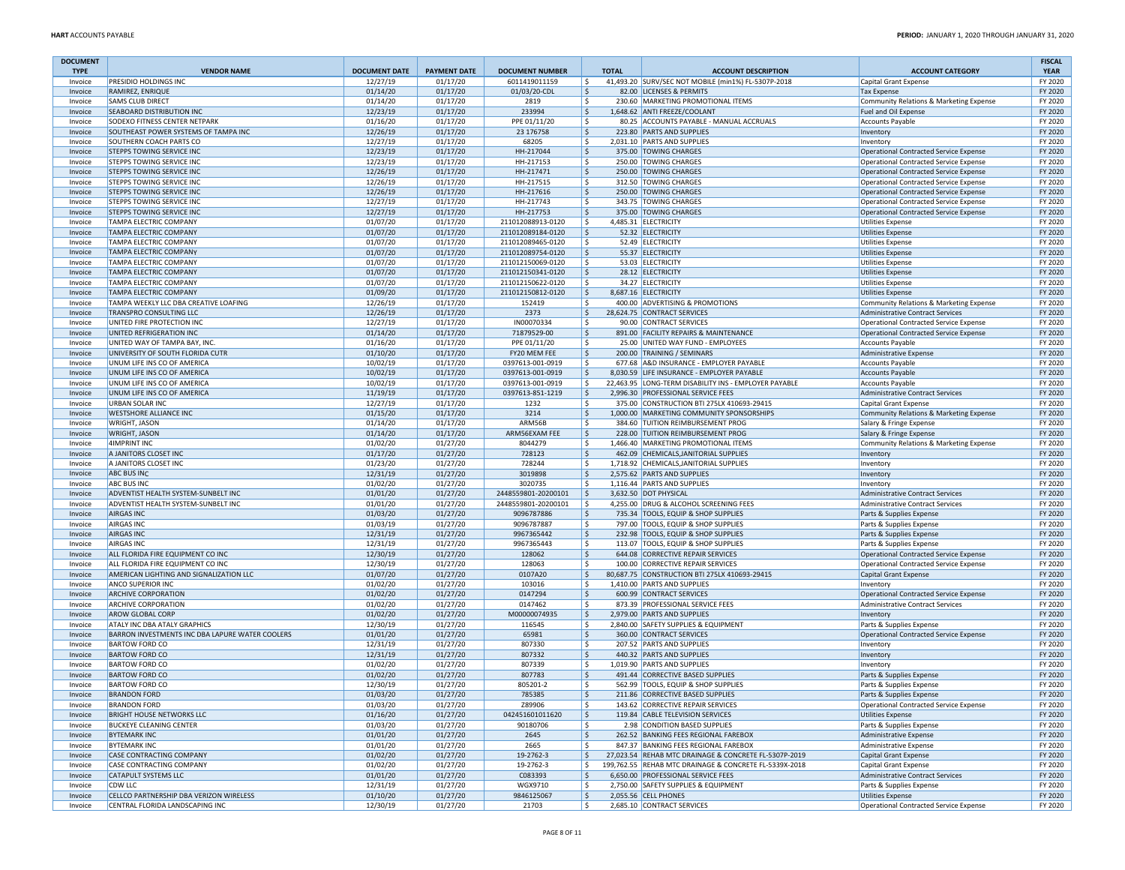| <b>DOCUMENT</b>    |                                                                   |                      |                      |                                |               |                                                                                                                 |                                                                                  | <b>FISCAL</b>      |
|--------------------|-------------------------------------------------------------------|----------------------|----------------------|--------------------------------|---------------|-----------------------------------------------------------------------------------------------------------------|----------------------------------------------------------------------------------|--------------------|
| <b>TYPE</b>        | <b>VENDOR NAME</b>                                                | <b>DOCUMENT DATE</b> | <b>PAYMENT DATE</b>  | <b>DOCUMENT NUMBER</b>         | <b>TOTAL</b>  | <b>ACCOUNT DESCRIPTION</b>                                                                                      | <b>ACCOUNT CATEGORY</b>                                                          | <b>YEAR</b>        |
| Invoice            | PRESIDIO HOLDINGS INC<br>RAMIREZ, ENRIQUE                         | 12/27/19<br>01/14/20 | 01/17/20<br>01/17/20 | 6011419011159<br>01/03/20-CDL  | I\$<br>l\$    | 41,493.20 SURV/SEC NOT MOBILE (min1%) FL-5307P-2018<br>82.00 LICENSES & PERMITS                                 | Capital Grant Expense                                                            | FY 2020<br>FY 2020 |
| Invoice<br>Invoice | <b>SAMS CLUB DIRECT</b>                                           | 01/14/20             | 01/17/20             | 2819                           | ١\$           | 230.60 MARKETING PROMOTIONAL ITEMS                                                                              | <b>Tax Expense</b><br>Community Relations & Marketing Expense                    | FY 2020            |
| Invoice            | <b>SEABOARD DISTRIBUTION INC</b>                                  | 12/23/19             | 01/17/20             | 233994                         | ۱\$           | 1,648.62 ANTI FREEZE/COOLANT                                                                                    | Fuel and Oil Expense                                                             | FY 2020            |
| Invoice            | SODEXO FITNESS CENTER NETPARK                                     | 01/16/20             | 01/17/20             | PPE 01/11/20                   | ١\$           | 80.25 ACCOUNTS PAYABLE - MANUAL ACCRUALS                                                                        | Accounts Payable                                                                 | FY 2020            |
| Invoice            | SOUTHEAST POWER SYSTEMS OF TAMPA INC                              | 12/26/19             | 01/17/20             | 23 17 67 58                    | ۱\$           | 223.80 PARTS AND SUPPLIES                                                                                       | Inventory                                                                        | FY 2020            |
| Invoice            | SOUTHERN COACH PARTS CO                                           | 12/27/19             | 01/17/20             | 68205                          | l\$           | 2,031.10 PARTS AND SUPPLIES                                                                                     | Inventory                                                                        | FY 2020            |
| Invoice            | STEPPS TOWING SERVICE INC                                         | 12/23/19             | 01/17/20             | HH-217044                      | l\$           | 375.00 TOWING CHARGES                                                                                           | Operational Contracted Service Expense                                           | FY 2020            |
| Invoice            | <b>STEPPS TOWING SERVICE INC</b>                                  | 12/23/19             | 01/17/20             | HH-217153                      | ١\$           | 250.00 TOWING CHARGES                                                                                           | Operational Contracted Service Expense                                           | FY 2020            |
| Invoice            | <b>STEPPS TOWING SERVICE INC</b>                                  | 12/26/19             | 01/17/20             | HH-217471                      | l\$           | 250.00 TOWING CHARGES                                                                                           | Operational Contracted Service Expense                                           | FY 2020            |
| Invoice            | STEPPS TOWING SERVICE INC                                         | 12/26/19<br>12/26/19 | 01/17/20<br>01/17/20 | HH-217515<br>HH-217616         | l \$<br>١\$   | 312.50 TOWING CHARGES<br>250.00 TOWING CHARGES                                                                  | Operational Contracted Service Expense                                           | FY 2020<br>FY 2020 |
| Invoice<br>Invoice | <b>STEPPS TOWING SERVICE INC</b><br>STEPPS TOWING SERVICE INC     | 12/27/19             | 01/17/20             | HH-217743                      | l\$           | 343.75 TOWING CHARGES                                                                                           | Operational Contracted Service Expense<br>Operational Contracted Service Expense | FY 2020            |
| Invoice            | <b>STEPPS TOWING SERVICE INC</b>                                  | 12/27/19             | 01/17/20             | HH-217753                      | l\$           | 375.00 TOWING CHARGES                                                                                           | Operational Contracted Service Expense                                           | FY 2020            |
| Invoice            | TAMPA ELECTRIC COMPANY                                            | 01/07/20             | 01/17/20             | 211012088913-0120              | I\$           | 4,485.31 ELECTRICITY                                                                                            | <b>Utilities Expense</b>                                                         | FY 2020            |
| Invoice            | TAMPA ELECTRIC COMPANY                                            | 01/07/20             | 01/17/20             | 211012089184-0120              | l\$           | 52.32 ELECTRICITY                                                                                               | <b>Utilities Expense</b>                                                         | FY 2020            |
| Invoice            | TAMPA ELECTRIC COMPANY                                            | 01/07/20             | 01/17/20             | 211012089465-0120              | l \$          | 52.49 ELECTRICITY                                                                                               | <b>Utilities Expense</b>                                                         | FY 2020            |
| Invoice            | TAMPA ELECTRIC COMPANY                                            | 01/07/20             | 01/17/20             | 211012089754-0120              | l \$          | 55.37 ELECTRICITY                                                                                               | <b>Utilities Expense</b>                                                         | FY 2020            |
| Invoice            | TAMPA ELECTRIC COMPANY                                            | 01/07/20             | 01/17/20             | 211012150069-0120              | l \$          | 53.03 ELECTRICITY                                                                                               | <b>Utilities Expense</b>                                                         | FY 2020            |
| Invoice            | TAMPA ELECTRIC COMPANY                                            | 01/07/20             | 01/17/20             | 211012150341-0120              | ۱\$           | 28.12 ELECTRICITY                                                                                               | <b>Utilities Expense</b>                                                         | FY 2020            |
| Invoice            | <b>TAMPA ELECTRIC COMPANY</b>                                     | 01/07/20             | 01/17/20             | 211012150622-0120              | l \$          | 34.27 ELECTRICITY                                                                                               | <b>Utilities Expense</b>                                                         | FY 2020            |
| Invoice            | TAMPA ELECTRIC COMPANY                                            | 01/09/20             | 01/17/20             | 211012150812-0120              | l\$           | 8,687.16 ELECTRICITY                                                                                            | <b>Utilities Expense</b>                                                         | FY 2020            |
| Invoice            | TAMPA WEEKLY LLC DBA CREATIVE LOAFING                             | 12/26/19             | 01/17/20             | 152419                         | l\$           | 400.00 ADVERTISING & PROMOTIONS                                                                                 | Community Relations & Marketing Expense                                          | FY 2020            |
| Invoice            | TRANSPRO CONSULTING LLC                                           | 12/26/19             | 01/17/20             | 2373                           | l\$           | 28,624.75 CONTRACT SERVICES                                                                                     | Administrative Contract Services                                                 | FY 2020            |
| Invoice            | UNITED FIRE PROTECTION INC                                        | 12/27/19             | 01/17/20             | IN00070334                     | l \$          | 90.00 CONTRACT SERVICES                                                                                         | Operational Contracted Service Expense                                           | FY 2020            |
| Invoice            | UNITED REFRIGERATION INC                                          | 01/14/20             | 01/17/20             | 71879529-00                    | ۱\$           | 891.00 FACILITY REPAIRS & MAINTENANCE                                                                           | Operational Contracted Service Expense                                           | FY 2020            |
| Invoice<br>Invoice | UNITED WAY OF TAMPA BAY, INC.<br>UNIVERSITY OF SOUTH FLORIDA CUTR | 01/16/20<br>01/10/20 | 01/17/20<br>01/17/20 | PPE 01/11/20<br>FY20 MEM FEE   | l\$<br>۱\$    | 25.00 UNITED WAY FUND - EMPLOYEES<br>200.00 TRAINING / SEMINARS                                                 | <b>Accounts Payable</b>                                                          | FY 2020<br>FY 2020 |
| Invoice            | UNUM LIFE INS CO OF AMERICA                                       | 10/02/19             | 01/17/20             | 0397613-001-0919               | I\$           | 677.68 A&D INSURANCE - EMPLOYER PAYABLE                                                                         | Administrative Expense<br><b>Accounts Payable</b>                                | FY 2020            |
| Invoice            | UNUM LIFE INS CO OF AMERICA                                       | 10/02/19             | 01/17/20             | 0397613-001-0919               | l\$           | 8,030.59 LIFE INSURANCE - EMPLOYER PAYABLE                                                                      | <b>Accounts Payable</b>                                                          | FY 2020            |
| Invoice            | UNUM LIFE INS CO OF AMERICA                                       | 10/02/19             | 01/17/20             | 0397613-001-0919               | l\$           | 22,463.95 LONG-TERM DISABILITY INS - EMPLOYER PAYABLE                                                           | <b>Accounts Payable</b>                                                          | FY 2020            |
| Invoice            | UNUM LIFE INS CO OF AMERICA                                       | 11/19/19             | 01/17/20             | 0397613-851-1219               | l\$           | 2,996.30 PROFESSIONAL SERVICE FEES                                                                              | Administrative Contract Services                                                 | FY 2020            |
| Invoice            | URBAN SOLAR INC                                                   | 12/27/19             | 01/17/20             | 1232                           | ١\$           | 375.00 CONSTRUCTION BTI 275LX 410693-29415                                                                      | Capital Grant Expense                                                            | FY 2020            |
| Invoice            | <b>WESTSHORE ALLIANCE INC</b>                                     | 01/15/20             | 01/17/20             | 3214                           | l\$           | 1,000.00 MARKETING COMMUNITY SPONSORSHIPS                                                                       | Community Relations & Marketing Expense                                          | FY 2020            |
| Invoice            | WRIGHT, JASON                                                     | 01/14/20             | 01/17/20             | ARM56B                         | l\$           | 384.60 TUITION REIMBURSEMENT PROG                                                                               | Salary & Fringe Expense                                                          | FY 2020            |
| Invoice            | <b>WRIGHT, JASON</b>                                              | 01/14/20             | 01/17/20             | ARM56EXAM FEE                  | l\$           | 228.00 TUITION REIMBURSEMENT PROG                                                                               | Salary & Fringe Expense                                                          | FY 2020            |
| Invoice            | <b>4IMPRINT INC</b>                                               | 01/02/20             | 01/27/20             | 8044279                        | ١\$           | 1.466.40 MARKETING PROMOTIONAL ITEMS                                                                            | Community Relations & Marketing Expense                                          | FY 2020            |
| Invoice            | A JANITORS CLOSET INC                                             | 01/17/20             | 01/27/20             | 728123                         | ۱\$           | 462.09 CHEMICALS, JANITORIAL SUPPLIES                                                                           | Inventory                                                                        | FY 2020            |
| Invoice            | A JANITORS CLOSET INC                                             | 01/23/20             | 01/27/20             | 728244                         | l \$          | 1,718.92 CHEMICALS, JANITORIAL SUPPLIES                                                                         | Inventory                                                                        | FY 2020            |
| Invoice            | <b>ABC BUS INC</b>                                                | 12/31/19             | 01/27/20             | 3019898                        | ۱\$           | 2,575.62 PARTS AND SUPPLIES                                                                                     | Inventory                                                                        | FY 2020            |
| Invoice<br>Invoice | <b>ABC BUS INC</b><br>ADVENTIST HEALTH SYSTEM-SUNBELT INC         | 01/02/20<br>01/01/20 | 01/27/20<br>01/27/20 | 3020735<br>2448559801-20200101 | ١\$<br>۱\$.   | 1,116.44 PARTS AND SUPPLIES<br>3,632.50 DOT PHYSICAL                                                            | Inventory<br><b>Administrative Contract Services</b>                             | FY 2020<br>FY 2020 |
| Invoice            | ADVENTIST HEALTH SYSTEM-SUNBELT INC                               | 01/01/20             | 01/27/20             | 2448559801-20200101            | l \$          | 4,255.00 DRUG & ALCOHOL SCREENING FEES                                                                          | <b>Administrative Contract Services</b>                                          | FY 2020            |
| Invoice            | <b>AIRGAS INC</b>                                                 | 01/03/20             | 01/27/20             | 9096787886                     | l\$           | 735.34 TOOLS, EQUIP & SHOP SUPPLIES                                                                             | Parts & Supplies Expense                                                         | FY 2020            |
| Invoice            | <b>AIRGAS INC</b>                                                 | 01/03/19             | 01/27/20             | 9096787887                     | l\$           | 797.00 TOOLS, EQUIP & SHOP SUPPLIES                                                                             | Parts & Supplies Expense                                                         | FY 2020            |
| Invoice            | <b>AIRGAS INC</b>                                                 | 12/31/19             | 01/27/20             | 9967365442                     | ۱\$.          | 232.98 TOOLS, EQUIP & SHOP SUPPLIES                                                                             | Parts & Supplies Expense                                                         | FY 2020            |
| Invoice            | <b>AIRGAS INC</b>                                                 | 12/31/19             | 01/27/20             | 9967365443                     | ١\$<br>113.07 | TOOLS, EQUIP & SHOP SUPPLIES                                                                                    | Parts & Supplies Expense                                                         | FY 2020            |
| Invoice            | ALL FLORIDA FIRE EQUIPMENT CO INC                                 | 12/30/19             | 01/27/20             | 128062                         | l\$           | 644.08 CORRECTIVE REPAIR SERVICES                                                                               | Operational Contracted Service Expense                                           | FY 2020            |
| Invoice            | ALL FLORIDA FIRE EQUIPMENT CO INC                                 | 12/30/19             | 01/27/20             | 128063                         | l\$<br>100.00 | CORRECTIVE REPAIR SERVICES                                                                                      | Operational Contracted Service Expense                                           | FY 2020            |
| Invoice            | AMERICAN LIGHTING AND SIGNALIZATION LLC                           | 01/07/20             | 01/27/20             | 0107A20                        | l\$           | 80,687.75 CONSTRUCTION BTI 275LX 410693-29415                                                                   | Capital Grant Expense                                                            | FY 2020            |
| Invoice            | ANCO SUPERIOR INC                                                 | 01/02/20             | 01/27/20             | 103016                         | l\$           | 1,410.00 PARTS AND SUPPLIES                                                                                     | Inventory                                                                        | FY 2020            |
| Invoice            | <b>ARCHIVE CORPORATION</b>                                        | 01/02/20             | 01/27/20             | 0147294                        | l\$           | 600.99 CONTRACT SERVICES                                                                                        | Operational Contracted Service Expense                                           | FY 2020            |
| Invoice            | <b>ARCHIVE CORPORATION</b>                                        | 01/02/20             | 01/27/20             | 0147462                        | ١\$           | 873.39 PROFESSIONAL SERVICE FEES                                                                                | Administrative Contract Services                                                 | FY 2020            |
| Invoice<br>Invoice | <b>AROW GLOBAL CORP</b><br><b>ATALY INC DBA ATALY GRAPHICS</b>    | 01/02/20<br>12/30/19 | 01/27/20<br>01/27/20 | M00000074935<br>116545         | I\$<br>١\$    | 2,979.00 PARTS AND SUPPLIES<br>2,840.00 SAFETY SUPPLIES & EQUIPMENT                                             | Inventory<br>Parts & Supplies Expense                                            | FY 2020<br>FY 2020 |
| Invoice            | BARRON INVESTMENTS INC DBA LAPURE WATER COOLERS                   | 01/01/20             | 01/27/20             | 65981                          | ۱\$           | 360.00 CONTRACT SERVICES                                                                                        | Operational Contracted Service Expense                                           | FY 2020            |
| Invoice            | <b>BARTOW FORD CO</b>                                             | 12/31/19             | 01/27/20             | 807330                         | l \$          | 207.52 PARTS AND SUPPLIES                                                                                       | Inventory                                                                        | FY 2020            |
| Invoice            | <b>BARTOW FORD CO</b>                                             | 12/31/19             | 01/27/20             | 807332                         | l\$           | 440.32 PARTS AND SUPPLIES                                                                                       | Inventory                                                                        | FY 2020            |
| Invoice            | <b>BARTOW FORD CO</b>                                             | 01/02/20             | 01/27/20             | 807339                         | l\$           | 1.019.90 PARTS AND SUPPLIES                                                                                     | Inventory                                                                        | FY 2020            |
| Invoice            | <b>BARTOW FORD CO</b>                                             | 01/02/20             | 01/27/20             | 807783                         | l\$           | 491.44 CORRECTIVE BASED SUPPLIES                                                                                | Parts & Supplies Expense                                                         | FY 2020            |
| Invoice            | <b>BARTOW FORD CO</b>                                             | 12/30/19             | 01/27/20             | 805201-2                       | l \$          | 562.99 TOOLS, EQUIP & SHOP SUPPLIES                                                                             | Parts & Supplies Expense                                                         | FY 2020            |
| Invoice            | <b>BRANDON FORD</b>                                               | 01/03/20             | 01/27/20             | 785385                         | ۱s            | 211.86 CORRECTIVE BASED SUPPLIES                                                                                | Parts & Supplies Expense                                                         | FY 2020            |
| Invoice            | <b>BRANDON FORD</b>                                               | 01/03/20             | 01/27/20             | Z89906                         | ۱\$           | 143.62 CORRECTIVE REPAIR SERVICES                                                                               | <b>Operational Contracted Service Expense</b>                                    | FY 2020            |
| Invoice            | <b>BRIGHT HOUSE NETWORKS LLC</b>                                  | 01/16/20             | 01/27/20             | 042451601011620                | l\$           | 119.84 CABLE TELEVISION SERVICES                                                                                | <b>Utilities Expense</b>                                                         | FY 2020            |
| Invoice            | <b>BUCKEYE CLEANING CENTER</b>                                    | 01/03/20             | 01/27/20             | 90180706                       | l \$          | 2.98 CONDITION BASED SUPPLIES                                                                                   | Parts & Supplies Expense                                                         | FY 2020            |
| Invoice            | <b>BYTEMARK INC</b>                                               | 01/01/20             | 01/27/20             | 2645                           | l\$           | 262.52 BANKING FEES REGIONAL FAREBOX                                                                            | Administrative Expense                                                           | FY 2020            |
| Invoice            | <b>BYTEMARK INC</b>                                               | 01/01/20             | 01/27/20             | 2665                           | l\$           | 847.37 BANKING FEES REGIONAL FAREBOX                                                                            | Administrative Expense                                                           | FY 2020            |
| Invoice            | CASE CONTRACTING COMPANY<br>CASE CONTRACTING COMPANY              | 01/02/20             | 01/27/20             | 19-2762-3                      | ۱\$.          | 27.023.54 REHAB MTC DRAINAGE & CONCRETE FL-5307P-2019<br>199,762.55 REHAB MTC DRAINAGE & CONCRETE FL-5339X-2018 | Capital Grant Expense                                                            | FY 2020<br>FY 2020 |
| Invoice<br>Invoice | CATAPULT SYSTEMS LLC                                              | 01/02/20<br>01/01/20 | 01/27/20<br>01/27/20 | 19-2762-3<br>C083393           | l\$<br>۱\$    | 6,650.00 PROFESSIONAL SERVICE FEES                                                                              | Capital Grant Expense<br>Administrative Contract Services                        | FY 2020            |
| Invoice            | <b>CDW LLC</b>                                                    | 12/31/19             | 01/27/20             | WGX9710                        | l\$           | 2,750.00 SAFETY SUPPLIES & EQUIPMENT                                                                            | Parts & Supplies Expense                                                         | FY 2020            |
| Invoice            | CELLCO PARTNERSHIP DBA VERIZON WIRELESS                           | 01/10/20             | 01/27/20             | 9846125067                     | ۱\$           | 2,055.56 CELL PHONES                                                                                            | <b>Utilities Expense</b>                                                         | FY 2020            |
| Invoice            | CENTRAL FLORIDA LANDSCAPING INC                                   | 12/30/19             | 01/27/20             | 21703                          | l \$          | 2,685.10 CONTRACT SERVICES                                                                                      | Operational Contracted Service Expense                                           | FY 2020            |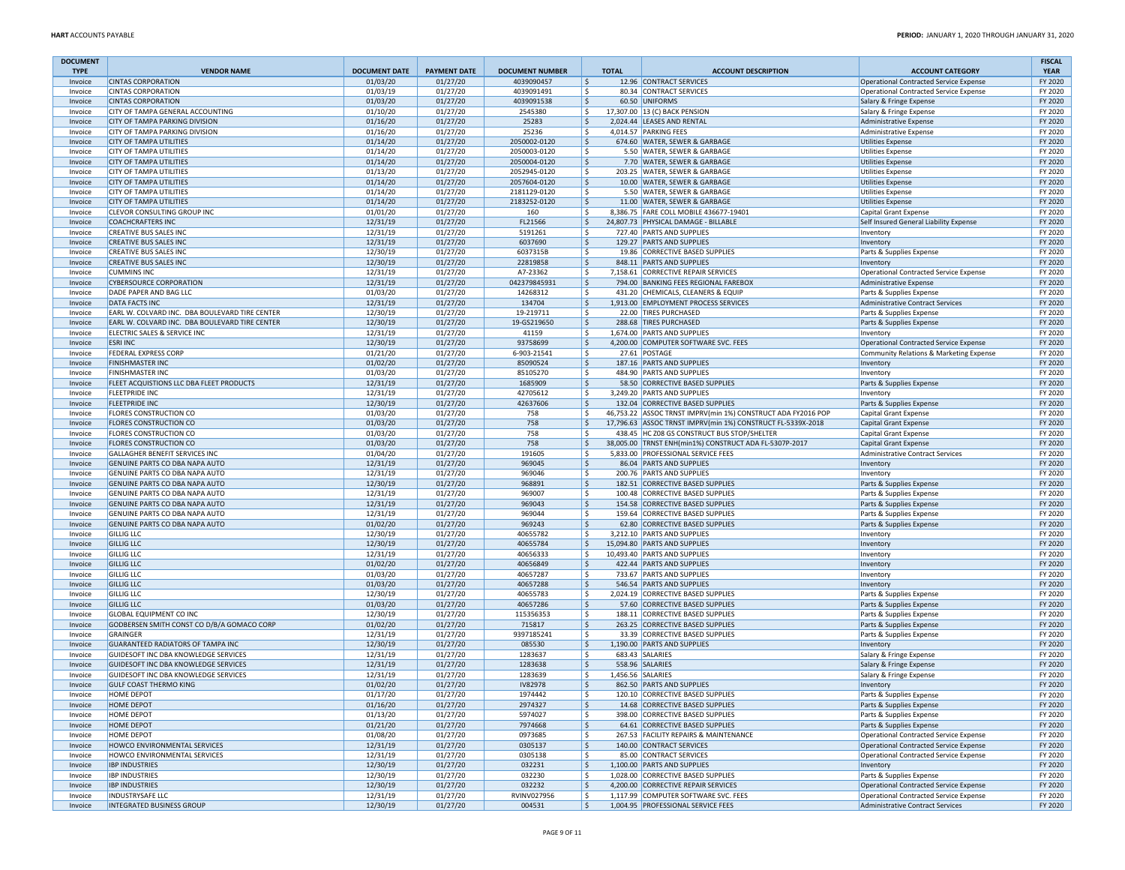| <b>DOCUMENT</b>    |                                                                  |                      |                      |                          |              |                                                                      |                                                                                   | <b>FISCAL</b>      |
|--------------------|------------------------------------------------------------------|----------------------|----------------------|--------------------------|--------------|----------------------------------------------------------------------|-----------------------------------------------------------------------------------|--------------------|
| <b>TYPE</b>        | <b>VENDOR NAME</b><br><b>CINTAS CORPORATION</b>                  | <b>DOCUMENT DATE</b> | <b>PAYMENT DATE</b>  | <b>DOCUMENT NUMBER</b>   | <b>TOTAL</b> | <b>ACCOUNT DESCRIPTION</b>                                           | <b>ACCOUNT CATEGORY</b>                                                           | <b>YEAR</b>        |
| Invoice<br>Invoice | <b>CINTAS CORPORATION</b>                                        | 01/03/20<br>01/03/19 | 01/27/20<br>01/27/20 | 4039090457<br>4039091491 | ۱\$<br>١\$   | 12.96 CONTRACT SERVICES<br>80.34 CONTRACT SERVICES                   | Operational Contracted Service Expense                                            | FY 2020<br>FY 2020 |
| Invoice            | <b>CINTAS CORPORATION</b>                                        | 01/03/20             | 01/27/20             | 4039091538               | l\$          | 60.50 UNIFORMS                                                       | Operational Contracted Service Expense<br>Salary & Fringe Expense                 | FY 2020            |
| Invoice            | CITY OF TAMPA GENERAL ACCOUNTING                                 | 01/10/20             | 01/27/20             | 2545380                  | l\$          | 17,307.00 13 (C) BACK PENSION                                        | Salary & Fringe Expense                                                           | FY 2020            |
| Invoice            | CITY OF TAMPA PARKING DIVISION                                   | 01/16/20             | 01/27/20             | 25283                    | ۱\$          | 2,024.44 LEASES AND RENTAL                                           | Administrative Expense                                                            | FY 2020            |
| Invoice            | <b>CITY OF TAMPA PARKING DIVISION</b>                            | 01/16/20             | 01/27/20             | 25236                    | ١\$          | 4.014.57 PARKING FEES                                                | Administrative Expense                                                            | FY 2020            |
| Invoice            | <b>CITY OF TAMPA UTILITIES</b>                                   | 01/14/20             | 01/27/20             | 2050002-0120             | l\$          | 674.60 WATER, SEWER & GARBAGE                                        | <b>Utilities Expense</b>                                                          | FY 2020            |
| Invoice            | <b>CITY OF TAMPA UTILITIES</b>                                   | 01/14/20             | 01/27/20             | 2050003-0120             | l\$          | 5.50 WATER, SEWER & GARBAGE                                          | Utilities Expense                                                                 | FY 2020            |
| Invoice            | <b>CITY OF TAMPA UTILITIES</b>                                   | 01/14/20             | 01/27/20             | 2050004-0120             | l\$          | 7.70 WATER, SEWER & GARBAGE                                          | Utilities Expense                                                                 | FY 2020            |
| Invoice            | <b>CITY OF TAMPA UTILITIES</b>                                   | 01/13/20             | 01/27/20             | 2052945-0120             | ۱ś           | 203.25 WATER, SEWER & GARBAGE                                        | <b>Utilities Expense</b>                                                          | FY 2020            |
| Invoice            | <b>CITY OF TAMPA UTILITIES</b>                                   | 01/14/20             | 01/27/20             | 2057604-0120             | l\$          | 10.00 WATER, SEWER & GARBAGE                                         | <b>Utilities Expense</b>                                                          | FY 2020            |
| Invoice            | <b>CITY OF TAMPA UTILITIES</b>                                   | 01/14/20             | 01/27/20             | 2181129-0120             | ١\$          | 5.50 WATER, SEWER & GARBAGE<br>11.00 WATER, SEWER & GARBAGE          | Utilities Expense<br><b>Utilities Expense</b>                                     | FY 2020            |
| Invoice<br>Invoice | <b>CITY OF TAMPA UTILITIES</b><br>CLEVOR CONSULTING GROUP INC    | 01/14/20<br>01/01/20 | 01/27/20<br>01/27/20 | 2183252-0120<br>160      | ۱\$<br>l\$   | 8,386.75 FARE COLL MOBILE 436677-19401                               | Capital Grant Expense                                                             | FY 2020<br>FY 2020 |
| Invoice            | <b>COACHCRAFTERS INC</b>                                         | 12/31/19             | 01/27/20             | FL21566                  | ۱\$          | 24,807.73 PHYSICAL DAMAGE - BILLABLE                                 | Self Insured General Liability Expense                                            | FY 2020            |
| Invoice            | <b>CREATIVE BUS SALES INC</b>                                    | 12/31/19             | 01/27/20             | 5191261                  | l\$          | 727.40 PARTS AND SUPPLIES                                            | Inventory                                                                         | FY 2020            |
| Invoice            | <b>CREATIVE BUS SALES INC</b>                                    | 12/31/19             | 01/27/20             | 6037690                  | ۱\$          | 129.27 PARTS AND SUPPLIES                                            | Inventory                                                                         | FY 2020            |
| Invoice            | <b>CREATIVE BUS SALES INC</b>                                    | 12/30/19             | 01/27/20             | 6037315B                 | l\$          | 19.86 CORRECTIVE BASED SUPPLIES                                      | Parts & Supplies Expense                                                          | FY 2020            |
| Invoice            | <b>CREATIVE BUS SALES INC</b>                                    | 12/30/19             | 01/27/20             | 22819858                 | ۱\$          | 848.11 PARTS AND SUPPLIES                                            | Inventory                                                                         | FY 2020            |
| Invoice            | <b>CUMMINS INC</b>                                               | 12/31/19             | 01/27/20             | A7-23362                 | ١\$          | 7,158.61 CORRECTIVE REPAIR SERVICES                                  | Operational Contracted Service Expense                                            | FY 2020            |
| Invoice            | <b>CYBERSOURCE CORPORATION</b>                                   | 12/31/19             | 01/27/20             | 042379845931             | l\$          | 794.00 BANKING FEES REGIONAL FAREBOX                                 | Administrative Expense                                                            | FY 2020            |
| Invoice            | DADE PAPER AND BAG LLC                                           | 01/03/20             | 01/27/20             | 14268312                 | ۱\$          | 431.20 CHEMICALS, CLEANERS & EQUIP                                   | Parts & Supplies Expense                                                          | FY 2020            |
| Invoice            | <b>DATA FACTS INC</b>                                            | 12/31/19             | 01/27/20             | 134704                   | ۱\$          | 1,913.00 EMPLOYMENT PROCESS SERVICES                                 | Administrative Contract Services                                                  | FY 2020            |
| Invoice            | EARL W. COLVARD INC. DBA BOULEVARD TIRE CENTER                   | 12/30/19             | 01/27/20             | 19-219711                | l\$          | 22.00 TIRES PURCHASED                                                | Parts & Supplies Expense                                                          | FY 2020            |
| Invoice            | EARL W. COLVARD INC. DBA BOULEVARD TIRE CENTER                   | 12/30/19             | 01/27/20             | 19-GS219650              | l\$          | 288.68 TIRES PURCHASED                                               | Parts & Supplies Expense                                                          | FY 2020            |
| Invoice            | ELECTRIC SALES & SERVICE INC                                     | 12/31/19             | 01/27/20             | 41159                    | l\$          | 1,674.00 PARTS AND SUPPLIES                                          | Inventory                                                                         | FY 2020            |
| Invoice            | <b>ESRI INC</b><br>FEDERAL EXPRESS CORP                          | 12/30/19<br>01/21/20 | 01/27/20<br>01/27/20 | 93758699<br>6-903-21541  | l\$<br>l\$   | 4,200.00 COMPUTER SOFTWARE SVC. FEES<br>27.61 POSTAGE                | Operational Contracted Service Expense<br>Community Relations & Marketing Expense | FY 2020<br>FY 2020 |
| Invoice<br>Invoice | <b>FINISHMASTER INC</b>                                          | 01/02/20             | 01/27/20             | 85090524                 | ۱\$          | 187.16 PARTS AND SUPPLIES                                            | Inventory                                                                         | FY 2020            |
| Invoice            | <b>FINISHMASTER INC</b>                                          | 01/03/20             | 01/27/20             | 85105270                 | ١\$          | 484.90 PARTS AND SUPPLIES                                            | Inventory                                                                         | FY 2020            |
| Invoice            | FLEET ACQUISTIONS LLC DBA FLEET PRODUCTS                         | 12/31/19             | 01/27/20             | 1685909                  | ۱\$          | 58.50 CORRECTIVE BASED SUPPLIES                                      | Parts & Supplies Expense                                                          | FY 2020            |
| Invoice            | <b>FLEETPRIDE INC</b>                                            | 12/31/19             | 01/27/20             | 42705612                 | ۱\$          | 3,249.20 PARTS AND SUPPLIES                                          | Inventory                                                                         | FY 2020            |
| Invoice            | <b>FLEETPRIDE INC</b>                                            | 12/30/19             | 01/27/20             | 42637606                 | ۱\$          | 132.04 CORRECTIVE BASED SUPPLIES                                     | Parts & Supplies Expense                                                          | FY 2020            |
| Invoice            | <b>FLORES CONSTRUCTION CO</b>                                    | 01/03/20             | 01/27/20             | 758                      | ١\$          | 46,753.22 ASSOC TRNST IMPRV(min 1%) CONSTRUCT ADA FY2016 POP         | Capital Grant Expense                                                             | FY 2020            |
| Invoice            | <b>FLORES CONSTRUCTION CO</b>                                    | 01/03/20             | 01/27/20             | 758                      | ١ś           | 17,796.63 ASSOC TRNST IMPRV(min 1%) CONSTRUCT FL-5339X-2018          | Capital Grant Expense                                                             | FY 2020            |
| Invoice            | FLORES CONSTRUCTION CO                                           | 01/03/20             | 01/27/20             | 758                      | ۱\$          | 438.45 HC Z08 GS CONSTRUCT BUS STOP/SHELTER                          | Capital Grant Expense                                                             | FY 2020            |
| Invoice            | <b>FLORES CONSTRUCTION CO</b>                                    | 01/03/20             | 01/27/20             | 758                      | l\$          | 38,005.00 TRNST ENH(min1%) CONSTRUCT ADA FL-5307P-2017               | Capital Grant Expense                                                             | FY 2020            |
| Invoice            | GALLAGHER BENEFIT SERVICES INC                                   | 01/04/20             | 01/27/20             | 191605                   | ۱\$          | 5,833.00 PROFESSIONAL SERVICE FEES                                   | <b>Administrative Contract Services</b>                                           | FY 2020            |
| Invoice            | GENUINE PARTS CO DBA NAPA AUTO                                   | 12/31/19             | 01/27/20             | 969045                   | l\$          | 86.04 PARTS AND SUPPLIES                                             | Inventory                                                                         | FY 2020            |
| Invoice            | GENUINE PARTS CO DBA NAPA AUTO                                   | 12/31/19             | 01/27/20             | 969046                   | l\$          | 200.76 PARTS AND SUPPLIES                                            | Inventory                                                                         | FY 2020            |
| Invoice            | GENUINE PARTS CO DBA NAPA AUTO                                   | 12/30/19<br>12/31/19 | 01/27/20<br>01/27/20 | 968891<br>969007         | ۱\$<br>l\$   | 182.51 CORRECTIVE BASED SUPPLIES<br>100.48 CORRECTIVE BASED SUPPLIES | Parts & Supplies Expense                                                          | FY 2020<br>FY 2020 |
| Invoice<br>Invoice | GENUINE PARTS CO DBA NAPA AUTO<br>GENUINE PARTS CO DBA NAPA AUTO | 12/31/19             | 01/27/20             | 969043                   | l\$          | 154.58 CORRECTIVE BASED SUPPLIES                                     | Parts & Supplies Expense<br>Parts & Supplies Expense                              | FY 2020            |
| Invoice            | GENUINE PARTS CO DBA NAPA AUTO                                   | 12/31/19             | 01/27/20             | 969044                   | l\$          | 159.64 CORRECTIVE BASED SUPPLIES                                     | Parts & Supplies Expense                                                          | FY 2020            |
| Invoice            | GENUINE PARTS CO DBA NAPA AUTO                                   | 01/02/20             | 01/27/20             | 969243                   | ۱\$          | 62.80 CORRECTIVE BASED SUPPLIES                                      | Parts & Supplies Expense                                                          | FY 2020            |
| Invoice            | <b>GILLIG LLC</b>                                                | 12/30/19             | 01/27/20             | 40655782                 | l\$          | 3,212.10 PARTS AND SUPPLIES                                          | Inventory                                                                         | FY 2020            |
| Invoice            | <b>GILLIG LLC</b>                                                | 12/30/19             | 01/27/20             | 40655784                 | ۱\$          | 15,094.80 PARTS AND SUPPLIES                                         | Inventory                                                                         | FY 2020            |
| Invoice            | <b>GILLIG LLC</b>                                                | 12/31/19             | 01/27/20             | 40656333                 | ١\$          | 10,493.40 PARTS AND SUPPLIES                                         | Inventory                                                                         | FY 2020            |
| Invoice            | <b>GILLIG LLC</b>                                                | 01/02/20             | 01/27/20             | 40656849                 | ۱\$          | 422.44 PARTS AND SUPPLIES                                            | Inventory                                                                         | FY 2020            |
| Invoice            | <b>GILLIG LLC</b>                                                | 01/03/20             | 01/27/20             | 40657287                 | l\$          | 733.67 PARTS AND SUPPLIES                                            | Inventory                                                                         | FY 2020            |
| Invoice            | <b>GILLIG LLC</b>                                                | 01/03/20             | 01/27/20             | 40657288                 | l\$          | 546.54 PARTS AND SUPPLIES                                            | Inventory                                                                         | FY 2020            |
| Invoice            | <b>GILLIG LLC</b>                                                | 12/30/19             | 01/27/20             | 40655783                 | ١\$          | 2,024.19 CORRECTIVE BASED SUPPLIES                                   | Parts & Supplies Expense                                                          | FY 2020            |
| Invoice            | <b>GILLIG LLC</b>                                                | 01/03/20             | 01/27/20             | 40657286                 | l\$          | 57.60 CORRECTIVE BASED SUPPLIES                                      | Parts & Supplies Expense                                                          | FY 2020            |
| Invoice            | <b>GLOBAL EQUIPMENT CO INC</b>                                   | 12/30/19             | 01/27/20             | 115356353                | l\$          | 188.11 CORRECTIVE BASED SUPPLIES                                     | Parts & Supplies Expense                                                          | FY 2020            |
| Invoice<br>Invoice | GODBERSEN SMITH CONST CO D/B/A GOMACO CORP<br>GRAINGER           | 01/02/20<br>12/31/19 | 01/27/20<br>01/27/20 | 715817<br>9397185241     | l\$<br>١\$   | 263.25 CORRECTIVE BASED SUPPLIES<br>33.39 CORRECTIVE BASED SUPPLIES  | Parts & Supplies Expense<br>Parts & Supplies Expense                              | FY 2020<br>FY 2020 |
| Invoice            | <b>GUARANTEED RADIATORS OF TAMPA INC</b>                         | 12/30/19             | 01/27/20             | 085530                   | l\$          | 1,190.00 PARTS AND SUPPLIES                                          | Inventory                                                                         | FY 2020            |
| Invoice            | GUIDESOFT INC DBA KNOWLEDGE SERVICES                             | 12/31/19             | 01/27/20             | 1283637                  | ۱\$          | 683.43 SALARIES                                                      | Salary & Fringe Expense                                                           | FY 2020            |
| Invoice            | GUIDESOFT INC DBA KNOWLEDGE SERVICES                             | 12/31/19             | 01/27/20             | 1283638                  | l\$          | 558.96 SALARIES                                                      | Salary & Fringe Expense                                                           | FY 2020            |
| Invoice            | GUIDESOFT INC DBA KNOWLEDGE SERVICES                             | 12/31/19             | 01/27/20             | 1283639                  | ۱ś           | 1,456.56 SALARIES                                                    | Salary & Fringe Expense                                                           | FY 2020            |
| Invoice            | <b>GULF COAST THERMO KING</b>                                    | 01/02/20             | 01/27/20             | IV82978                  | l\$          | 862.50 PARTS AND SUPPLIES                                            | Inventory                                                                         | FY 2020            |
| Invoice            | <b>HOME DEPOT</b>                                                | 01/17/20             | 01/27/20             | 1974442                  | ۱\$          | 120.10 CORRECTIVE BASED SUPPLIES                                     | Parts & Supplies Expense                                                          | FY 2020            |
| Invoice            | HOME DEPOT                                                       | 01/16/20             | 01/27/20             | 2974327                  | l\$          | 14.68 CORRECTIVE BASED SUPPLIES                                      | Parts & Supplies Expense                                                          | FY 2020            |
| Invoice            | HOME DEPOT                                                       | 01/13/20             | 01/27/20             | 5974027                  | l\$          | 398.00 CORRECTIVE BASED SUPPLIES                                     | Parts & Supplies Expense                                                          | FY 2020            |
| Invoice            | HOME DEPOT                                                       | 01/21/20             | 01/27/20             | 7974668                  | ۱\$          | 64.61 CORRECTIVE BASED SUPPLIES                                      | Parts & Supplies Expense                                                          | FY 2020            |
| Invoice            | HOME DEPOT                                                       | 01/08/20             | 01/27/20             | 0973685                  | l\$          | 267.53 FACILITY REPAIRS & MAINTENANCE                                | Operational Contracted Service Expense                                            | FY 2020            |
| Invoice            | HOWCO ENVIRONMENTAL SERVICES                                     | 12/31/19             | 01/27/20             | 0305137                  | l\$          | 140.00 CONTRACT SERVICES                                             | Operational Contracted Service Expense                                            | FY 2020            |
| Invoice            | HOWCO ENVIRONMENTAL SERVICES                                     | 12/31/19             | 01/27/20             | 0305138                  | l\$          | 85.00 CONTRACT SERVICES                                              | Operational Contracted Service Expense                                            | FY 2020            |
| Invoice<br>Invoice | <b>IBP INDUSTRIES</b><br><b>IBP INDUSTRIES</b>                   | 12/30/19<br>12/30/19 | 01/27/20<br>01/27/20 | 032231<br>032230         | l\$<br>١\$   | 1,100.00 PARTS AND SUPPLIES<br>1,028.00 CORRECTIVE BASED SUPPLIES    | Inventory<br>Parts & Supplies Expense                                             | FY 2020<br>FY 2020 |
| Invoice            | <b>IBP INDUSTRIES</b>                                            | 12/30/19             | 01/27/20             | 032232                   | l\$          | 4,200.00 CORRECTIVE REPAIR SERVICES                                  | Operational Contracted Service Expense                                            | FY 2020            |
| Invoice            | <b>INDUSTRYSAFE LLC</b>                                          | 12/31/19             | 01/27/20             | RVINV027956              | l\$          | 1.117.99 COMPUTER SOFTWARE SVC. FEES                                 | Operational Contracted Service Expense                                            | FY 2020            |
| Invoice            | <b>INTEGRATED BUSINESS GROUP</b>                                 | 12/30/19             | 01/27/20             | 004531                   | ls.          | 1,004.95 PROFESSIONAL SERVICE FEES                                   | Administrative Contract Services                                                  | FY 2020            |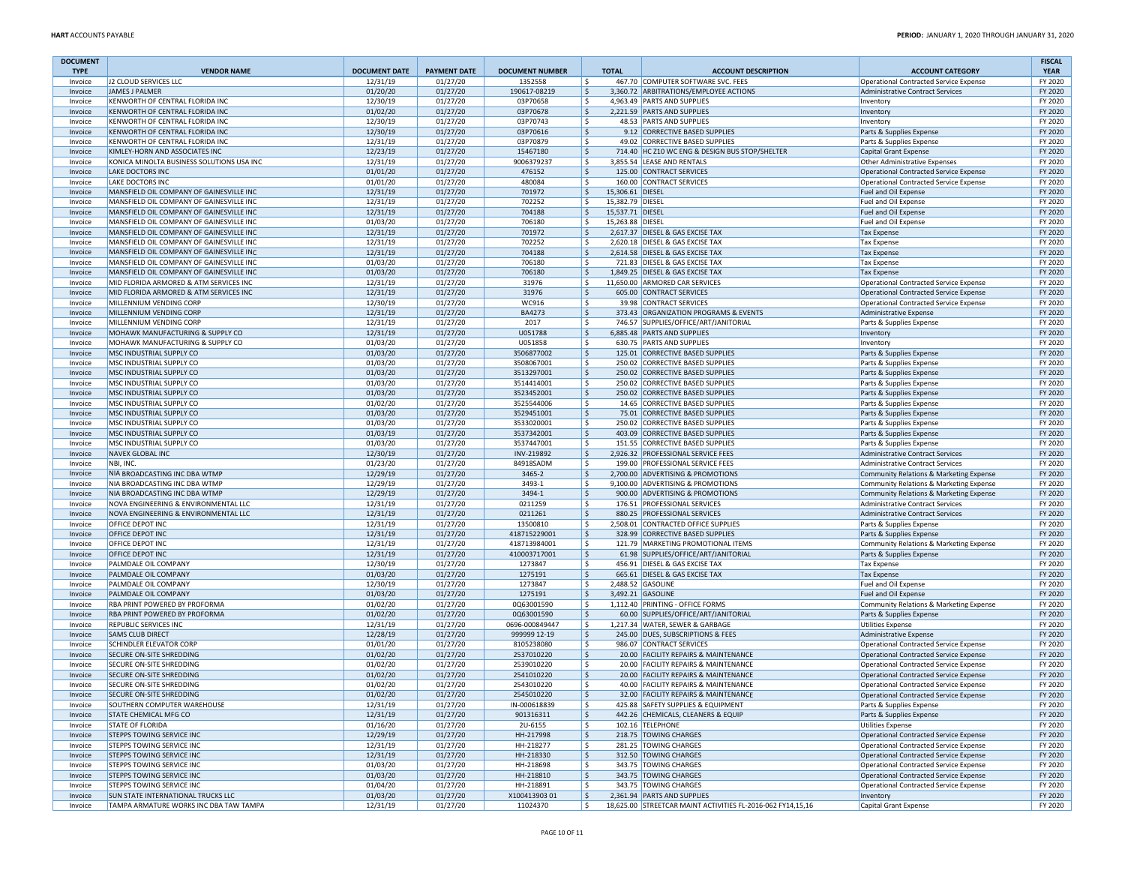| <b>DOCUMENT</b>    |                                                                                      |                      |                      |                              |                           |                                                                              |                                                                                  | <b>FISCAL</b>      |
|--------------------|--------------------------------------------------------------------------------------|----------------------|----------------------|------------------------------|---------------------------|------------------------------------------------------------------------------|----------------------------------------------------------------------------------|--------------------|
| <b>TYPE</b>        | <b>VENDOR NAME</b>                                                                   | <b>DOCUMENT DATE</b> | <b>PAYMENT DATE</b>  | <b>DOCUMENT NUMBER</b>       | <b>TOTAL</b>              | <b>ACCOUNT DESCRIPTION</b>                                                   | <b>ACCOUNT CATEGORY</b>                                                          | <b>YEAR</b>        |
| Invoice            | J2 CLOUD SERVICES LLC                                                                | 12/31/19             | 01/27/20             | 1352558                      | Ŝ.                        | 467.70 COMPUTER SOFTWARE SVC. FEES                                           | Operational Contracted Service Expense                                           | FY 2020            |
| Invoice            | <b>JAMES J PALMER</b>                                                                | 01/20/20             | 01/27/20             | 190617-08219                 | Ŝ.                        | 3,360.72 ARBITRATIONS/EMPLOYEE ACTIONS                                       | Administrative Contract Services                                                 | FY 2020            |
| Invoice<br>Invoice | KENWORTH OF CENTRAL FLORIDA INC<br>KENWORTH OF CENTRAL FLORIDA INC                   | 12/30/19<br>01/02/20 | 01/27/20<br>01/27/20 | 03P70658<br>03P70678         | Ŝ.<br>Ŝ.                  | 4,963.49 PARTS AND SUPPLIES<br>2,221.59 PARTS AND SUPPLIES                   | Inventory<br>Inventory                                                           | FY 2020<br>FY 2020 |
| Invoice            | KENWORTH OF CENTRAL FLORIDA INC                                                      | 12/30/19             | 01/27/20             | 03P70743                     | Ŝ.                        | 48.53 PARTS AND SUPPLIES                                                     | Inventory                                                                        | FY 2020            |
| Invoice            | KENWORTH OF CENTRAL FLORIDA INC                                                      | 12/30/19             | 01/27/20             | 03P70616                     | S,                        | 9.12 CORRECTIVE BASED SUPPLIES                                               | Parts & Supplies Expense                                                         | FY 2020            |
| Invoice            | KENWORTH OF CENTRAL FLORIDA INC                                                      | 12/31/19             | 01/27/20             | 03P70879                     | Ŝ.                        | 49.02 CORRECTIVE BASED SUPPLIES                                              | Parts & Supplies Expense                                                         | FY 2020            |
| Invoice            | KIMLEY-HORN AND ASSOCIATES INC                                                       | 12/23/19             | 01/27/20             | 15467180                     | \$                        | 714.40 HC Z10 WC ENG & DESIGN BUS STOP/SHELTER                               | Capital Grant Expense                                                            | FY 2020            |
| Invoice            | KONICA MINOLTA BUSINESS SOLUTIONS USA INC                                            | 12/31/19             | 01/27/20             | 9006379237                   | \$.                       | 3,855.54 LEASE AND RENTALS                                                   | Other Administrative Expenses                                                    | FY 2020            |
| Invoice            | <b>LAKE DOCTORS INC</b>                                                              | 01/01/20             | 01/27/20             | 476152                       | Ŝ.                        | 125.00 CONTRACT SERVICES                                                     | Operational Contracted Service Expense                                           | FY 2020            |
| Invoice            | LAKE DOCTORS INC                                                                     | 01/01/20             | 01/27/20             | 480084                       | Ŝ.                        | 160.00 CONTRACT SERVICES                                                     | Operational Contracted Service Expense                                           | FY 2020            |
| Invoice            | MANSFIELD OIL COMPANY OF GAINESVILLE INC                                             | 12/31/19             | 01/27/20             | 701972                       | 15,306.61 DIESEL<br>l\$.  |                                                                              | Fuel and Oil Expense                                                             | FY 2020            |
| Invoice            | MANSFIELD OIL COMPANY OF GAINESVILLE INC                                             | 12/31/19             | 01/27/20             | 702252                       | Ŝ.<br>15,382.79 DIESEL    |                                                                              | Fuel and Oil Expense                                                             | FY 2020            |
| Invoice            | MANSFIELD OIL COMPANY OF GAINESVILLE INC                                             | 12/31/19             | 01/27/20             | 704188                       | \$<br>15,537.71 DIESEL    |                                                                              | Fuel and Oil Expense                                                             | FY 2020            |
| Invoice            | MANSFIELD OIL COMPANY OF GAINESVILLE INC                                             | 01/03/20             | 01/27/20             | 706180                       | 15,263.88 DIESEL<br>Ŝ.    |                                                                              | Fuel and Oil Expense                                                             | FY 2020            |
| Invoice            | MANSFIELD OIL COMPANY OF GAINESVILLE INC<br>MANSFIELD OIL COMPANY OF GAINESVILLE INC | 12/31/19             | 01/27/20<br>01/27/20 | 701972                       | \$<br>\$.                 | 2,617.37 DIESEL & GAS EXCISE TAX<br>2.620.18 DIESEL & GAS EXCISE TAX         | <b>Tax Expense</b>                                                               | FY 2020<br>FY 2020 |
| Invoice<br>Invoice | MANSFIELD OIL COMPANY OF GAINESVILLE INC                                             | 12/31/19<br>12/31/19 | 01/27/20             | 702252<br>704188             | \$                        | 2,614.58 DIESEL & GAS EXCISE TAX                                             | <b>Tax Expense</b>                                                               | FY 2020            |
| Invoice            | MANSFIELD OIL COMPANY OF GAINESVILLE INC                                             | 01/03/20             | 01/27/20             | 706180                       | Ŝ.                        | 721.83 DIESEL & GAS EXCISE TAX                                               | <b>Tax Expense</b><br><b>Tax Expense</b>                                         | FY 2020            |
| Invoice            | MANSFIELD OIL COMPANY OF GAINESVILLE INC                                             | 01/03/20             | 01/27/20             | 706180                       | S,                        | 1,849.25 DIESEL & GAS EXCISE TAX                                             | <b>Tax Expense</b>                                                               | FY 2020            |
| Invoice            | MID FLORIDA ARMORED & ATM SERVICES INC                                               | 12/31/19             | 01/27/20             | 31976                        | \$.                       | 11,650.00 ARMORED CAR SERVICES                                               | Operational Contracted Service Expense                                           | FY 2020            |
| Invoice            | MID FLORIDA ARMORED & ATM SERVICES INC                                               | 12/31/19             | 01/27/20             | 31976                        | \$                        | 605.00 CONTRACT SERVICES                                                     | Operational Contracted Service Expense                                           | FY 2020            |
| Invoice            | MILLENNIUM VENDING CORP                                                              | 12/30/19             | 01/27/20             | WC916                        | \$.                       | 39.98 CONTRACT SERVICES                                                      | Operational Contracted Service Expense                                           | FY 2020            |
| Invoice            | MILLENNIUM VENDING CORP                                                              | 12/31/19             | 01/27/20             | <b>BA4273</b>                | Ŝ.                        | 373.43 ORGANIZATION PROGRAMS & EVENTS                                        | Administrative Expense                                                           | FY 2020            |
| Invoice            | MILLENNIUM VENDING CORP                                                              | 12/31/19             | 01/27/20             | 2017                         | \$.                       | 746.57 SUPPLIES/OFFICE/ART/JANITORIAL                                        | Parts & Supplies Expense                                                         | FY 2020            |
| Invoice            | MOHAWK MANUFACTURING & SUPPLY CO                                                     | 12/31/19             | 01/27/20             | U051788                      | \$                        | 6,885.48 PARTS AND SUPPLIES                                                  | Inventory                                                                        | FY 2020            |
| Invoice            | MOHAWK MANUFACTURING & SUPPLY CO                                                     | 01/03/20             | 01/27/20             | U051858                      | Ŝ.                        | 630.75 PARTS AND SUPPLIES                                                    | Inventory                                                                        | FY 2020            |
| Invoice            | MSC INDUSTRIAL SUPPLY CO                                                             | 01/03/20             | 01/27/20             | 3506877002                   | $\boldsymbol{\mathsf{S}}$ | 125.01 CORRECTIVE BASED SUPPLIES                                             | Parts & Supplies Expense                                                         | FY 2020            |
| Invoice            | MSC INDUSTRIAL SUPPLY CO                                                             | 01/03/20             | 01/27/20             | 3508067001                   | \$                        | 250.02 CORRECTIVE BASED SUPPLIES                                             | Parts & Supplies Expense                                                         | FY 2020            |
| Invoice            | MSC INDUSTRIAL SUPPLY CO                                                             | 01/03/20             | 01/27/20             | 3513297001                   | \$                        | 250.02 CORRECTIVE BASED SUPPLIES                                             | Parts & Supplies Expense                                                         | FY 2020            |
| Invoice            | MSC INDUSTRIAL SUPPLY CO                                                             | 01/03/20             | 01/27/20             | 3514414001                   | \$.                       | 250.02 CORRECTIVE BASED SUPPLIES                                             | Parts & Supplies Expense                                                         | FY 2020            |
| Invoice            | MSC INDUSTRIAL SUPPLY CO                                                             | 01/03/20             | 01/27/20             | 3523452001                   | \$                        | 250.02 CORRECTIVE BASED SUPPLIES                                             | Parts & Supplies Expense                                                         | FY 2020            |
| Invoice            | MSC INDUSTRIAL SUPPLY CO<br><b>MSC INDUSTRIAL SUPPLY CO</b>                          | 01/02/20<br>01/03/20 | 01/27/20<br>01/27/20 | 3525544006<br>3529451001     | Ŝ.                        | 14.65 CORRECTIVE BASED SUPPLIES<br>75.01 CORRECTIVE BASED SUPPLIES           | Parts & Supplies Expense<br>Parts & Supplies Expense                             | FY 2020<br>FY 2020 |
| Invoice<br>Invoice | MSC INDUSTRIAL SUPPLY CO                                                             | 01/03/20             | 01/27/20             | 3533020001                   | l\$.<br>\$.               | 250.02 CORRECTIVE BASED SUPPLIES                                             | Parts & Supplies Expense                                                         | FY 2020            |
| Invoice            | MSC INDUSTRIAL SUPPLY CO                                                             | 01/03/19             | 01/27/20             | 3537342001                   | \$                        | 403.09 CORRECTIVE BASED SUPPLIES                                             | Parts & Supplies Expense                                                         | FY 2020            |
| Invoice            | MSC INDUSTRIAL SUPPLY CO                                                             | 01/03/20             | 01/27/20             | 3537447001                   | \$.                       | 151.55 CORRECTIVE BASED SUPPLIES                                             | Parts & Supplies Expense                                                         | FY 2020            |
| Invoice            | <b>NAVEX GLOBAL INC</b>                                                              | 12/30/19             | 01/27/20             | INV-219892                   | Ŝ.                        | 2,926.32 PROFESSIONAL SERVICE FEES                                           | Administrative Contract Services                                                 | FY 2020            |
| Invoice            | NBI, INC.                                                                            | 01/23/20             | 01/27/20             | 84918SADM                    | \$.                       | 199.00 PROFESSIONAL SERVICE FEES                                             | Administrative Contract Services                                                 | FY 2020            |
| Invoice            | NIA BROADCASTING INC DBA WTMP                                                        | 12/29/19             | 01/27/20             | 3465-2                       | l\$                       | 2,700.00 ADVERTISING & PROMOTIONS                                            | Community Relations & Marketing Expense                                          | FY 2020            |
| Invoice            | NIA BROADCASTING INC DBA WTMP                                                        | 12/29/19             | 01/27/20             | 3493-1                       | Ŝ.                        | 9,100.00 ADVERTISING & PROMOTIONS                                            | Community Relations & Marketing Expense                                          | FY 2020            |
| Invoice            | NIA BROADCASTING INC DBA WTMP                                                        | 12/29/19             | 01/27/20             | 3494-1                       | S,                        | 900.00 ADVERTISING & PROMOTIONS                                              | Community Relations & Marketing Expense                                          | FY 2020            |
| Invoice            | NOVA ENGINEERING & ENVIRONMENTAL LLC                                                 | 12/31/19             | 01/27/20             | 0211259                      | Ŝ.                        | 176.51 PROFESSIONAL SERVICES                                                 | Administrative Contract Services                                                 | FY 2020            |
| Invoice            | NOVA ENGINEERING & ENVIRONMENTAL LLC                                                 | 12/31/19             | 01/27/20             | 0211261                      | \$                        | 880.25 PROFESSIONAL SERVICES                                                 | <b>Administrative Contract Services</b>                                          | FY 2020            |
| Invoice            | OFFICE DEPOT INC                                                                     | 12/31/19             | 01/27/20             | 13500810                     | \$.                       | 2,508.01 CONTRACTED OFFICE SUPPLIES                                          | Parts & Supplies Expense                                                         | FY 2020            |
| Invoice            | OFFICE DEPOT INC<br>OFFICE DEPOT INC                                                 | 12/31/19             | 01/27/20             | 418715229001<br>418713984001 | \$<br>Ŝ.                  | 328.99 CORRECTIVE BASED SUPPLIES<br>121.79 MARKETING PROMOTIONAL ITEMS       | Parts & Supplies Expense                                                         | FY 2020<br>FY 2020 |
| Invoice<br>Invoice | OFFICE DEPOT INC                                                                     | 12/31/19<br>12/31/19 | 01/27/20<br>01/27/20 | 410003717001                 | l\$.                      | 61.98 SUPPLIES/OFFICE/ART/JANITORIAL                                         | Community Relations & Marketing Expense<br>Parts & Supplies Expense              | FY 2020            |
| Invoice            | PALMDALE OIL COMPANY                                                                 | 12/30/19             | 01/27/20             | 1273847                      | Ŝ.                        | 456.91 DIESEL & GAS EXCISE TAX                                               | <b>Tax Expense</b>                                                               | FY 2020            |
| Invoice            | PALMDALE OIL COMPANY                                                                 | 01/03/20             | 01/27/20             | 1275191                      | \$                        | 665.61 DIESEL & GAS EXCISE TAX                                               | <b>Tax Expense</b>                                                               | FY 2020            |
| Invoice            | PALMDALE OIL COMPANY                                                                 | 12/30/19             | 01/27/20             | 1273847                      | \$                        | 2,488.52 GASOLINE                                                            | Fuel and Oil Expense                                                             | FY 2020            |
| Invoice            | PALMDALE OIL COMPANY                                                                 | 01/03/20             | 01/27/20             | 1275191                      | Ŝ.                        | 3,492.21 GASOLINE                                                            | Fuel and Oil Expense                                                             | FY 2020            |
| Invoice            | RBA PRINT POWERED BY PROFORMA                                                        | 01/02/20             | 01/27/20             | 0Q63001590                   | \$.                       | 1,112.40 PRINTING - OFFICE FORMS                                             | Community Relations & Marketing Expense                                          | FY 2020            |
| Invoice            | <b>RBA PRINT POWERED BY PROFORMA</b>                                                 | 01/02/20             | 01/27/20             | 0Q63001590                   | Ŝ.                        | 60.00 SUPPLIES/OFFICE/ART/JANITORIAL                                         | Parts & Supplies Expense                                                         | FY 2020            |
| Invoice            | REPUBLIC SERVICES INC                                                                | 12/31/19             | 01/27/20             | 0696-000849447               | Ŝ.                        | 1,217.34 WATER, SEWER & GARBAGE                                              | <b>Utilities Expense</b>                                                         | FY 2020            |
| Invoice            | <b>SAMS CLUB DIRECT</b>                                                              | 12/28/19             | 01/27/20             | 999999 12-19                 | S,                        | 245.00 DUES, SUBSCRIPTIONS & FEES                                            | Administrative Expense                                                           | FY 2020            |
| Invoice            | <b>SCHINDLER ELEVATOR CORP</b>                                                       | 01/01/20             | 01/27/20             | 8105238080                   | \$.                       | 986.07 CONTRACT SERVICES                                                     | Operational Contracted Service Expense                                           | FY 2020            |
| Invoice            | <b>SECURE ON-SITE SHREDDING</b>                                                      | 01/02/20             | 01/27/20             | 2537010220                   | \$.                       | 20.00 FACILITY REPAIRS & MAINTENANCE                                         | Operational Contracted Service Expense                                           | FY 2020            |
| Invoice            | SECURE ON-SITE SHREDDING                                                             | 01/02/20             | 01/27/20             | 2539010220                   | \$.                       | 20.00 FACILITY REPAIRS & MAINTENANCE                                         | Operational Contracted Service Expense                                           | FY 2020            |
| Invoice            | <b>SECURE ON-SITE SHREDDING</b>                                                      | 01/02/20             | 01/27/20             | 2541010220                   | Ŝ.                        | 20.00 FACILITY REPAIRS & MAINTENANCE                                         | Operational Contracted Service Expense                                           | FY 2020            |
| Invoice<br>Invoice | SECURE ON-SITE SHREDDING<br><b>SECURE ON-SITE SHREDDING</b>                          | 01/02/20             | 01/27/20<br>01/27/20 | 2543010220<br>2545010220     | \$.                       | 40.00 FACILITY REPAIRS & MAINTENANCE<br>32.00 FACILITY REPAIRS & MAINTENANCE | Operational Contracted Service Expense<br>Operational Contracted Service Expense | FY 2020<br>FY 2020 |
| Invoice            | SOUTHERN COMPUTER WAREHOUSE                                                          | 01/02/20<br>12/31/19 | 01/27/20             | IN-000618839                 | <sub>5</sub><br>\$.       | 425.88 SAFETY SUPPLIES & EQUIPMENT                                           | Parts & Supplies Expense                                                         | FY 2020            |
| Invoice            | STATE CHEMICAL MFG CO                                                                | 12/31/19             | 01/27/20             | 901316311                    | \$                        | 442.26 CHEMICALS, CLEANERS & EQUIP                                           | Parts & Supplies Expense                                                         | FY 2020            |
| Invoice            | <b>STATE OF FLORIDA</b>                                                              | 01/16/20             | 01/27/20             | 2U-6155                      | \$                        | 102.16 TELEPHONE                                                             | Utilities Expense                                                                | FY 2020            |
| Invoice            | STEPPS TOWING SERVICE INC                                                            | 12/29/19             | 01/27/20             | HH-217998                    | \$                        | 218.75 TOWING CHARGES                                                        | Operational Contracted Service Expense                                           | FY 2020            |
| Invoice            | STEPPS TOWING SERVICE INC                                                            | 12/31/19             | 01/27/20             | HH-218277                    | \$                        | 281.25 TOWING CHARGES                                                        | Operational Contracted Service Expense                                           | FY 2020            |
| Invoice            | STEPPS TOWING SERVICE INC                                                            | 12/31/19             | 01/27/20             | HH-218330                    | \$                        | 312.50 TOWING CHARGES                                                        | Operational Contracted Service Expense                                           | FY 2020            |
| Invoice            | STEPPS TOWING SERVICE INC                                                            | 01/03/20             | 01/27/20             | HH-218698                    | \$                        | 343.75 TOWING CHARGES                                                        | Operational Contracted Service Expense                                           | FY 2020            |
| Invoice            | <b>STEPPS TOWING SERVICE INC</b>                                                     | 01/03/20             | 01/27/20             | HH-218810                    | S,                        | 343.75 TOWING CHARGES                                                        | Operational Contracted Service Expense                                           | FY 2020            |
| Invoice            | STEPPS TOWING SERVICE INC                                                            | 01/04/20             | 01/27/20             | HH-218891                    | Ŝ.                        | 343.75 TOWING CHARGES                                                        | Operational Contracted Service Expense                                           | FY 2020            |
| Invoice            | <b>SUN STATE INTERNATIONAL TRUCKS LLC</b>                                            | 01/03/20             | 01/27/20             | X10041390301                 | \$                        | 2,361.94 PARTS AND SUPPLIES                                                  | Inventory                                                                        | FY 2020            |
| Invoice            | TAMPA ARMATURE WORKS INC DBA TAW TAMPA                                               | 12/31/19             | 01/27/20             | 11024370                     | S.                        | 18,625.00 STREETCAR MAINT ACTIVITIES FL-2016-062 FY14,15,16                  | Capital Grant Expense                                                            | FY 2020            |